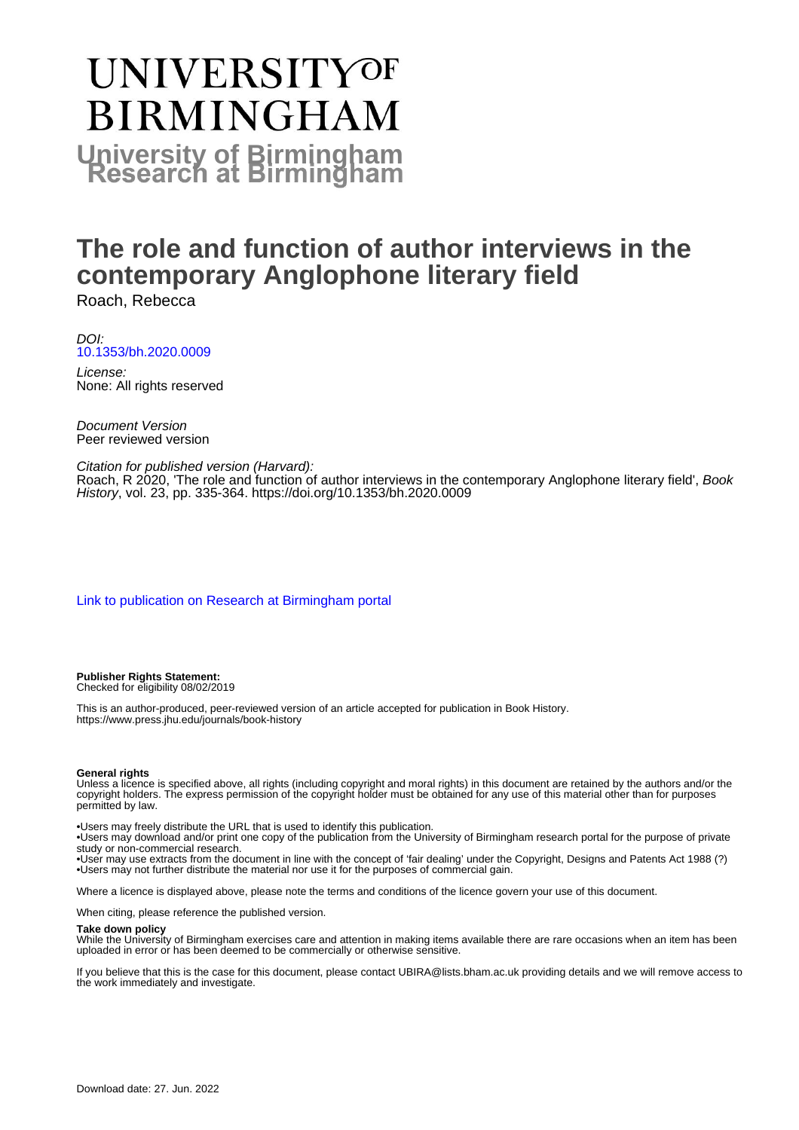# **UNIVERSITYOF BIRMINGHAM University of Birmingham**

# **The role and function of author interviews in the contemporary Anglophone literary field**

Roach, Rebecca

DOI: [10.1353/bh.2020.0009](https://doi.org/10.1353/bh.2020.0009)

License: None: All rights reserved

Document Version Peer reviewed version

Citation for published version (Harvard):

Roach, R 2020, 'The role and function of author interviews in the contemporary Anglophone literary field', Book History, vol. 23, pp. 335-364. <https://doi.org/10.1353/bh.2020.0009>

[Link to publication on Research at Birmingham portal](https://birmingham.elsevierpure.com/en/publications/a52e5a0a-dabd-4b27-a256-06a3ab23504f)

**Publisher Rights Statement:** Checked for eligibility 08/02/2019

This is an author-produced, peer-reviewed version of an article accepted for publication in Book History. https://www.press.jhu.edu/journals/book-history

#### **General rights**

Unless a licence is specified above, all rights (including copyright and moral rights) in this document are retained by the authors and/or the copyright holders. The express permission of the copyright holder must be obtained for any use of this material other than for purposes permitted by law.

• Users may freely distribute the URL that is used to identify this publication.

• Users may download and/or print one copy of the publication from the University of Birmingham research portal for the purpose of private study or non-commercial research.

• User may use extracts from the document in line with the concept of 'fair dealing' under the Copyright, Designs and Patents Act 1988 (?) • Users may not further distribute the material nor use it for the purposes of commercial gain.

Where a licence is displayed above, please note the terms and conditions of the licence govern your use of this document.

When citing, please reference the published version.

#### **Take down policy**

While the University of Birmingham exercises care and attention in making items available there are rare occasions when an item has been uploaded in error or has been deemed to be commercially or otherwise sensitive.

If you believe that this is the case for this document, please contact UBIRA@lists.bham.ac.uk providing details and we will remove access to the work immediately and investigate.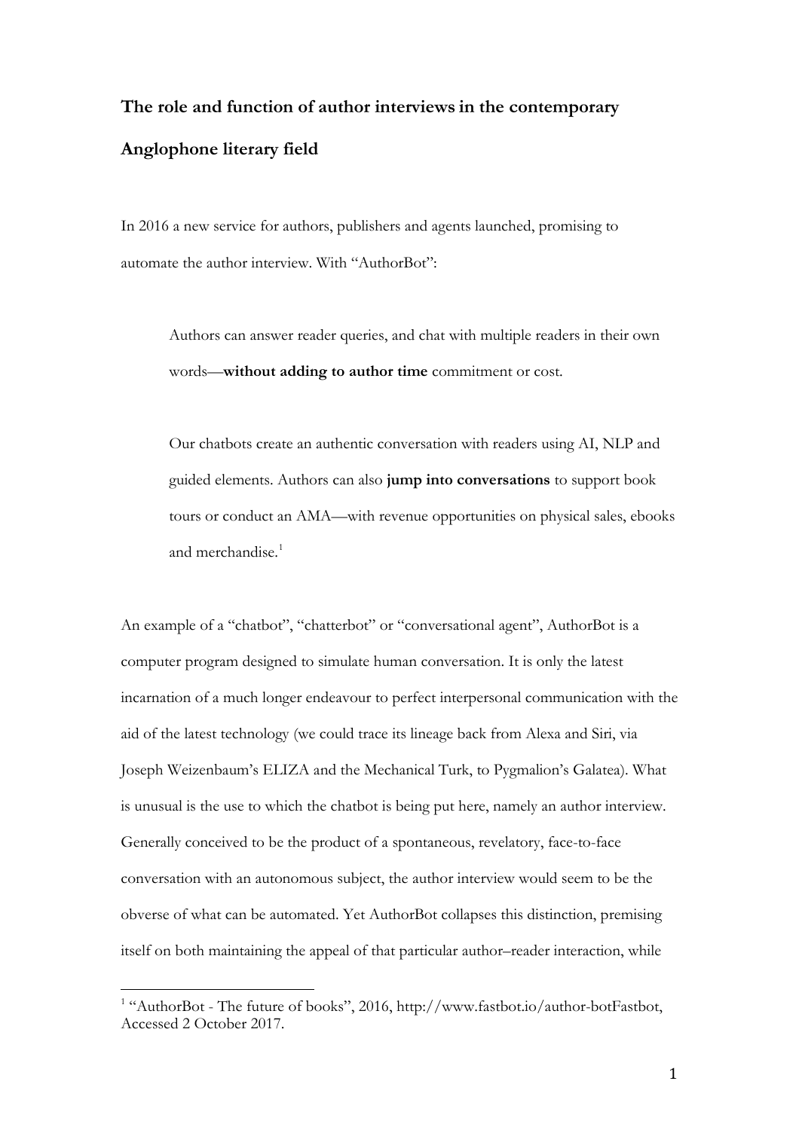# **The role and function of author interviews in the contemporary Anglophone literary field**

In 2016 a new service for authors, publishers and agents launched, promising to automate the author interview. With "AuthorBot":

Authors can answer reader queries, and chat with multiple readers in their own words—**without adding to author time** commitment or cost.

Our chatbots create an authentic conversation with readers using AI, NLP and guided elements. Authors can also **jump into conversations** to support book tours or conduct an AMA—with revenue opportunities on physical sales, ebooks and merchandise.<sup>[1](#page-1-0)</sup>

An example of a "chatbot", "chatterbot" or "conversational agent", AuthorBot is a computer program designed to simulate human conversation. It is only the latest incarnation of a much longer endeavour to perfect interpersonal communication with the aid of the latest technology (we could trace its lineage back from Alexa and Siri, via Joseph Weizenbaum's ELIZA and the Mechanical Turk, to Pygmalion's Galatea). What is unusual is the use to which the chatbot is being put here, namely an author interview. Generally conceived to be the product of a spontaneous, revelatory, face-to-face conversation with an autonomous subject, the author interview would seem to be the obverse of what can be automated. Yet AuthorBot collapses this distinction, premising itself on both maintaining the appeal of that particular author–reader interaction, while

<span id="page-1-0"></span><sup>&</sup>lt;sup>1</sup> "AuthorBot - The future of books", 2016, http://www.fastbot.io/author-botFastbot, Accessed 2 October 2017.  $\overline{1}$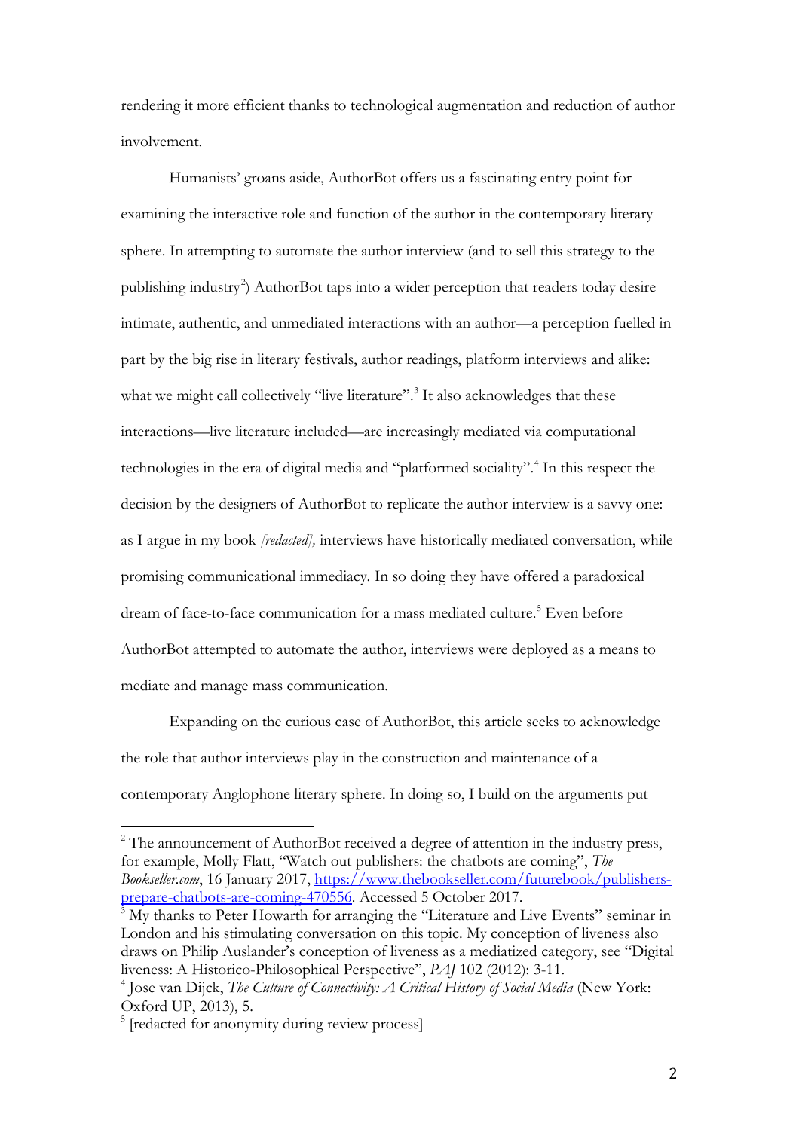rendering it more efficient thanks to technological augmentation and reduction of author involvement.

Humanists' groans aside, AuthorBot offers us a fascinating entry point for examining the interactive role and function of the author in the contemporary literary sphere. In attempting to automate the author interview (and to sell this strategy to the publishing industry<sup>[2](#page-2-0)</sup>) AuthorBot taps into a wider perception that readers today desire intimate, authentic, and unmediated interactions with an author—a perception fuelled in part by the big rise in literary festivals, author readings, platform interviews and alike: what we might call collectively "live literature".<sup>[3](#page-2-1)</sup> It also acknowledges that these interactions—live literature included—are increasingly mediated via computational technologies in the era of digital media and "platformed sociality". [4](#page-2-2) In this respect the decision by the designers of AuthorBot to replicate the author interview is a savvy one: as I argue in my book *[redacted],* interviews have historically mediated conversation, while promising communicational immediacy. In so doing they have offered a paradoxical dream of face-to-face communication for a mass mediated culture.<sup>[5](#page-2-3)</sup> Even before AuthorBot attempted to automate the author, interviews were deployed as a means to mediate and manage mass communication.

Expanding on the curious case of AuthorBot, this article seeks to acknowledge the role that author interviews play in the construction and maintenance of a contemporary Anglophone literary sphere. In doing so, I build on the arguments put

<span id="page-2-0"></span> $2^2$  The announcement of AuthorBot received a degree of attention in the industry press, for example, Molly Flatt, "Watch out publishers: the chatbots are coming", *The Bookseller.com*, 16 January 2017, [https://www.thebookseller.com/futurebook/publishers](https://www.thebookseller.com/futurebook/publishers-prepare-chatbots-are-coming-470556)[prepare-chatbots-are-coming-470556.](https://www.thebookseller.com/futurebook/publishers-prepare-chatbots-are-coming-470556) Accessed 5 October 2017.  $\overline{a}$ 

<span id="page-2-1"></span><sup>&</sup>lt;sup>3</sup> My thanks to Peter Howarth for arranging the "Literature and Live Events" seminar in London and his stimulating conversation on this topic. My conception of liveness also draws on Philip Auslander's conception of liveness as a mediatized category, see "Digital liveness: A Historico-Philosophical Perspective", *PAJ* 102 (2012): 3-11.

<span id="page-2-2"></span><sup>&</sup>lt;sup>4</sup> Jose van Dijck, *The Culture of Connectivity: A Critical History of Social Media* (New York: Oxford UP, 2013), 5.

<span id="page-2-3"></span><sup>&</sup>lt;sup>5</sup> [redacted for anonymity during review process]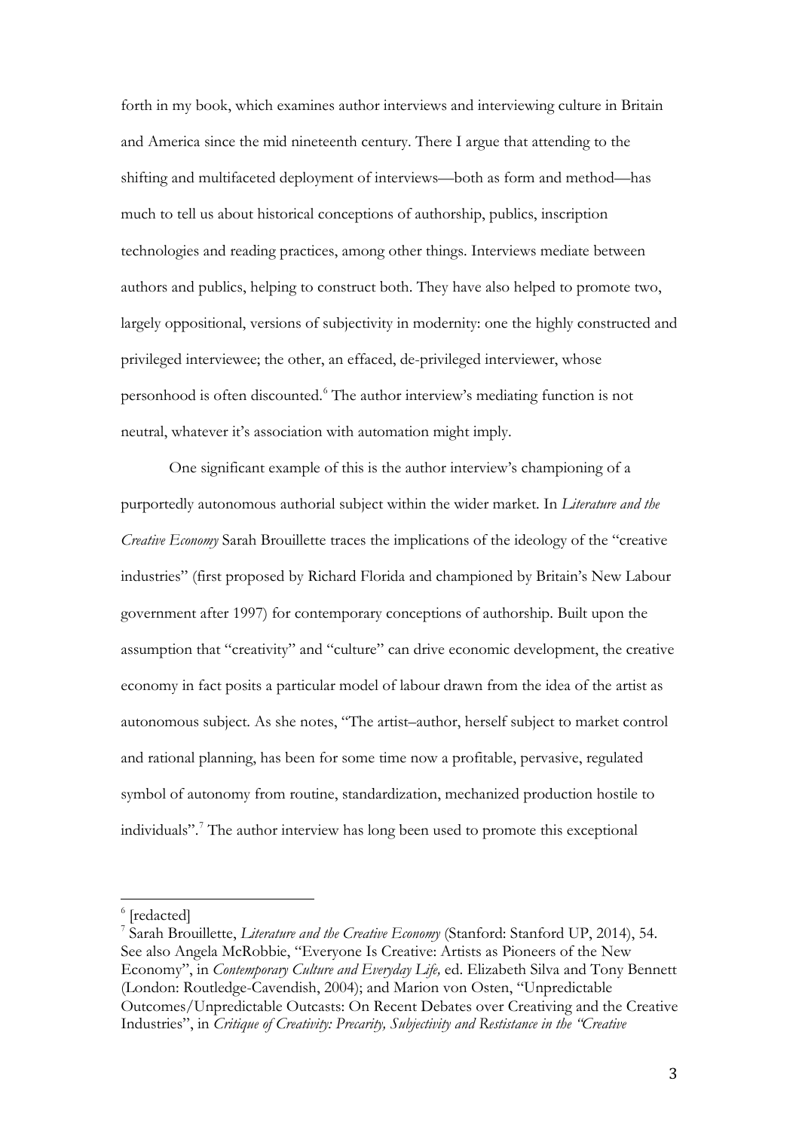forth in my book, which examines author interviews and interviewing culture in Britain and America since the mid nineteenth century. There I argue that attending to the shifting and multifaceted deployment of interviews—both as form and method—has much to tell us about historical conceptions of authorship, publics, inscription technologies and reading practices, among other things. Interviews mediate between authors and publics, helping to construct both. They have also helped to promote two, largely oppositional, versions of subjectivity in modernity: one the highly constructed and privileged interviewee; the other, an effaced, de-privileged interviewer, whose personhood is often discounted.[6](#page-3-0) The author interview's mediating function is not neutral, whatever it's association with automation might imply.

One significant example of this is the author interview's championing of a purportedly autonomous authorial subject within the wider market. In *Literature and the Creative Economy* Sarah Brouillette traces the implications of the ideology of the "creative industries" (first proposed by Richard Florida and championed by Britain's New Labour government after 1997) for contemporary conceptions of authorship. Built upon the assumption that "creativity" and "culture" can drive economic development, the creative economy in fact posits a particular model of labour drawn from the idea of the artist as autonomous subject. As she notes, "The artist–author, herself subject to market control and rational planning, has been for some time now a profitable, pervasive, regulated symbol of autonomy from routine, standardization, mechanized production hostile to individuals". [7](#page-3-1) The author interview has long been used to promote this exceptional

 $\overline{\phantom{a}}$ 

<span id="page-3-0"></span><sup>6</sup> [redacted]

<span id="page-3-1"></span><sup>7</sup> Sarah Brouillette, *Literature and the Creative Economy* (Stanford: Stanford UP, 2014), 54. See also Angela McRobbie, "Everyone Is Creative: Artists as Pioneers of the New Economy", in *Contemporary Culture and Everyday Life,* ed. Elizabeth Silva and Tony Bennett (London: Routledge-Cavendish, 2004); and Marion von Osten, "Unpredictable Outcomes/Unpredictable Outcasts: On Recent Debates over Creativing and the Creative Industries", in *Critique of Creativity: Precarity, Subjectivity and Restistance in the "Creative*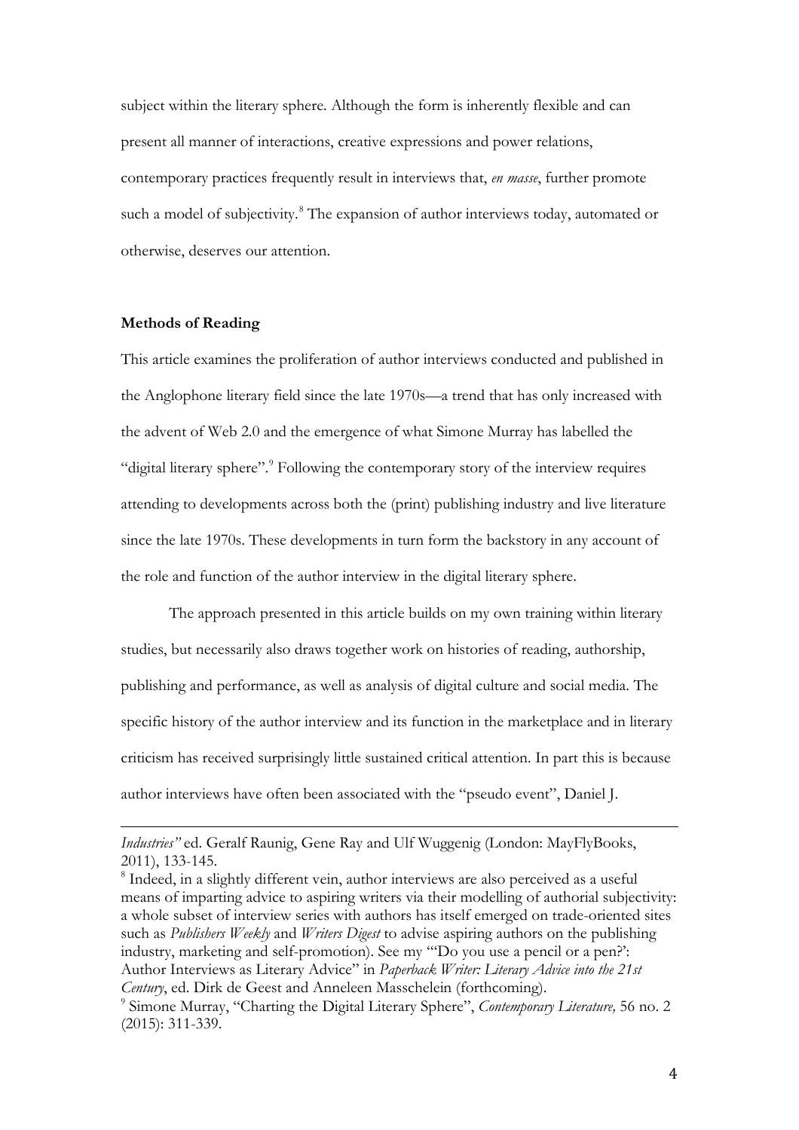subject within the literary sphere. Although the form is inherently flexible and can present all manner of interactions, creative expressions and power relations, contemporary practices frequently result in interviews that, *en masse*, further promote such a model of subjectivity.<sup>[8](#page-4-0)</sup> The expansion of author interviews today, automated or otherwise, deserves our attention.

#### **Methods of Reading**

This article examines the proliferation of author interviews conducted and published in the Anglophone literary field since the late 1970s—a trend that has only increased with the advent of Web 2.0 and the emergence of what Simone Murray has labelled the "digital literary sphere".<sup>9</sup> Following the contemporary story of the interview requires attending to developments across both the (print) publishing industry and live literature since the late 1970s. These developments in turn form the backstory in any account of the role and function of the author interview in the digital literary sphere.

The approach presented in this article builds on my own training within literary studies, but necessarily also draws together work on histories of reading, authorship, publishing and performance, as well as analysis of digital culture and social media. The specific history of the author interview and its function in the marketplace and in literary criticism has received surprisingly little sustained critical attention. In part this is because author interviews have often been associated with the "pseudo event", Daniel J.

*Industries"* ed. Geralf Raunig, Gene Ray and Ulf Wuggenig (London: MayFlyBooks, 2011), 133-145. l

<span id="page-4-1"></span><span id="page-4-0"></span><sup>8</sup> Indeed, in a slightly different vein, author interviews are also perceived as a useful means of imparting advice to aspiring writers via their modelling of authorial subjectivity: a whole subset of interview series with authors has itself emerged on trade-oriented sites such as *Publishers Weekly* and *Writers Digest* to advise aspiring authors on the publishing industry, marketing and self-promotion). See my "'Do you use a pencil or a pen?': Author Interviews as Literary Advice" in *Paperback Writer: Literary Advice into the 21st Century*, ed. Dirk de Geest and Anneleen Masschelein (forthcoming). <sup>9</sup> Simone Murray, "Charting the Digital Literary Sphere", *Contemporary Literature,* 56 no. 2 (2015): 311-339.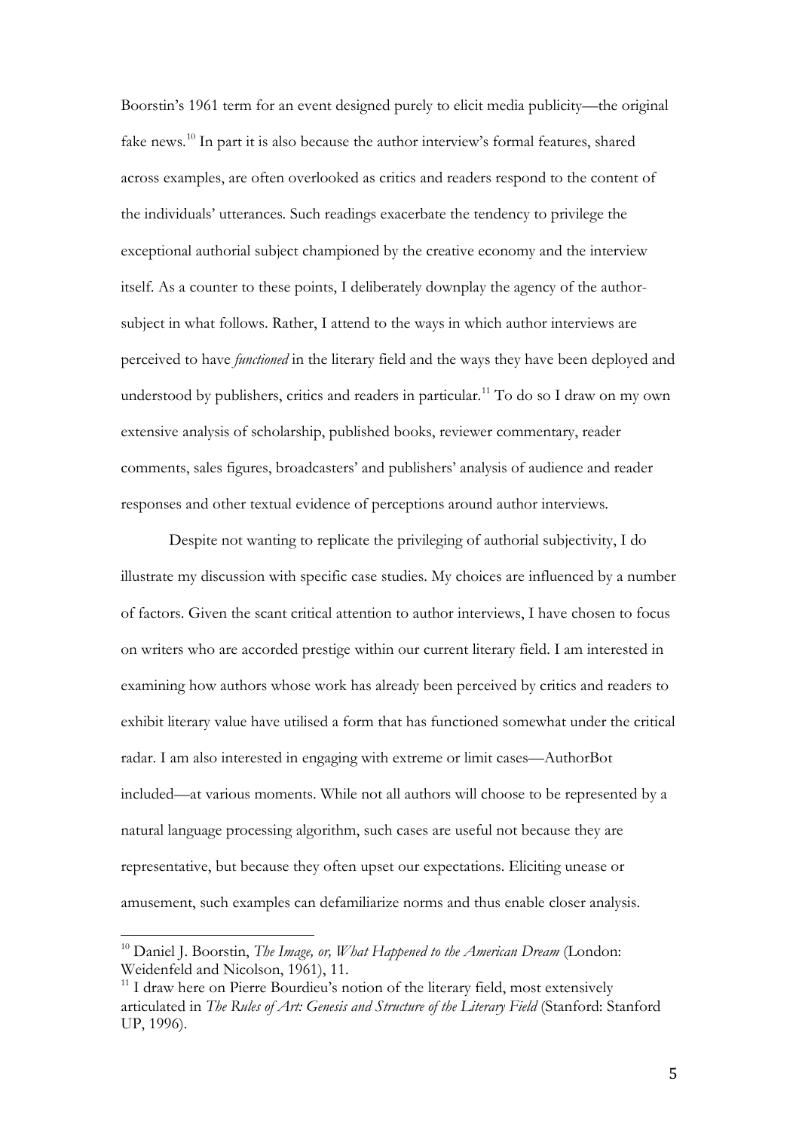Boorstin's 1961 term for an event designed purely to elicit media publicity—the original fake news.<sup>[10](#page-5-0)</sup> In part it is also because the author interview's formal features, shared across examples, are often overlooked as critics and readers respond to the content of the individuals' utterances. Such readings exacerbate the tendency to privilege the exceptional authorial subject championed by the creative economy and the interview itself. As a counter to these points, I deliberately downplay the agency of the authorsubject in what follows. Rather, I attend to the ways in which author interviews are perceived to have *functioned* in the literary field and the ways they have been deployed and understood by publishers, critics and readers in particular.<sup>[11](#page-5-1)</sup> To do so I draw on my own extensive analysis of scholarship, published books, reviewer commentary, reader comments, sales figures, broadcasters' and publishers' analysis of audience and reader responses and other textual evidence of perceptions around author interviews.

Despite not wanting to replicate the privileging of authorial subjectivity, I do illustrate my discussion with specific case studies. My choices are influenced by a number of factors. Given the scant critical attention to author interviews, I have chosen to focus on writers who are accorded prestige within our current literary field. I am interested in examining how authors whose work has already been perceived by critics and readers to exhibit literary value have utilised a form that has functioned somewhat under the critical radar. I am also interested in engaging with extreme or limit cases—AuthorBot included—at various moments. While not all authors will choose to be represented by a natural language processing algorithm, such cases are useful not because they are representative, but because they often upset our expectations. Eliciting unease or amusement, such examples can defamiliarize norms and thus enable closer analysis.

<span id="page-5-0"></span><sup>10</sup> Daniel J. Boorstin, *The Image, or, What Happened to the American Dream* (London: Weidenfeld and Nicolson, 1961), 11.  $\overline{1}$ 

<span id="page-5-1"></span><sup>&</sup>lt;sup>11</sup> I draw here on Pierre Bourdieu's notion of the literary field, most extensively articulated in *The Rules of Art: Genesis and Structure of the Literary Field* (Stanford: Stanford UP, 1996).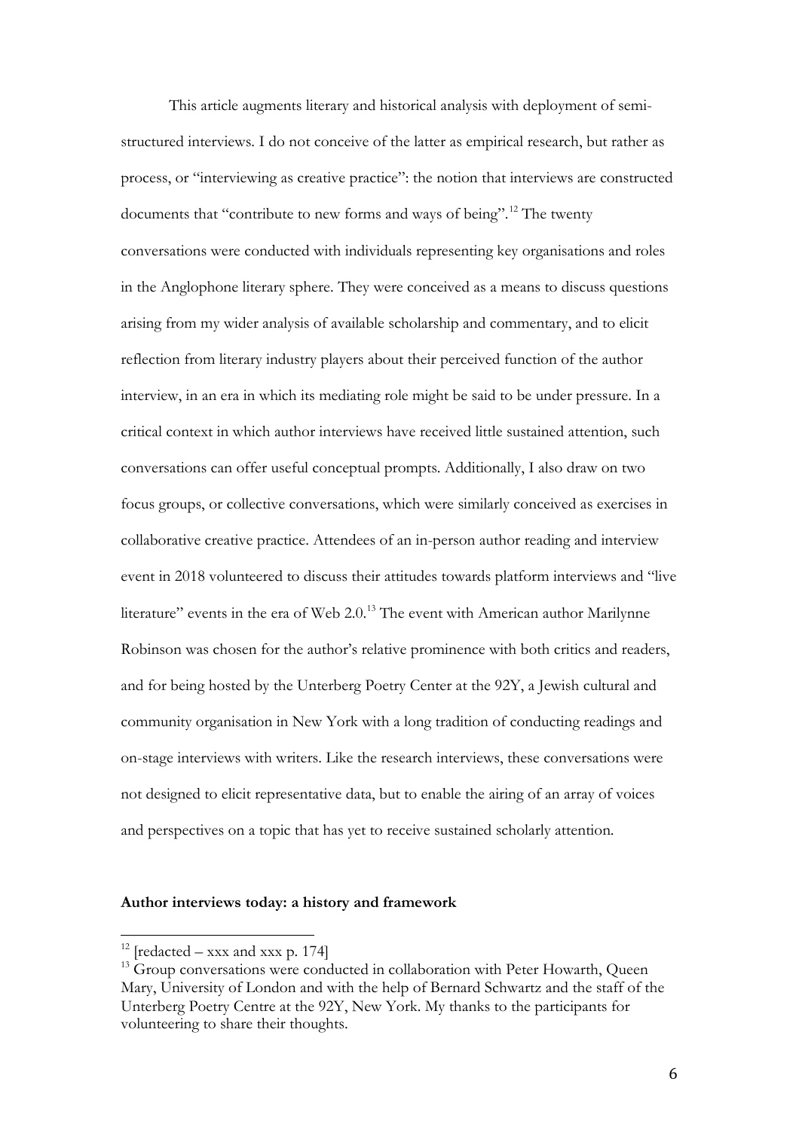This article augments literary and historical analysis with deployment of semistructured interviews. I do not conceive of the latter as empirical research, but rather as process, or "interviewing as creative practice": the notion that interviews are constructed documents that "contribute to new forms and ways of being". [12](#page-6-0) The twenty conversations were conducted with individuals representing key organisations and roles in the Anglophone literary sphere. They were conceived as a means to discuss questions arising from my wider analysis of available scholarship and commentary, and to elicit reflection from literary industry players about their perceived function of the author interview, in an era in which its mediating role might be said to be under pressure. In a critical context in which author interviews have received little sustained attention, such conversations can offer useful conceptual prompts. Additionally, I also draw on two focus groups, or collective conversations, which were similarly conceived as exercises in collaborative creative practice. Attendees of an in-person author reading and interview event in 2018 volunteered to discuss their attitudes towards platform interviews and "live literature" events in the era of Web 2.0.<sup>[13](#page-6-1)</sup> The event with American author Marilynne Robinson was chosen for the author's relative prominence with both critics and readers, and for being hosted by the Unterberg Poetry Center at the 92Y, a Jewish cultural and community organisation in New York with a long tradition of conducting readings and on-stage interviews with writers. Like the research interviews, these conversations were not designed to elicit representative data, but to enable the airing of an array of voices and perspectives on a topic that has yet to receive sustained scholarly attention.

#### **Author interviews today: a history and framework**

 $12$  [redacted – xxx and xxx p. 174]  $\overline{1}$ 

<span id="page-6-1"></span><span id="page-6-0"></span><sup>&</sup>lt;sup>13</sup> Group conversations were conducted in collaboration with Peter Howarth, Queen Mary, University of London and with the help of Bernard Schwartz and the staff of the Unterberg Poetry Centre at the 92Y, New York. My thanks to the participants for volunteering to share their thoughts.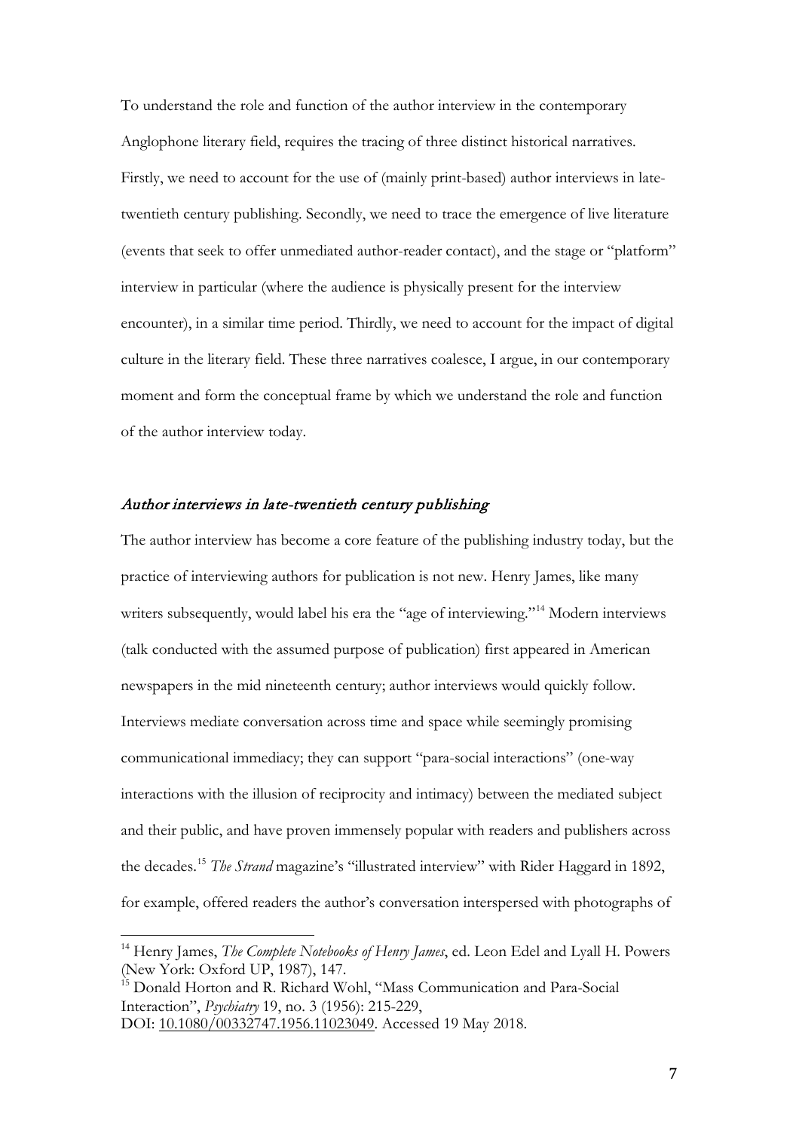To understand the role and function of the author interview in the contemporary Anglophone literary field, requires the tracing of three distinct historical narratives. Firstly, we need to account for the use of (mainly print-based) author interviews in latetwentieth century publishing. Secondly, we need to trace the emergence of live literature (events that seek to offer unmediated author-reader contact), and the stage or "platform" interview in particular (where the audience is physically present for the interview encounter), in a similar time period. Thirdly, we need to account for the impact of digital culture in the literary field. These three narratives coalesce, I argue, in our contemporary moment and form the conceptual frame by which we understand the role and function of the author interview today.

### Author interviews in late-twentieth century publishing

The author interview has become a core feature of the publishing industry today, but the practice of interviewing authors for publication is not new. Henry James, like many writers subsequently, would label his era the "age of interviewing."<sup>[14](#page-7-0)</sup> Modern interviews (talk conducted with the assumed purpose of publication) first appeared in American newspapers in the mid nineteenth century; author interviews would quickly follow. Interviews mediate conversation across time and space while seemingly promising communicational immediacy; they can support "para-social interactions" (one-way interactions with the illusion of reciprocity and intimacy) between the mediated subject and their public, and have proven immensely popular with readers and publishers across the decades. [15](#page-7-1) *The Strand* magazine's "illustrated interview" with Rider Haggard in 1892, for example, offered readers the author's conversation interspersed with photographs of

<span id="page-7-0"></span><sup>14</sup> Henry James, *The Complete Notebooks of Henry James*, ed. Leon Edel and Lyall H. Powers (New York: Oxford UP, 1987), 147.  $\overline{1}$ 

<span id="page-7-1"></span><sup>&</sup>lt;sup>15</sup> Donald Horton and R. Richard Wohl, "Mass Communication and Para-Social Interaction", *Psychiatry* 19, no. 3 (1956): 215-229,

DOI: [10.1080/00332747.1956.11023049.](https://doi.org/10.1080/00332747.1956.11023049) Accessed 19 May 2018.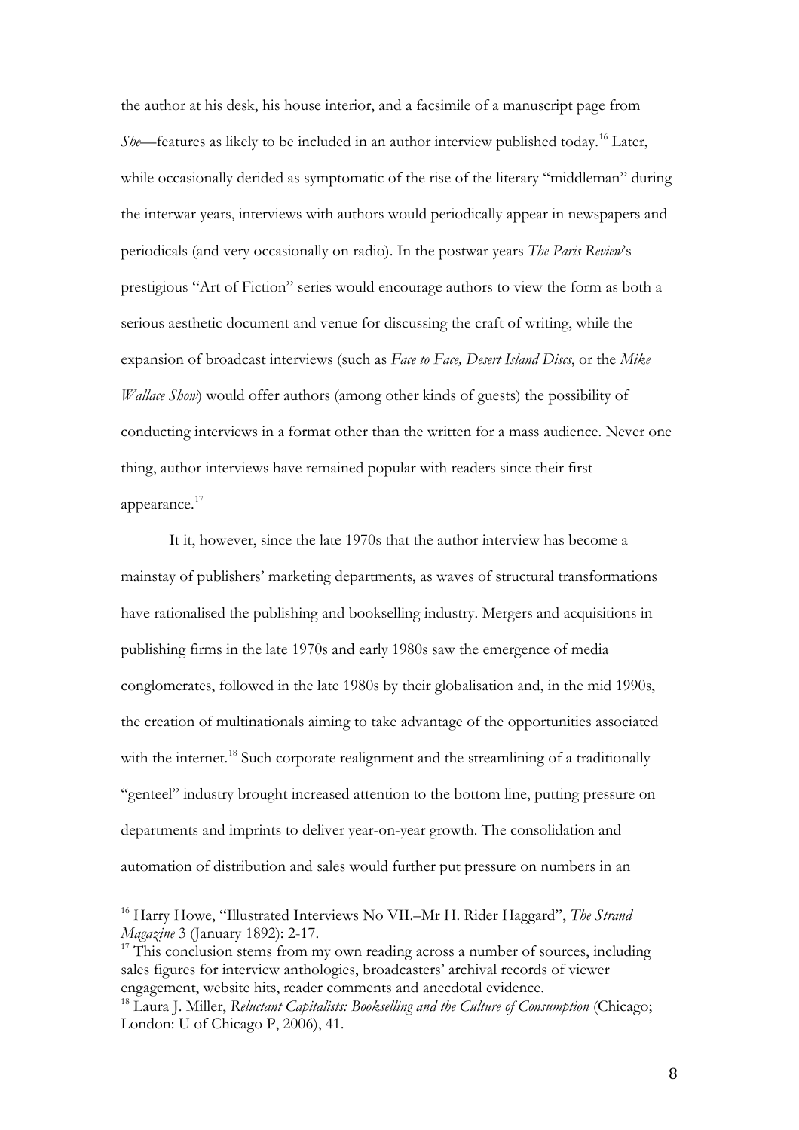the author at his desk, his house interior, and a facsimile of a manuscript page from *She*—features as likely to be included in an author interview published today.<sup>[16](#page-8-0)</sup> Later, while occasionally derided as symptomatic of the rise of the literary "middleman" during the interwar years, interviews with authors would periodically appear in newspapers and periodicals (and very occasionally on radio). In the postwar years *The Paris Review*'s prestigious "Art of Fiction" series would encourage authors to view the form as both a serious aesthetic document and venue for discussing the craft of writing, while the expansion of broadcast interviews (such as *Face to Face, Desert Island Discs*, or the *Mike Wallace Show*) would offer authors (among other kinds of guests) the possibility of conducting interviews in a format other than the written for a mass audience. Never one thing, author interviews have remained popular with readers since their first appearance.<sup>[17](#page-8-1)</sup>

It it, however, since the late 1970s that the author interview has become a mainstay of publishers' marketing departments, as waves of structural transformations have rationalised the publishing and bookselling industry. Mergers and acquisitions in publishing firms in the late 1970s and early 1980s saw the emergence of media conglomerates, followed in the late 1980s by their globalisation and, in the mid 1990s, the creation of multinationals aiming to take advantage of the opportunities associated with the internet.<sup>[18](#page-8-2)</sup> Such corporate realignment and the streamlining of a traditionally "genteel" industry brought increased attention to the bottom line, putting pressure on departments and imprints to deliver year-on-year growth. The consolidation and automation of distribution and sales would further put pressure on numbers in an

<span id="page-8-0"></span><sup>16</sup> Harry Howe, "Illustrated Interviews No VII.–Mr H. Rider Haggard", *The Strand Magazine* 3 (January 1892): 2-17.  $\overline{1}$ 

<span id="page-8-1"></span><sup>&</sup>lt;sup>17</sup> This conclusion stems from my own reading across a number of sources, including sales figures for interview anthologies, broadcasters' archival records of viewer engagement, website hits, reader comments and anecdotal evidence.

<span id="page-8-2"></span><sup>18</sup> Laura J. Miller, *Reluctant Capitalists: Bookselling and the Culture of Consumption* (Chicago; London: U of Chicago P, 2006), 41.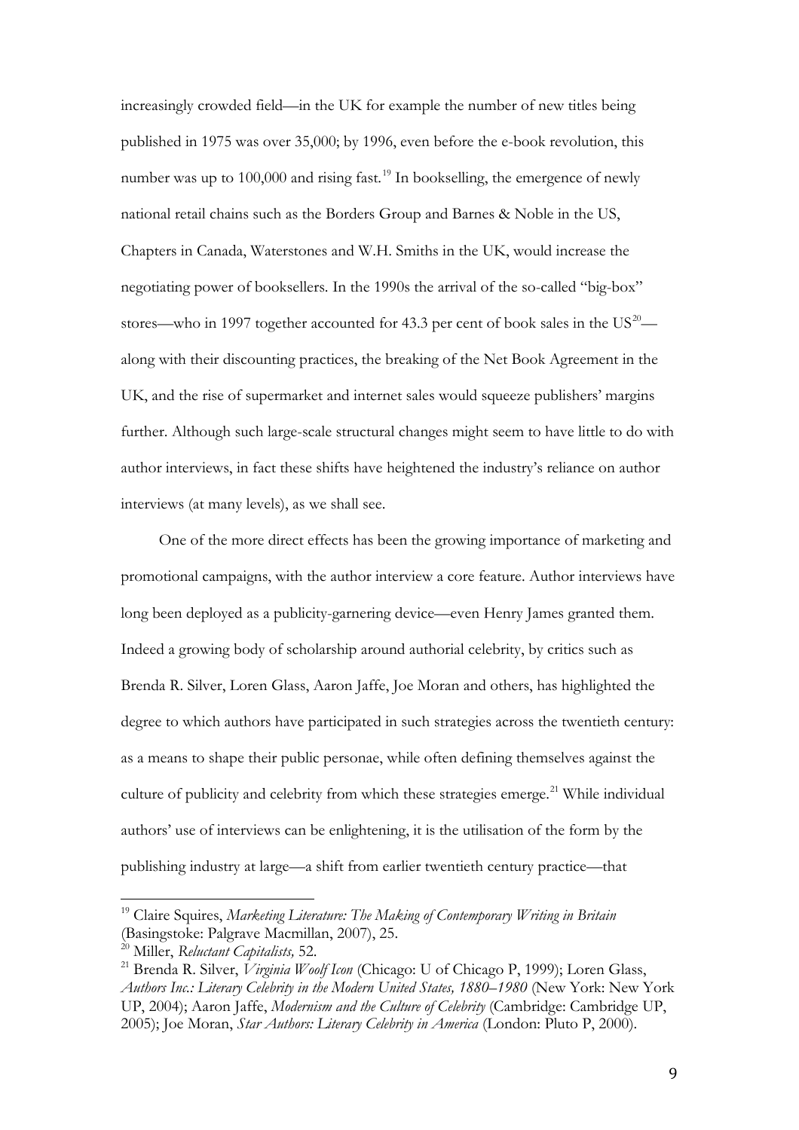increasingly crowded field—in the UK for example the number of new titles being published in 1975 was over 35,000; by 1996, even before the e-book revolution, this number was up to 100,000 and rising fast.<sup>[19](#page-9-0)</sup> In bookselling, the emergence of newly national retail chains such as the Borders Group and Barnes & Noble in the US, Chapters in Canada, Waterstones and W.H. Smiths in the UK, would increase the negotiating power of booksellers. In the 1990s the arrival of the so-called "big-box" stores—who in 1997 together accounted for 43.3 per cent of book sales in the  $US^{20}$  $US^{20}$  $US^{20}$  along with their discounting practices, the breaking of the Net Book Agreement in the UK, and the rise of supermarket and internet sales would squeeze publishers' margins further. Although such large-scale structural changes might seem to have little to do with author interviews, in fact these shifts have heightened the industry's reliance on author interviews (at many levels), as we shall see.

One of the more direct effects has been the growing importance of marketing and promotional campaigns, with the author interview a core feature. Author interviews have long been deployed as a publicity-garnering device—even Henry James granted them. Indeed a growing body of scholarship around authorial celebrity, by critics such as Brenda R. Silver, Loren Glass, Aaron Jaffe, Joe Moran and others, has highlighted the degree to which authors have participated in such strategies across the twentieth century: as a means to shape their public personae, while often defining themselves against the culture of publicity and celebrity from which these strategies emerge.<sup>[21](#page-9-2)</sup> While individual authors' use of interviews can be enlightening, it is the utilisation of the form by the publishing industry at large—a shift from earlier twentieth century practice—that

<span id="page-9-0"></span><sup>19</sup> Claire Squires, *Marketing Literature: The Making of Contemporary Writing in Britain* (Basingstoke: Palgrave Macmillan, 2007), 25.  $\overline{1}$ 

<span id="page-9-1"></span><sup>20</sup> Miller, *Reluctant Capitalists,* 52.

<span id="page-9-2"></span><sup>21</sup> Brenda R. Silver, *Virginia Woolf Icon* (Chicago: U of Chicago P, 1999); Loren Glass, *Authors Inc.: Literary Celebrity in the Modern United States, 1880–1980* (New York: New York UP, 2004); Aaron Jaffe, *Modernism and the Culture of Celebrity* (Cambridge: Cambridge UP, 2005); Joe Moran, *Star Authors: Literary Celebrity in America* (London: Pluto P, 2000).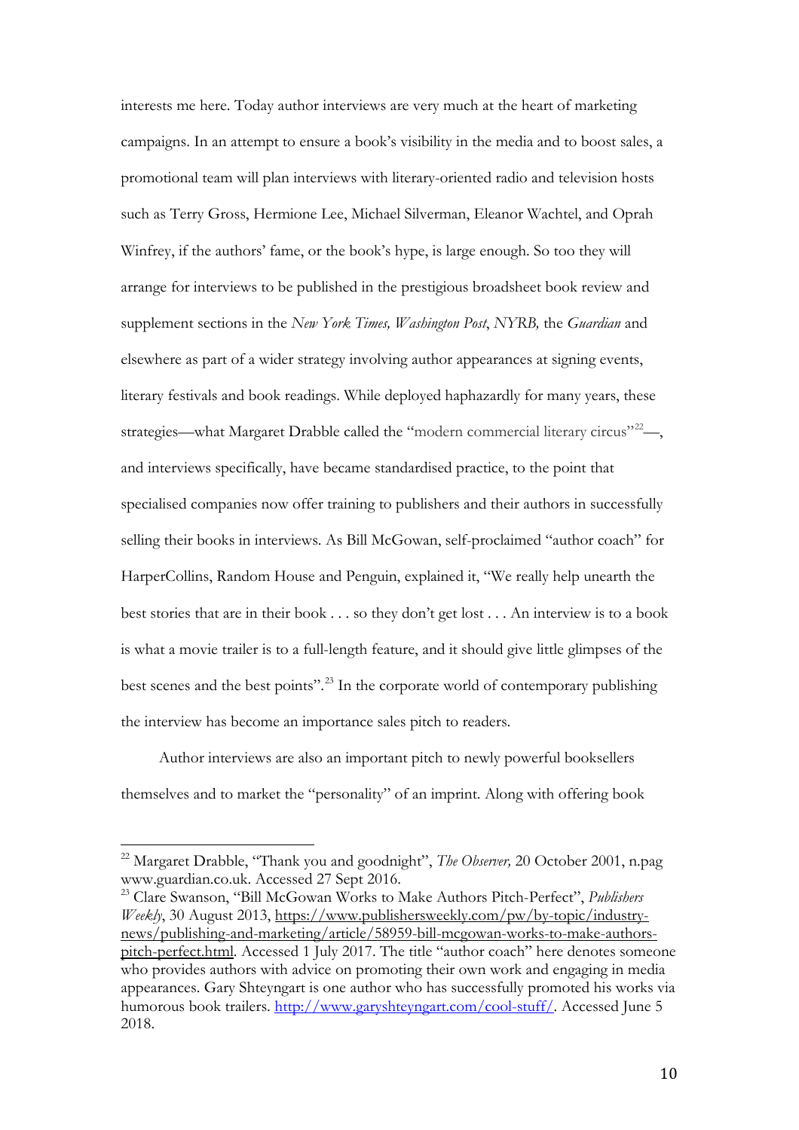interests me here. Today author interviews are very much at the heart of marketing campaigns. In an attempt to ensure a book's visibility in the media and to boost sales, a promotional team will plan interviews with literary-oriented radio and television hosts such as Terry Gross, Hermione Lee, Michael Silverman, Eleanor Wachtel, and Oprah Winfrey, if the authors' fame, or the book's hype, is large enough. So too they will arrange for interviews to be published in the prestigious broadsheet book review and supplement sections in the *New York Times, Washington Post*, *NYRB,* the *Guardian* and elsewhere as part of a wider strategy involving author appearances at signing events, literary festivals and book readings. While deployed haphazardly for many years, these strategies—what Margaret Drabble called the "modern commercial literary circus" $^{22}$  $^{22}$  $^{22}$ —, and interviews specifically, have became standardised practice, to the point that specialised companies now offer training to publishers and their authors in successfully selling their books in interviews. As Bill McGowan, self-proclaimed "author coach" for HarperCollins, Random House and Penguin, explained it, "We really help unearth the best stories that are in their book . . . so they don't get lost . . . An interview is to a book is what a movie trailer is to a full-length feature, and it should give little glimpses of the best scenes and the best points".<sup>[23](#page-10-1)</sup> In the corporate world of contemporary publishing the interview has become an importance sales pitch to readers.

Author interviews are also an important pitch to newly powerful booksellers themselves and to market the "personality" of an imprint. Along with offering book

<span id="page-10-0"></span><sup>22</sup> Margaret Drabble, "Thank you and goodnight", *The Observer,* 20 October 2001, n.pag www.guardian.co.uk. Accessed 27 Sept 2016.  $\overline{a}$ 

<span id="page-10-1"></span><sup>23</sup> Clare Swanson, "Bill McGowan Works to Make Authors Pitch-Perfect", *Publishers Weekly*, 30 August 2013, [https://www.publishersweekly.com/pw/by-topic/industry](https://www.publishersweekly.com/pw/by-topic/industry-news/publishing-and-marketing/article/58959-bill-mcgowan-works-to-make-authors-pitch-perfect.html)[news/publishing-and-marketing/article/58959-bill-mcgowan-works-to-make-authors](https://www.publishersweekly.com/pw/by-topic/industry-news/publishing-and-marketing/article/58959-bill-mcgowan-works-to-make-authors-pitch-perfect.html)[pitch-perfect.html.](https://www.publishersweekly.com/pw/by-topic/industry-news/publishing-and-marketing/article/58959-bill-mcgowan-works-to-make-authors-pitch-perfect.html) Accessed 1 July 2017. The title "author coach" here denotes someone who provides authors with advice on promoting their own work and engaging in media appearances. Gary Shteyngart is one author who has successfully promoted his works via humorous book trailers. [http://www.garyshteyngart.com/cool-stuff/.](http://www.garyshteyngart.com/cool-stuff/) Accessed June 5 2018.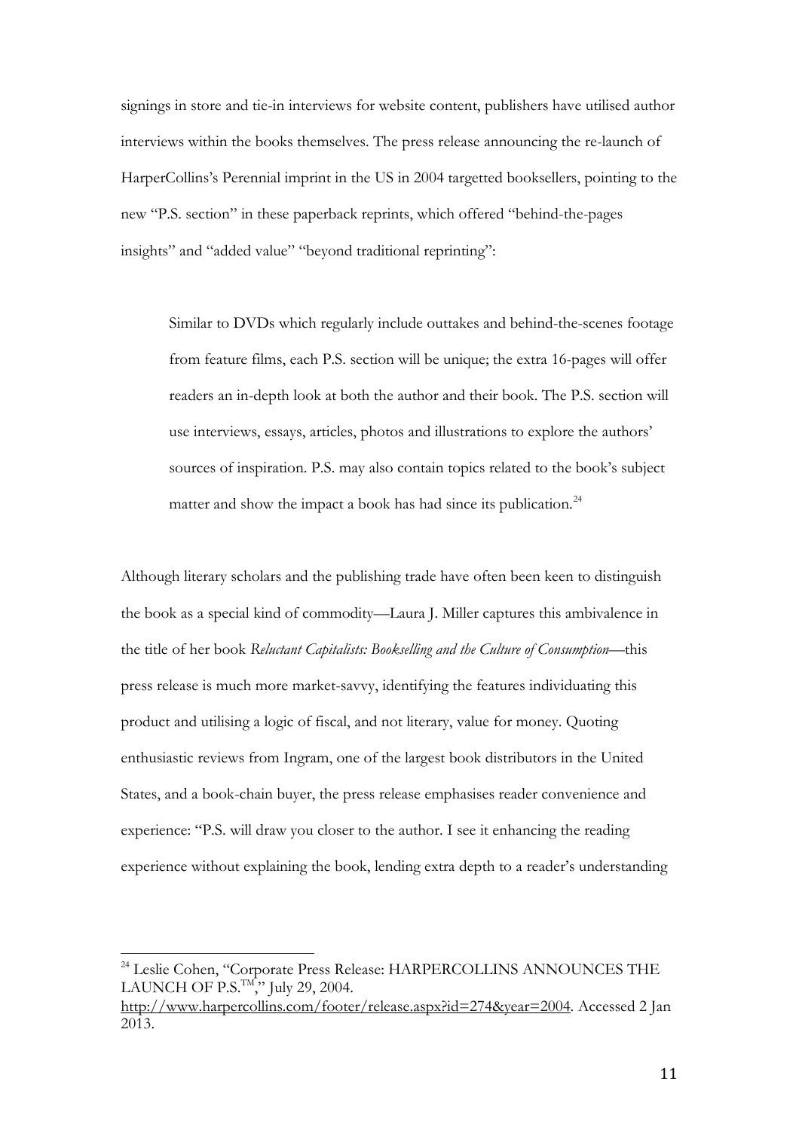signings in store and tie-in interviews for website content, publishers have utilised author interviews within the books themselves. The press release announcing the re-launch of HarperCollins's Perennial imprint in the US in 2004 targetted booksellers, pointing to the new "P.S. section" in these paperback reprints, which offered "behind-the-pages insights" and "added value" "beyond traditional reprinting":

Similar to DVDs which regularly include outtakes and behind-the-scenes footage from feature films, each P.S. section will be unique; the extra 16-pages will offer readers an in-depth look at both the author and their book. The P.S. section will use interviews, essays, articles, photos and illustrations to explore the authors' sources of inspiration. P.S. may also contain topics related to the book's subject matter and show the impact a book has had since its publication.<sup>[24](#page-11-0)</sup>

Although literary scholars and the publishing trade have often been keen to distinguish the book as a special kind of commodity—Laura J. Miller captures this ambivalence in the title of her book *Reluctant Capitalists: Bookselling and the Culture of Consumption*—this press release is much more market-savvy, identifying the features individuating this product and utilising a logic of fiscal, and not literary, value for money. Quoting enthusiastic reviews from Ingram, one of the largest book distributors in the United States, and a book-chain buyer, the press release emphasises reader convenience and experience: "P.S. will draw you closer to the author. I see it enhancing the reading experience without explaining the book, lending extra depth to a reader's understanding

<span id="page-11-0"></span><sup>&</sup>lt;sup>24</sup> Leslie Cohen, "Corporate Press Release: HARPERCOLLINS ANNOUNCES THE LAUNCH OF P.S. $T_M$ , July 29, 2004.  $\overline{a}$ 

[http://www.harpercollins.com/footer/release.aspx?id=274&year=2004.](http://www.harpercollins.com/footer/release.aspx?id=274&year=2004) Accessed 2 Jan 2013.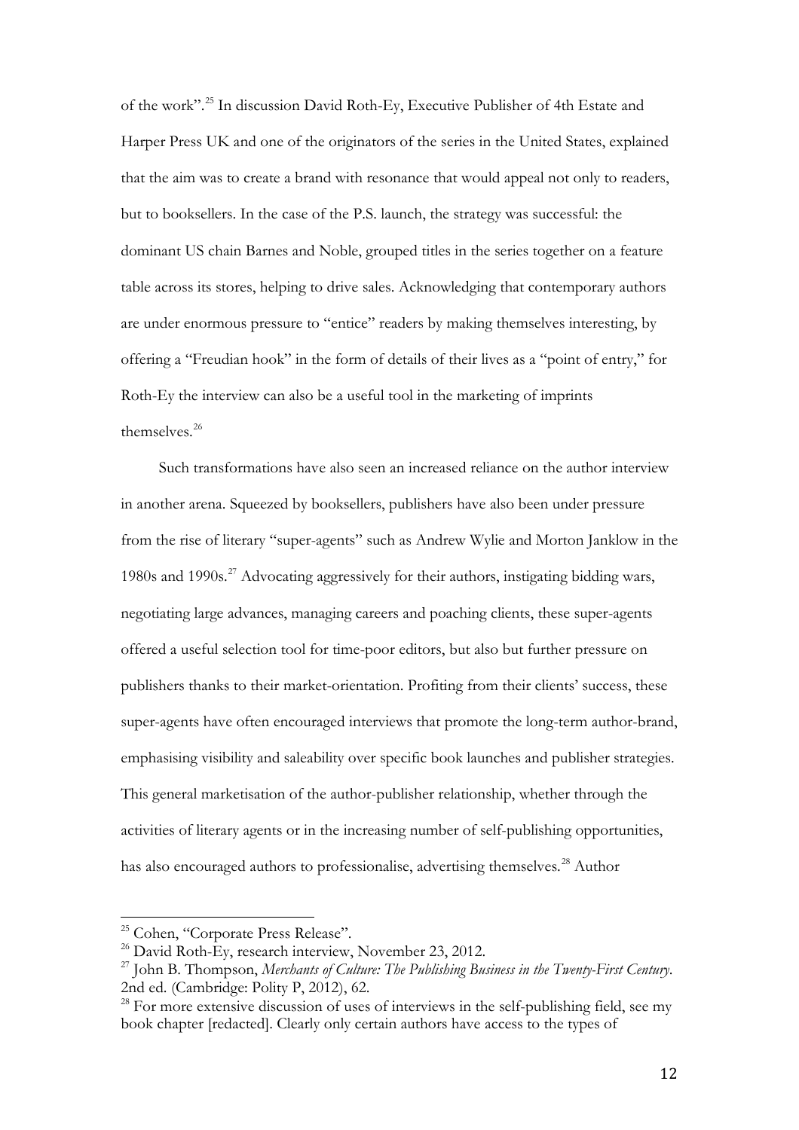of the work".[25](#page-12-0) In discussion David Roth-Ey, Executive Publisher of 4th Estate and Harper Press UK and one of the originators of the series in the United States, explained that the aim was to create a brand with resonance that would appeal not only to readers, but to booksellers. In the case of the P.S. launch, the strategy was successful: the dominant US chain Barnes and Noble, grouped titles in the series together on a feature table across its stores, helping to drive sales. Acknowledging that contemporary authors are under enormous pressure to "entice" readers by making themselves interesting, by offering a "Freudian hook" in the form of details of their lives as a "point of entry," for Roth-Ey the interview can also be a useful tool in the marketing of imprints themselves.<sup>[26](#page-12-1)</sup>

Such transformations have also seen an increased reliance on the author interview in another arena. Squeezed by booksellers, publishers have also been under pressure from the rise of literary "super-agents" such as Andrew Wylie and Morton Janklow in the 1980s and 1990s.<sup>[27](#page-12-2)</sup> Advocating aggressively for their authors, instigating bidding wars, negotiating large advances, managing careers and poaching clients, these super-agents offered a useful selection tool for time-poor editors, but also but further pressure on publishers thanks to their market-orientation. Profiting from their clients' success, these super-agents have often encouraged interviews that promote the long-term author-brand, emphasising visibility and saleability over specific book launches and publisher strategies. This general marketisation of the author-publisher relationship, whether through the activities of literary agents or in the increasing number of self-publishing opportunities, has also encouraged authors to professionalise, advertising themselves.<sup>[28](#page-12-3)</sup> Author

<span id="page-12-1"></span><span id="page-12-0"></span><sup>&</sup>lt;sup>25</sup> Cohen, "Corporate Press Release".  $\overline{a}$ 

<sup>&</sup>lt;sup>26</sup> David Roth-Ey, research interview, November 23, 2012.

<span id="page-12-2"></span><sup>27</sup> John B. Thompson, *Merchants of Culture: The Publishing Business in the Twenty-First Century*. 2nd ed. (Cambridge: Polity P, 2012), 62.

<span id="page-12-3"></span> $28$  For more extensive discussion of uses of interviews in the self-publishing field, see my book chapter [redacted]. Clearly only certain authors have access to the types of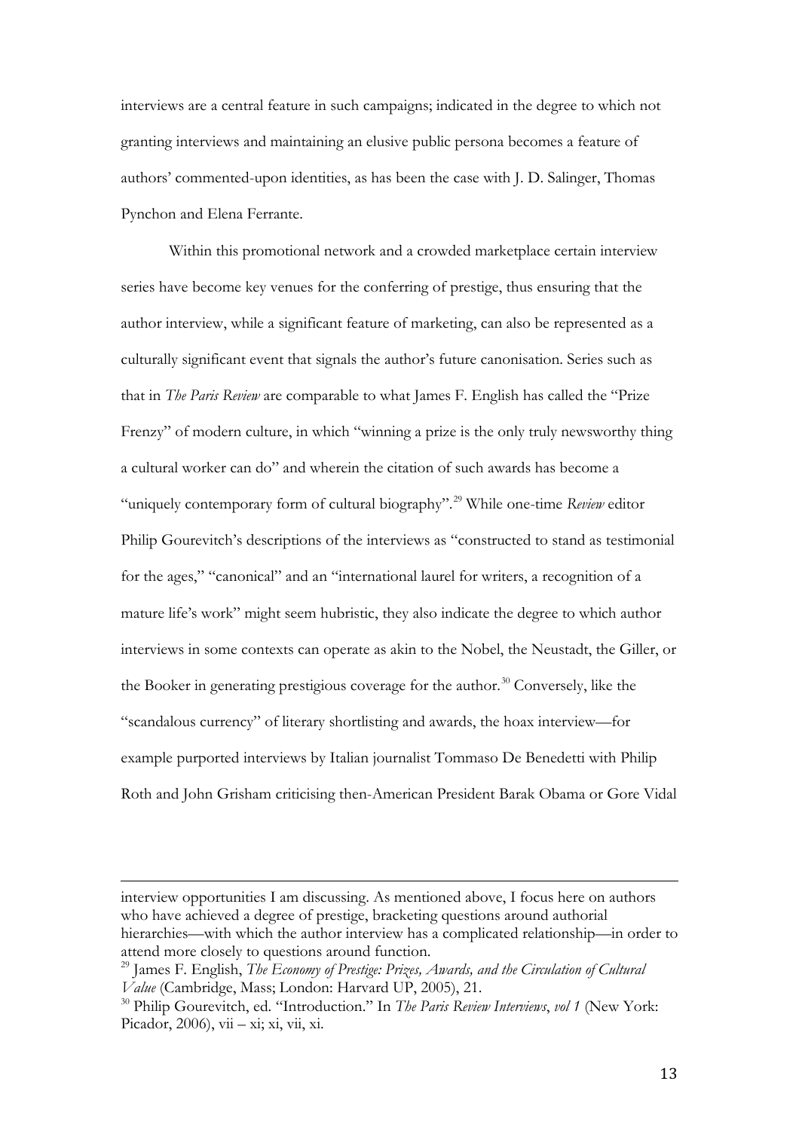interviews are a central feature in such campaigns; indicated in the degree to which not granting interviews and maintaining an elusive public persona becomes a feature of authors' commented-upon identities, as has been the case with J. D. Salinger, Thomas Pynchon and Elena Ferrante.

Within this promotional network and a crowded marketplace certain interview series have become key venues for the conferring of prestige, thus ensuring that the author interview, while a significant feature of marketing, can also be represented as a culturally significant event that signals the author's future canonisation. Series such as that in *The Paris Review* are comparable to what James F. English has called the "Prize Frenzy" of modern culture, in which "winning a prize is the only truly newsworthy thing a cultural worker can do" and wherein the citation of such awards has become a "uniquely contemporary form of cultural biography".[29](#page-13-0) While one-time *Review* editor Philip Gourevitch's descriptions of the interviews as "constructed to stand as testimonial for the ages," "canonical" and an "international laurel for writers, a recognition of a mature life's work" might seem hubristic, they also indicate the degree to which author interviews in some contexts can operate as akin to the Nobel, the Neustadt, the Giller, or the Booker in generating prestigious coverage for the author.<sup>[30](#page-13-1)</sup> Conversely, like the "scandalous currency" of literary shortlisting and awards, the hoax interview—for example purported interviews by Italian journalist Tommaso De Benedetti with Philip Roth and John Grisham criticising then-American President Barak Obama or Gore Vidal

interview opportunities I am discussing. As mentioned above, I focus here on authors who have achieved a degree of prestige, bracketing questions around authorial hierarchies—with which the author interview has a complicated relationship—in order to attend more closely to questions around function. l,

<span id="page-13-0"></span><sup>29</sup> James F. English, *The Economy of Prestige: Prizes, Awards, and the Circulation of Cultural Value* (Cambridge, Mass; London: Harvard UP, 2005), 21.

<span id="page-13-1"></span><sup>30</sup> Philip Gourevitch, ed. "Introduction." In *The Paris Review Interviews*, *vol 1* (New York: Picador, 2006), vii – xi; xi, vii, xi.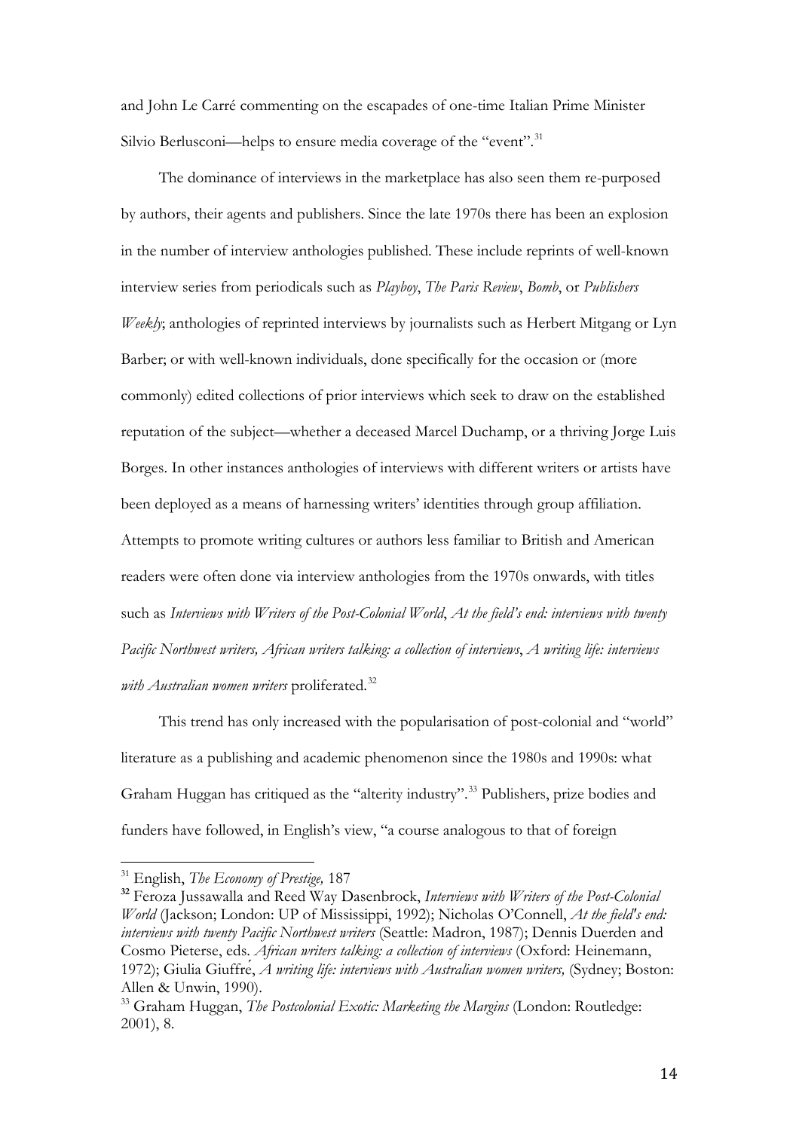and John Le Carré commenting on the escapades of one-time Italian Prime Minister Silvio Berlusconi—helps to ensure media coverage of the "event".<sup>[31](#page-14-0)</sup>

The dominance of interviews in the marketplace has also seen them re-purposed by authors, their agents and publishers. Since the late 1970s there has been an explosion in the number of interview anthologies published. These include reprints of well-known interview series from periodicals such as *Playboy*, *The Paris Review*, *Bomb*, or *Publishers Weekly*; anthologies of reprinted interviews by journalists such as Herbert Mitgang or Lyn Barber; or with well-known individuals, done specifically for the occasion or (more commonly) edited collections of prior interviews which seek to draw on the established reputation of the subject—whether a deceased Marcel Duchamp, or a thriving Jorge Luis Borges. In other instances anthologies of interviews with different writers or artists have been deployed as a means of harnessing writers' identities through group affiliation. Attempts to promote writing cultures or authors less familiar to British and American readers were often done via interview anthologies from the 1970s onwards, with titles such as *Interviews with Writers of the Post-Colonial World*, *At the field's end: interviews with twenty Pacific Northwest writers, African writers talking: a collection of interviews*, *A writing life: interviews*  with Australian women writers proliferated.<sup>[32](#page-14-1)</sup>

This trend has only increased with the popularisation of post-colonial and "world" literature as a publishing and academic phenomenon since the 1980s and 1990s: what Graham Huggan has critiqued as the "alterity industry". [33](#page-14-2) Publishers, prize bodies and funders have followed, in English's view, "a course analogous to that of foreign

<sup>31</sup> English, *The Economy of Prestige,* 187  $\overline{1}$ 

<span id="page-14-1"></span><span id="page-14-0"></span>**<sup>32</sup>** Feroza Jussawalla and Reed Way Dasenbrock, *Interviews with Writers of the Post-Colonial World* (Jackson; London: UP of Mississippi, 1992); Nicholas O'Connell, *At the field's end: interviews with twenty Pacific Northwest writers* (Seattle: Madron, 1987); Dennis Duerden and Cosmo Pieterse, eds. *African writers talking: a collection of interviews* (Oxford: Heinemann, 1972); Giulia Giuffre, *A writing life: interviews with Australian women writers*, (Sydney; Boston: Allen & Unwin, 1990).

<span id="page-14-2"></span><sup>33</sup> Graham Huggan, *The Postcolonial Exotic: Marketing the Margins* (London: Routledge: 2001), 8.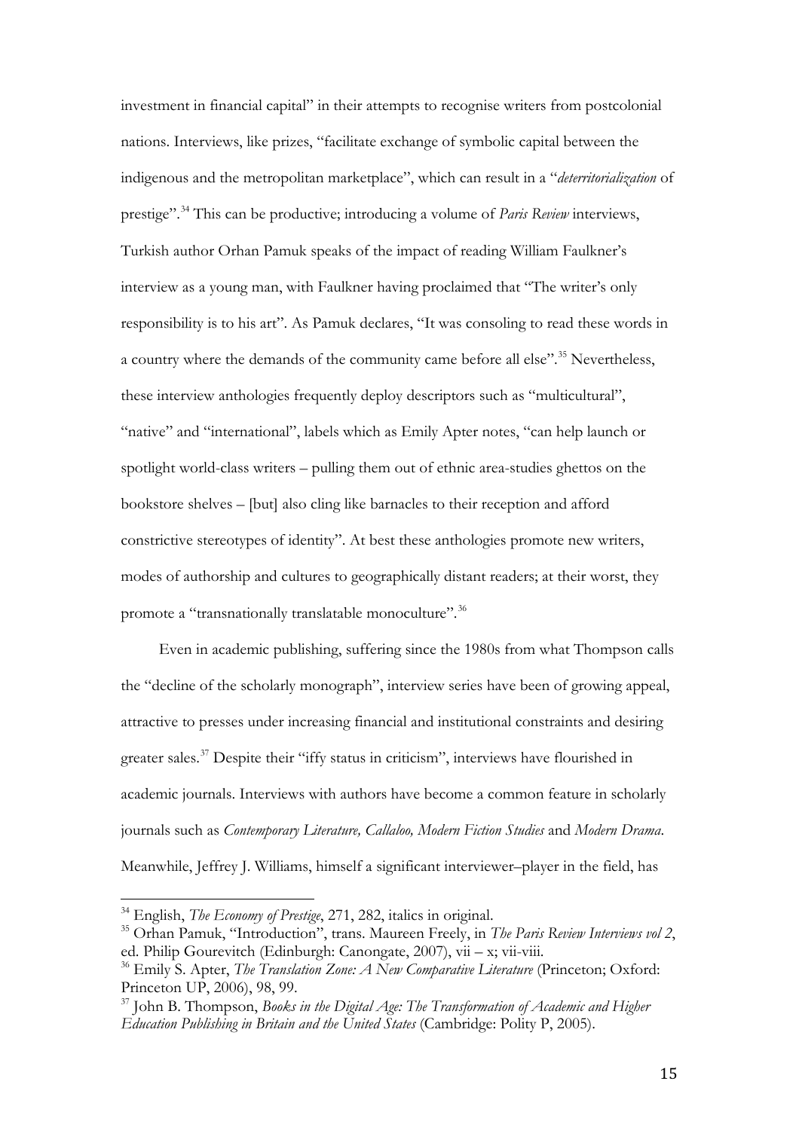investment in financial capital" in their attempts to recognise writers from postcolonial nations. Interviews, like prizes, "facilitate exchange of symbolic capital between the indigenous and the metropolitan marketplace", which can result in a "*deterritorialization* of prestige".[34](#page-15-0) This can be productive; introducing a volume of *Paris Review* interviews, Turkish author Orhan Pamuk speaks of the impact of reading William Faulkner's interview as a young man, with Faulkner having proclaimed that "The writer's only responsibility is to his art". As Pamuk declares, "It was consoling to read these words in a country where the demands of the community came before all else".<sup>[35](#page-15-1)</sup> Nevertheless, these interview anthologies frequently deploy descriptors such as "multicultural", "native" and "international", labels which as Emily Apter notes, "can help launch or spotlight world-class writers – pulling them out of ethnic area-studies ghettos on the bookstore shelves – [but] also cling like barnacles to their reception and afford constrictive stereotypes of identity". At best these anthologies promote new writers, modes of authorship and cultures to geographically distant readers; at their worst, they promote a "transnationally translatable monoculture".<sup>[36](#page-15-2)</sup>

Even in academic publishing, suffering since the 1980s from what Thompson calls the "decline of the scholarly monograph", interview series have been of growing appeal, attractive to presses under increasing financial and institutional constraints and desiring greater sales.[37](#page-15-3) Despite their "iffy status in criticism", interviews have flourished in academic journals. Interviews with authors have become a common feature in scholarly journals such as *Contemporary Literature, Callaloo, Modern Fiction Studies* and *Modern Drama*. Meanwhile, Jeffrey J. Williams, himself a significant interviewer–player in the field, has

<sup>34</sup> English, *The Economy of Prestige*, 271, 282, italics in original.  $\overline{1}$ 

<span id="page-15-1"></span><span id="page-15-0"></span><sup>35</sup> Orhan Pamuk, "Introduction", trans. Maureen Freely, in *The Paris Review Interviews vol 2*, ed. Philip Gourevitch (Edinburgh: Canongate, 2007), vii – x; vii-viii.

<span id="page-15-2"></span><sup>36</sup> Emily S. Apter, *The Translation Zone: A New Comparative Literature* (Princeton; Oxford: Princeton UP, 2006), 98, 99.

<span id="page-15-3"></span><sup>37</sup> John B. Thompson, *Books in the Digital Age: The Transformation of Academic and Higher Education Publishing in Britain and the United States* (Cambridge: Polity P, 2005).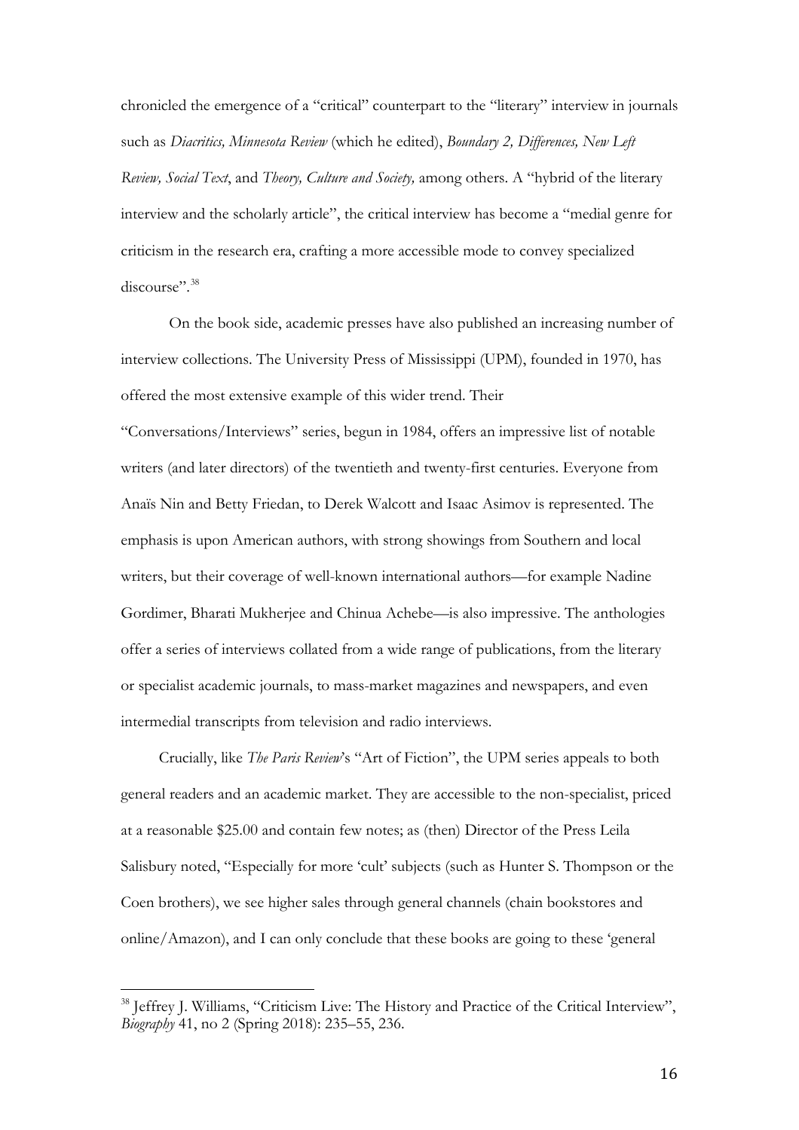chronicled the emergence of a "critical" counterpart to the "literary" interview in journals such as *Diacritics, Minnesota Review* (which he edited), *Boundary 2, Differences, New Left Review, Social Text*, and *Theory, Culture and Society,* among others. A "hybrid of the literary interview and the scholarly article", the critical interview has become a "medial genre for criticism in the research era, crafting a more accessible mode to convey specialized discourse".<sup>[38](#page-16-0)</sup>

On the book side, academic presses have also published an increasing number of interview collections. The University Press of Mississippi (UPM), founded in 1970, has offered the most extensive example of this wider trend. Their

"Conversations/Interviews" series, begun in 1984, offers an impressive list of notable writers (and later directors) of the twentieth and twenty-first centuries. Everyone from Anaïs Nin and Betty Friedan, to Derek Walcott and Isaac Asimov is represented. The emphasis is upon American authors, with strong showings from Southern and local writers, but their coverage of well-known international authors—for example Nadine Gordimer, Bharati Mukherjee and Chinua Achebe—is also impressive. The anthologies offer a series of interviews collated from a wide range of publications, from the literary or specialist academic journals, to mass-market magazines and newspapers, and even intermedial transcripts from television and radio interviews.

Crucially, like *The Paris Review*'s "Art of Fiction", the UPM series appeals to both general readers and an academic market. They are accessible to the non-specialist, priced at a reasonable \$25.00 and contain few notes; as (then) Director of the Press Leila Salisbury noted, "Especially for more 'cult' subjects (such as Hunter S. Thompson or the Coen brothers), we see higher sales through general channels (chain bookstores and online/Amazon), and I can only conclude that these books are going to these 'general

<span id="page-16-0"></span><sup>&</sup>lt;sup>38</sup> Jeffrey J. Williams, "Criticism Live: The History and Practice of the Critical Interview", *Biography* 41, no 2 (Spring 2018): 235–55, 236.  $\overline{\phantom{a}}$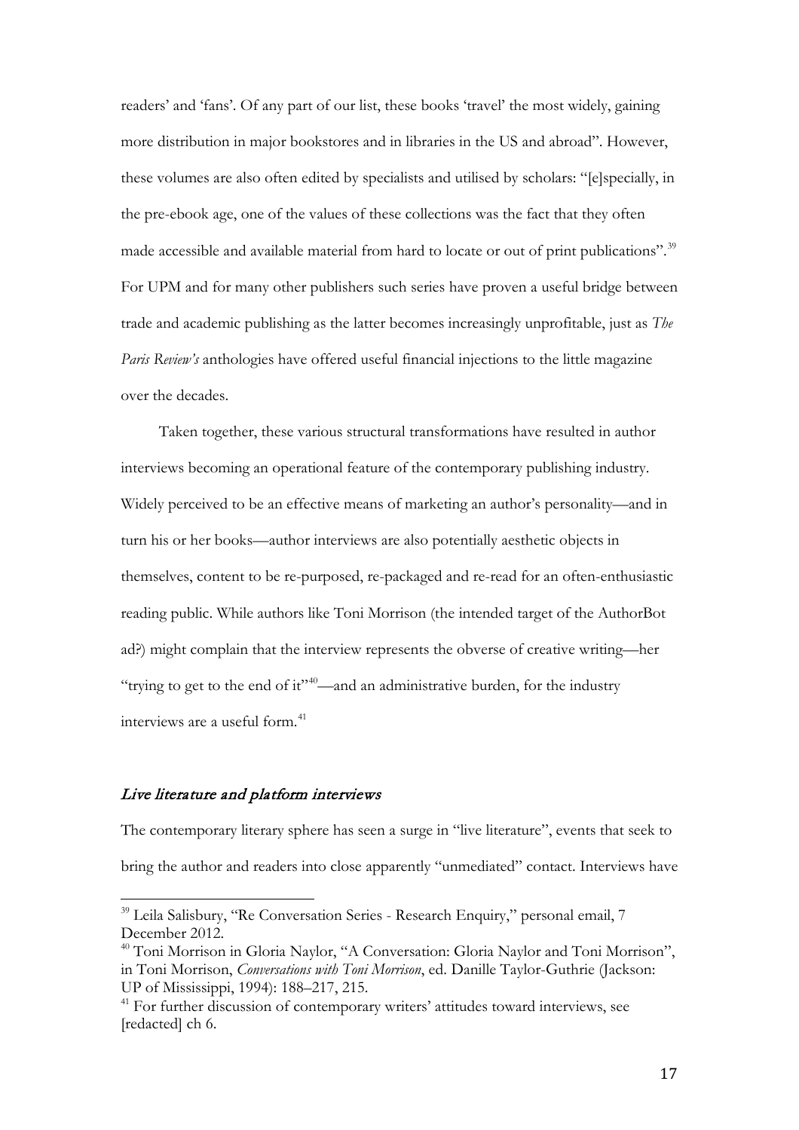readers' and 'fans'. Of any part of our list, these books 'travel' the most widely, gaining more distribution in major bookstores and in libraries in the US and abroad". However, these volumes are also often edited by specialists and utilised by scholars: "[e]specially, in the pre-ebook age, one of the values of these collections was the fact that they often made accessible and available material from hard to locate or out of print publications".<sup>[39](#page-17-0)</sup> For UPM and for many other publishers such series have proven a useful bridge between trade and academic publishing as the latter becomes increasingly unprofitable, just as *The Paris Review's* anthologies have offered useful financial injections to the little magazine over the decades.

Taken together, these various structural transformations have resulted in author interviews becoming an operational feature of the contemporary publishing industry. Widely perceived to be an effective means of marketing an author's personality—and in turn his or her books—author interviews are also potentially aesthetic objects in themselves, content to be re-purposed, re-packaged and re-read for an often-enthusiastic reading public. While authors like Toni Morrison (the intended target of the AuthorBot ad?) might complain that the interview represents the obverse of creative writing—her "trying to get to the end of it" $40$ —and an administrative burden, for the industry interviews are a useful form.<sup>[41](#page-17-2)</sup>

#### Live literature and platform interviews

The contemporary literary sphere has seen a surge in "live literature", events that seek to bring the author and readers into close apparently "unmediated" contact. Interviews have

<span id="page-17-0"></span><sup>&</sup>lt;sup>39</sup> Leila Salisbury, "Re Conversation Series - Research Enquiry," personal email, 7 December 2012.  $\overline{\phantom{a}}$ 

<span id="page-17-1"></span><sup>&</sup>lt;sup>40</sup> Toni Morrison in Gloria Naylor, "A Conversation: Gloria Naylor and Toni Morrison", in Toni Morrison, *Conversations with Toni Morrison*, ed. Danille Taylor-Guthrie (Jackson: UP of Mississippi, 1994): 188–217, 215.

<span id="page-17-2"></span><sup>&</sup>lt;sup>41</sup> For further discussion of contemporary writers' attitudes toward interviews, see [redacted] ch 6.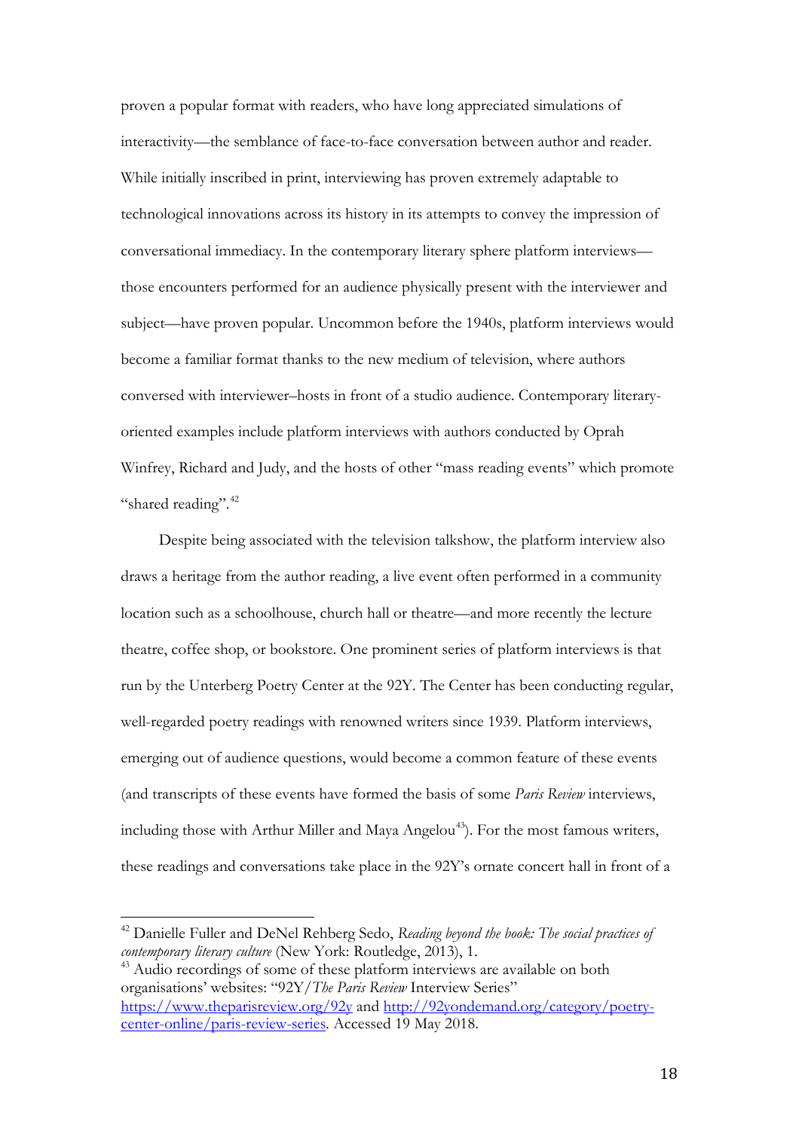proven a popular format with readers, who have long appreciated simulations of interactivity—the semblance of face-to-face conversation between author and reader. While initially inscribed in print, interviewing has proven extremely adaptable to technological innovations across its history in its attempts to convey the impression of conversational immediacy. In the contemporary literary sphere platform interviews those encounters performed for an audience physically present with the interviewer and subject—have proven popular. Uncommon before the 1940s, platform interviews would become a familiar format thanks to the new medium of television, where authors conversed with interviewer–hosts in front of a studio audience. Contemporary literaryoriented examples include platform interviews with authors conducted by Oprah Winfrey, Richard and Judy, and the hosts of other "mass reading events" which promote "shared reading".<sup>[42](#page-18-0)</sup>

Despite being associated with the television talkshow, the platform interview also draws a heritage from the author reading, a live event often performed in a community location such as a schoolhouse, church hall or theatre—and more recently the lecture theatre, coffee shop, or bookstore. One prominent series of platform interviews is that run by the Unterberg Poetry Center at the 92Y. The Center has been conducting regular, well-regarded poetry readings with renowned writers since 1939. Platform interviews, emerging out of audience questions, would become a common feature of these events (and transcripts of these events have formed the basis of some *Paris Review* interviews, including those with Arthur Miller and Maya Angelou<sup>[43](#page-18-1)</sup>). For the most famous writers, these readings and conversations take place in the 92Y's ornate concert hall in front of a

<span id="page-18-1"></span><sup>43</sup> Audio recordings of some of these platform interviews are available on both organisations' websites: "92Y/*The Paris Review* Interview Series" <https://www.theparisreview.org/92y> and [http://92yondemand.org/category/poetry](http://92yondemand.org/category/poetry-center-online/paris-review-series)[center-online/paris-review-series.](http://92yondemand.org/category/poetry-center-online/paris-review-series) Accessed 19 May 2018.

<span id="page-18-0"></span><sup>42</sup> Danielle Fuller and DeNel Rehberg Sedo, *Reading beyond the book: The social practices of contemporary literary culture* (New York: Routledge, 2013), 1.  $\overline{1}$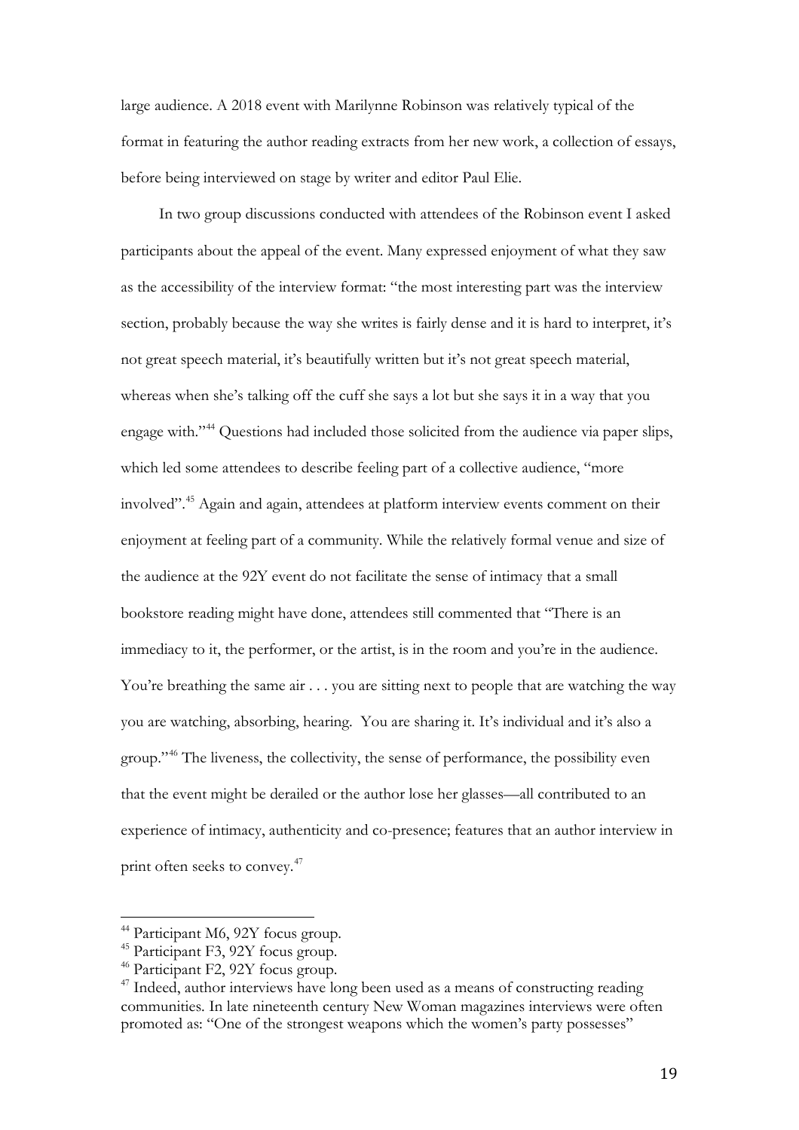large audience. A 2018 event with Marilynne Robinson was relatively typical of the format in featuring the author reading extracts from her new work, a collection of essays, before being interviewed on stage by writer and editor Paul Elie.

In two group discussions conducted with attendees of the Robinson event I asked participants about the appeal of the event. Many expressed enjoyment of what they saw as the accessibility of the interview format: "the most interesting part was the interview section, probably because the way she writes is fairly dense and it is hard to interpret, it's not great speech material, it's beautifully written but it's not great speech material, whereas when she's talking off the cuff she says a lot but she says it in a way that you engage with."[44](#page-19-0) Questions had included those solicited from the audience via paper slips, which led some attendees to describe feeling part of a collective audience, "more involved". [45](#page-19-1) Again and again, attendees at platform interview events comment on their enjoyment at feeling part of a community. While the relatively formal venue and size of the audience at the 92Y event do not facilitate the sense of intimacy that a small bookstore reading might have done, attendees still commented that "There is an immediacy to it, the performer, or the artist, is in the room and you're in the audience. You're breathing the same air . . . you are sitting next to people that are watching the way you are watching, absorbing, hearing. You are sharing it. It's individual and it's also a group."[46](#page-19-2) The liveness, the collectivity, the sense of performance, the possibility even that the event might be derailed or the author lose her glasses—all contributed to an experience of intimacy, authenticity and co-presence; features that an author interview in print often seeks to convey.<sup>[47](#page-19-3)</sup>

<sup>&</sup>lt;sup>44</sup> Participant M6, 92Y focus group.  $\overline{1}$ 

<span id="page-19-1"></span><span id="page-19-0"></span><sup>45</sup> Participant F3, 92Y focus group.

<span id="page-19-2"></span><sup>46</sup> Participant F2, 92Y focus group.

<span id="page-19-3"></span> $47$  Indeed, author interviews have long been used as a means of constructing reading communities. In late nineteenth century New Woman magazines interviews were often promoted as: "One of the strongest weapons which the women's party possesses"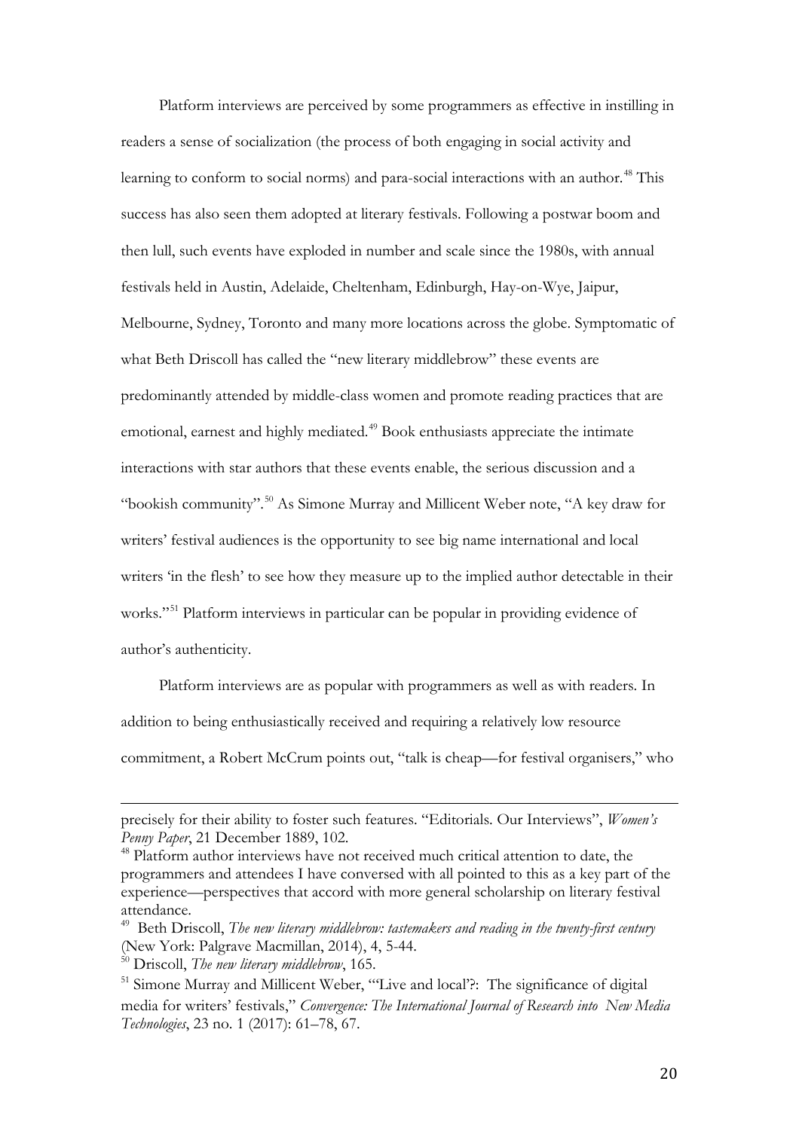Platform interviews are perceived by some programmers as effective in instilling in readers a sense of socialization (the process of both engaging in social activity and learning to conform to social norms) and para-social interactions with an author. [48](#page-20-0) This success has also seen them adopted at literary festivals. Following a postwar boom and then lull, such events have exploded in number and scale since the 1980s, with annual festivals held in Austin, Adelaide, Cheltenham, Edinburgh, Hay-on-Wye, Jaipur, Melbourne, Sydney, Toronto and many more locations across the globe. Symptomatic of what Beth Driscoll has called the "new literary middlebrow" these events are predominantly attended by middle-class women and promote reading practices that are emotional, earnest and highly mediated. [49](#page-20-1) Book enthusiasts appreciate the intimate interactions with star authors that these events enable, the serious discussion and a "bookish community".<sup>[50](#page-20-2)</sup> As Simone Murray and Millicent Weber note, "A key draw for writers' festival audiences is the opportunity to see big name international and local writers 'in the flesh' to see how they measure up to the implied author detectable in their works."<sup>[51](#page-20-3)</sup> Platform interviews in particular can be popular in providing evidence of author's authenticity.

Platform interviews are as popular with programmers as well as with readers. In addition to being enthusiastically received and requiring a relatively low resource commitment, a Robert McCrum points out, "talk is cheap—for festival organisers," who

precisely for their ability to foster such features. "Editorials. Our Interviews", *Women's Penny Paper*, 21 December 1889, 102. I

<span id="page-20-0"></span><sup>48</sup> Platform author interviews have not received much critical attention to date, the programmers and attendees I have conversed with all pointed to this as a key part of the experience—perspectives that accord with more general scholarship on literary festival attendance.

<span id="page-20-1"></span><sup>49</sup> Beth Driscoll, *The new literary middlebrow: tastemakers and reading in the twenty-first century* (New York: Palgrave Macmillan, 2014), 4, 5-44.

<span id="page-20-2"></span><sup>50</sup> Driscoll, *The new literary middlebrow*, 165.

<span id="page-20-3"></span><sup>&</sup>lt;sup>51</sup> Simone Murray and Millicent Weber, "'Live and local'?: The significance of digital media for writers' festivals," *Convergence: The International Journal of Research into New Media Technologies*, 23 no. 1 (2017): 61–78, 67.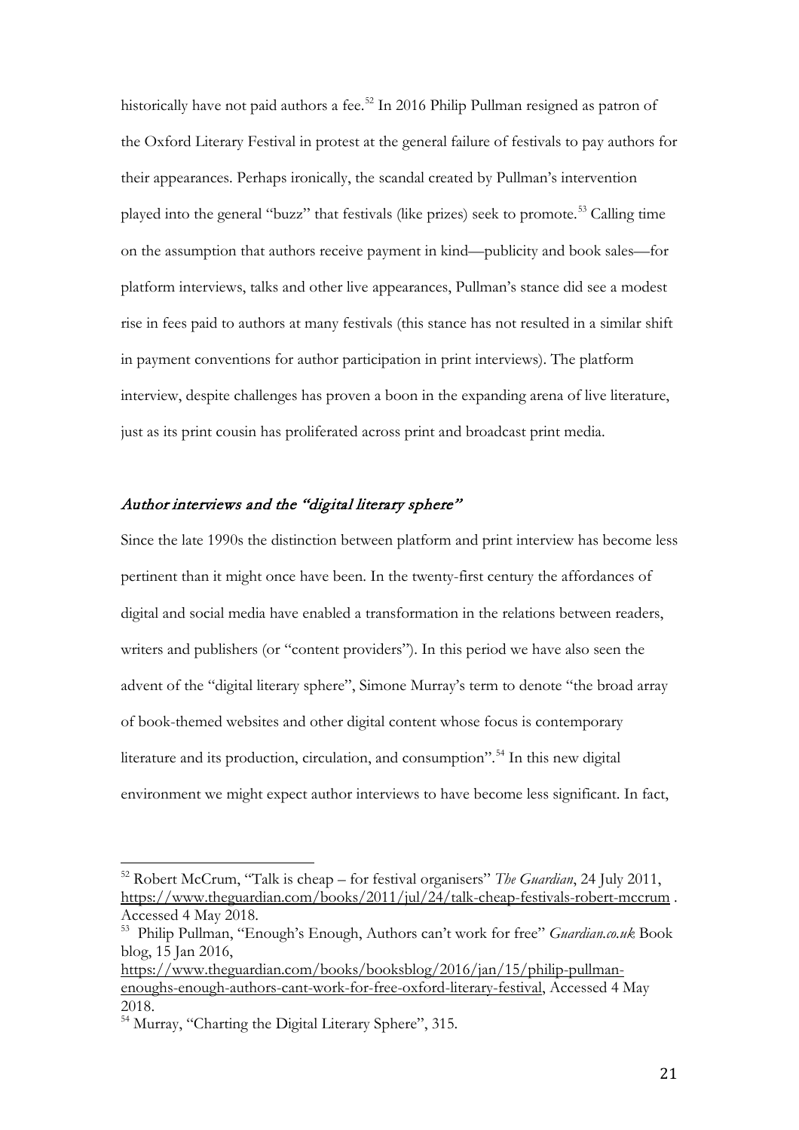historically have not paid authors a fee. [52](#page-21-0) In 2016 Philip Pullman resigned as patron of the Oxford Literary Festival in protest at the general failure of festivals to pay authors for their appearances. Perhaps ironically, the scandal created by Pullman's intervention played into the general "buzz" that festivals (like prizes) seek to promote.[53](#page-21-1) Calling time on the assumption that authors receive payment in kind—publicity and book sales—for platform interviews, talks and other live appearances, Pullman's stance did see a modest rise in fees paid to authors at many festivals (this stance has not resulted in a similar shift in payment conventions for author participation in print interviews). The platform interview, despite challenges has proven a boon in the expanding arena of live literature, just as its print cousin has proliferated across print and broadcast print media.

# Author interviews and the "digital literary sphere"

Since the late 1990s the distinction between platform and print interview has become less pertinent than it might once have been. In the twenty-first century the affordances of digital and social media have enabled a transformation in the relations between readers, writers and publishers (or "content providers"). In this period we have also seen the advent of the "digital literary sphere", Simone Murray's term to denote "the broad array of book-themed websites and other digital content whose focus is contemporary literature and its production, circulation, and consumption". [54](#page-21-2) In this new digital environment we might expect author interviews to have become less significant. In fact,

<span id="page-21-0"></span><sup>52</sup> Robert McCrum, "Talk is cheap – for festival organisers" *The Guardian*, 24 July 2011, <https://www.theguardian.com/books/2011/jul/24/talk-cheap-festivals-robert-mccrum> . Accessed 4 May 2018.  $\overline{a}$ 

<span id="page-21-1"></span><sup>53</sup> Philip Pullman, "Enough's Enough, Authors can't work for free" *Guardian.co.uk* Book blog, 15 Jan 2016,

[https://www.theguardian.com/books/booksblog/2016/jan/15/philip-pullman](https://www.theguardian.com/books/booksblog/2016/jan/15/philip-pullman-enoughs-enough-authors-cant-work-for-free-oxford-literary-festival)[enoughs-enough-authors-cant-work-for-free-oxford-literary-festival,](https://www.theguardian.com/books/booksblog/2016/jan/15/philip-pullman-enoughs-enough-authors-cant-work-for-free-oxford-literary-festival) Accessed 4 May 2018.

<span id="page-21-2"></span><sup>54</sup> Murray, "Charting the Digital Literary Sphere", 315.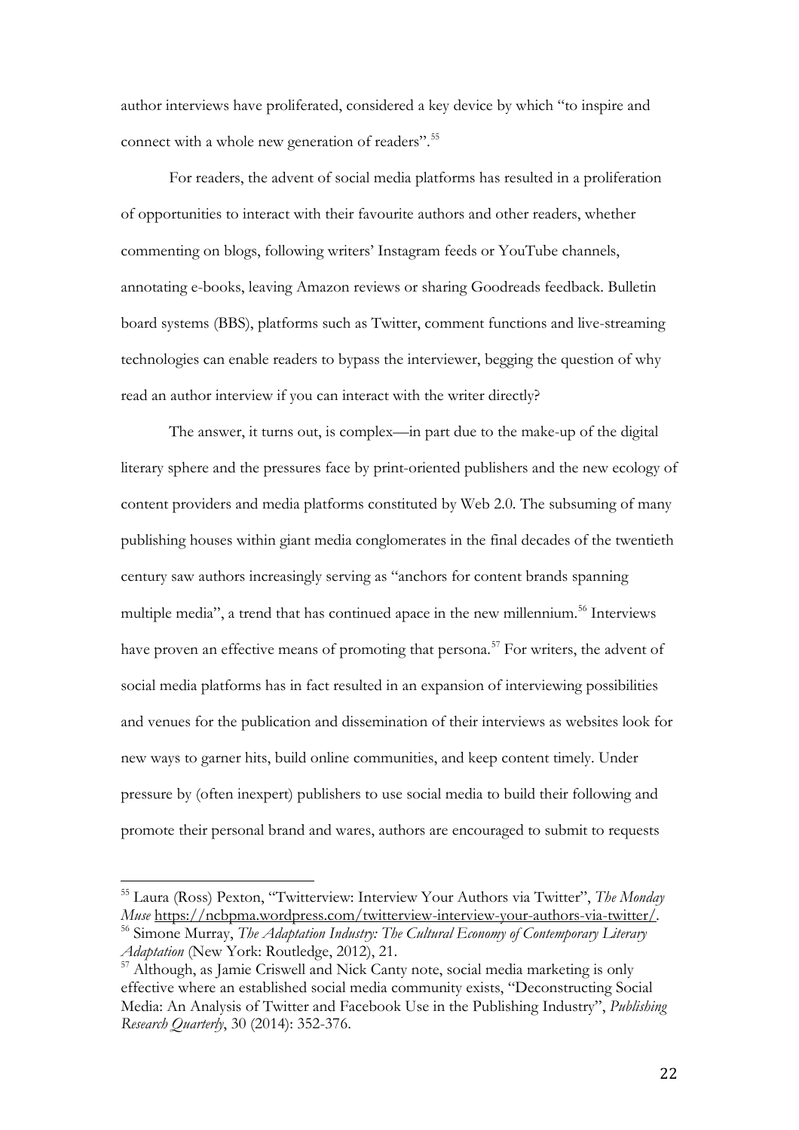author interviews have proliferated, considered a key device by which "to inspire and connect with a whole new generation of readers". [55](#page-22-0)

For readers, the advent of social media platforms has resulted in a proliferation of opportunities to interact with their favourite authors and other readers, whether commenting on blogs, following writers' Instagram feeds or YouTube channels, annotating e-books, leaving Amazon reviews or sharing Goodreads feedback. Bulletin board systems (BBS), platforms such as Twitter, comment functions and live-streaming technologies can enable readers to bypass the interviewer, begging the question of why read an author interview if you can interact with the writer directly?

The answer, it turns out, is complex—in part due to the make-up of the digital literary sphere and the pressures face by print-oriented publishers and the new ecology of content providers and media platforms constituted by Web 2.0. The subsuming of many publishing houses within giant media conglomerates in the final decades of the twentieth century saw authors increasingly serving as "anchors for content brands spanning multiple media", a trend that has continued apace in the new millennium. [56](#page-22-1) Interviews have proven an effective means of promoting that persona.<sup>[57](#page-22-2)</sup> For writers, the advent of social media platforms has in fact resulted in an expansion of interviewing possibilities and venues for the publication and dissemination of their interviews as websites look for new ways to garner hits, build online communities, and keep content timely. Under pressure by (often inexpert) publishers to use social media to build their following and promote their personal brand and wares, authors are encouraged to submit to requests

<span id="page-22-0"></span><sup>55</sup> Laura (Ross) Pexton, "Twitterview: Interview Your Authors via Twitter", *The Monday Muse* <https://ncbpma.wordpress.com/twitterview-interview-your-authors-via-twitter/>*.* <sup>56</sup> Simone Murray, *The Adaptation Industry: The Cultural Economy of Contemporary Literary*   $\overline{a}$ 

<span id="page-22-1"></span>*Adaptation* (New York: Routledge, 2012), 21.

<span id="page-22-2"></span><sup>57</sup> Although, as Jamie Criswell and Nick Canty note, social media marketing is only effective where an established social media community exists, "Deconstructing Social Media: An Analysis of Twitter and Facebook Use in the Publishing Industry", *Publishing Research Quarterly*, 30 (2014): 352-376.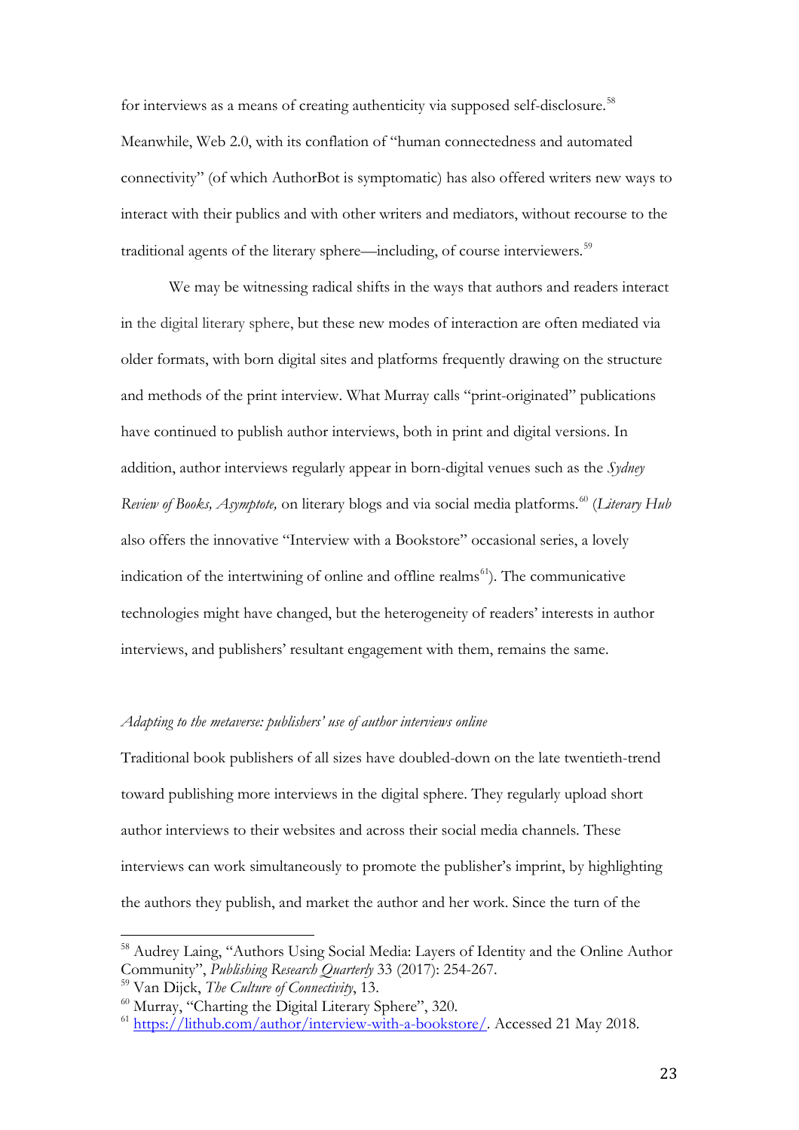for interviews as a means of creating authenticity via supposed self-disclosure.<sup>[58](#page-23-0)</sup> Meanwhile, Web 2.0, with its conflation of "human connectedness and automated connectivity" (of which AuthorBot is symptomatic) has also offered writers new ways to interact with their publics and with other writers and mediators, without recourse to the traditional agents of the literary sphere—including, of course interviewers.<sup>[59](#page-23-1)</sup>

We may be witnessing radical shifts in the ways that authors and readers interact in the digital literary sphere, but these new modes of interaction are often mediated via older formats, with born digital sites and platforms frequently drawing on the structure and methods of the print interview. What Murray calls "print-originated" publications have continued to publish author interviews, both in print and digital versions. In addition, author interviews regularly appear in born-digital venues such as the *Sydney Review of Books, Asymptote, on literary blogs and via social media platforms.*<sup>[60](#page-23-2)</sup> (*Literary Hub* also offers the innovative "Interview with a Bookstore" occasional series, a lovely indication of the intertwining of online and offline realms [61](#page-23-3)). The communicative technologies might have changed, but the heterogeneity of readers' interests in author interviews, and publishers' resultant engagement with them, remains the same.

### *Adapting to the metaverse: publishers' use of author interviews online*

Traditional book publishers of all sizes have doubled-down on the late twentieth-trend toward publishing more interviews in the digital sphere. They regularly upload short author interviews to their websites and across their social media channels. These interviews can work simultaneously to promote the publisher's imprint, by highlighting the authors they publish, and market the author and her work. Since the turn of the

<span id="page-23-0"></span><sup>&</sup>lt;sup>58</sup> Audrey Laing, "Authors Using Social Media: Layers of Identity and the Online Author Community", *Publishing Research Quarterly* 33 (2017): 254-267.  $\frac{1}{\epsilon}$ 

<span id="page-23-1"></span><sup>59</sup> Van Dijck, *The Culture of Connectivity*, 13.

<span id="page-23-2"></span><sup>60</sup> Murray, "Charting the Digital Literary Sphere", 320.

<span id="page-23-3"></span><sup>61</sup> [https://lithub.com/author/interview-with-a-bookstore/.](https://lithub.com/author/interview-with-a-bookstore/) Accessed 21 May 2018.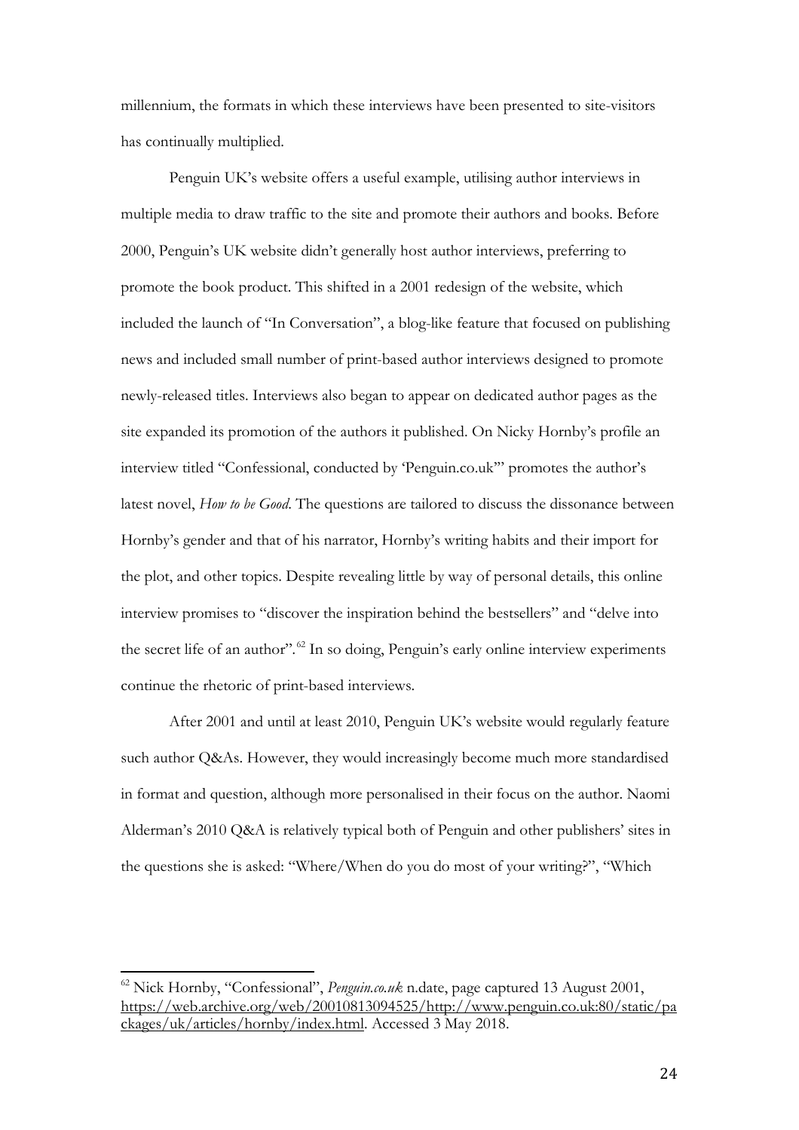millennium, the formats in which these interviews have been presented to site-visitors has continually multiplied.

Penguin UK's website offers a useful example, utilising author interviews in multiple media to draw traffic to the site and promote their authors and books. Before 2000, Penguin's UK website didn't generally host author interviews, preferring to promote the book product. This shifted in a 2001 redesign of the website, which included the launch of "In Conversation", a blog-like feature that focused on publishing news and included small number of print-based author interviews designed to promote newly-released titles. Interviews also began to appear on dedicated author pages as the site expanded its promotion of the authors it published. On Nicky Hornby's profile an interview titled "Confessional, conducted by 'Penguin.co.uk'" promotes the author's latest novel, *How to be Good*. The questions are tailored to discuss the dissonance between Hornby's gender and that of his narrator, Hornby's writing habits and their import for the plot, and other topics. Despite revealing little by way of personal details, this online interview promises to "discover the inspiration behind the bestsellers" and "delve into the secret life of an author"*.* [62](#page-24-0) In so doing, Penguin's early online interview experiments continue the rhetoric of print-based interviews.

After 2001 and until at least 2010, Penguin UK's website would regularly feature such author Q&As. However, they would increasingly become much more standardised in format and question, although more personalised in their focus on the author. Naomi Alderman's 2010 Q&A is relatively typical both of Penguin and other publishers' sites in the questions she is asked: "Where/When do you do most of your writing?", "Which

<span id="page-24-0"></span><sup>62</sup> Nick Hornby, "Confessional", *Penguin.co.uk* n.date, page captured 13 August 2001, [https://web.archive.org/web/20010813094525/http://www.penguin.co.uk:80/static/pa](https://web.archive.org/web/20010813094525/http:/www.penguin.co.uk:80/static/packages/uk/articles/hornby/index.html) [ckages/uk/articles/hornby/index.html.](https://web.archive.org/web/20010813094525/http:/www.penguin.co.uk:80/static/packages/uk/articles/hornby/index.html) Accessed 3 May 2018.  $\overline{\phantom{a}}$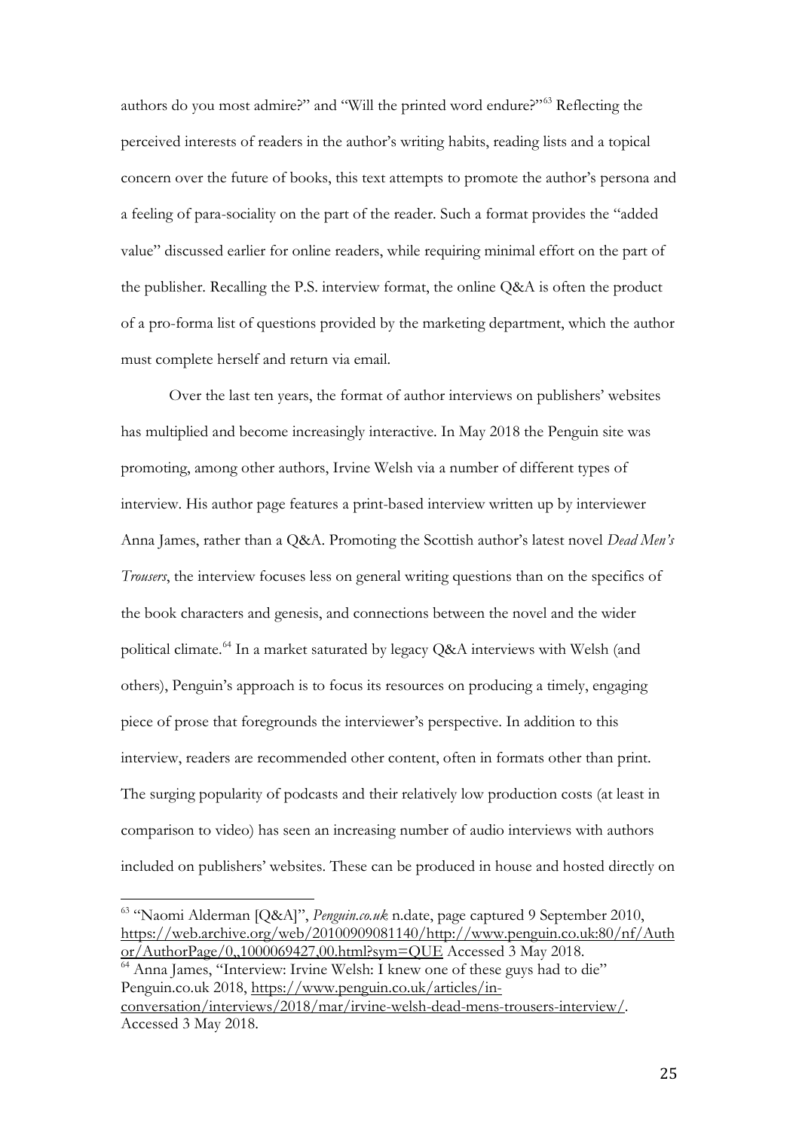authors do you most admire?" and "Will the printed word endure?"[63](#page-25-0) Reflecting the perceived interests of readers in the author's writing habits, reading lists and a topical concern over the future of books, this text attempts to promote the author's persona and a feeling of para-sociality on the part of the reader. Such a format provides the "added value" discussed earlier for online readers, while requiring minimal effort on the part of the publisher. Recalling the P.S. interview format, the online Q&A is often the product of a pro-forma list of questions provided by the marketing department, which the author must complete herself and return via email.

Over the last ten years, the format of author interviews on publishers' websites has multiplied and become increasingly interactive. In May 2018 the Penguin site was promoting, among other authors, Irvine Welsh via a number of different types of interview. His author page features a print-based interview written up by interviewer Anna James, rather than a Q&A. Promoting the Scottish author's latest novel *Dead Men's Trousers*, the interview focuses less on general writing questions than on the specifics of the book characters and genesis, and connections between the novel and the wider political climate.[64](#page-25-1) In a market saturated by legacy Q&A interviews with Welsh (and others), Penguin's approach is to focus its resources on producing a timely, engaging piece of prose that foregrounds the interviewer's perspective. In addition to this interview, readers are recommended other content, often in formats other than print. The surging popularity of podcasts and their relatively low production costs (at least in comparison to video) has seen an increasing number of audio interviews with authors included on publishers' websites. These can be produced in house and hosted directly on

<span id="page-25-1"></span><sup>64</sup> Anna James, "Interview: Irvine Welsh: I knew one of these guys had to die" Penguin.co.uk 2018, [https://www.penguin.co.uk/articles/in](https://www.penguin.co.uk/articles/in-conversation/interviews/2018/mar/irvine-welsh-dead-mens-trousers-interview/)[conversation/interviews/2018/mar/irvine-welsh-dead-mens-trousers-interview/.](https://www.penguin.co.uk/articles/in-conversation/interviews/2018/mar/irvine-welsh-dead-mens-trousers-interview/)

<span id="page-25-0"></span><sup>63</sup> "Naomi Alderman [Q&A]", *Penguin.co.uk* n.date, page captured 9 September 2010, [https://web.archive.org/web/20100909081140/http://www.penguin.co.uk:80/nf/Auth](https://web.archive.org/web/20100909081140/http:/www.penguin.co.uk:80/nf/Author/AuthorPage/0,,1000069427,00.html?sym=QUE) [or/AuthorPage/0,,1000069427,00.html?sym=QUE](https://web.archive.org/web/20100909081140/http:/www.penguin.co.uk:80/nf/Author/AuthorPage/0,,1000069427,00.html?sym=QUE) Accessed 3 May 2018.  $\overline{\phantom{a}}$ 

Accessed 3 May 2018.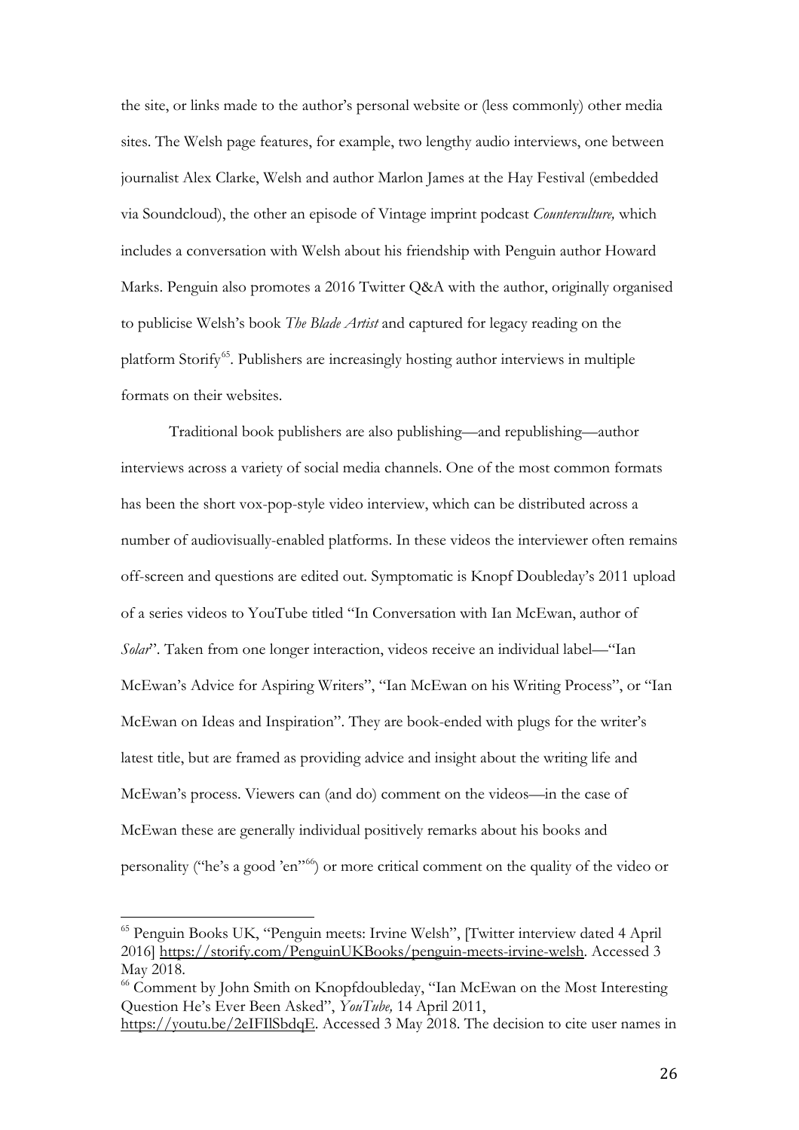the site, or links made to the author's personal website or (less commonly) other media sites. The Welsh page features, for example, two lengthy audio interviews, one between journalist Alex Clarke, Welsh and author Marlon James at the Hay Festival (embedded via Soundcloud), the other an episode of Vintage imprint podcast *Counterculture,* which includes a conversation with Welsh about his friendship with Penguin author Howard Marks. Penguin also promotes a 2016 Twitter Q&A with the author, originally organised to publicise Welsh's book *The Blade Artist* and captured for legacy reading on the platform Storify<sup>[65](#page-26-0)</sup>. Publishers are increasingly hosting author interviews in multiple formats on their websites.

Traditional book publishers are also publishing—and republishing—author interviews across a variety of social media channels. One of the most common formats has been the short vox-pop-style video interview, which can be distributed across a number of audiovisually-enabled platforms. In these videos the interviewer often remains off-screen and questions are edited out. Symptomatic is Knopf Doubleday's 2011 upload of a series videos to YouTube titled "In Conversation with Ian McEwan, author of *Solar*". Taken from one longer interaction, videos receive an individual label—"Ian McEwan's Advice for Aspiring Writers", "Ian McEwan on his Writing Process", or "Ian McEwan on Ideas and Inspiration". They are book-ended with plugs for the writer's latest title, but are framed as providing advice and insight about the writing life and McEwan's process. Viewers can (and do) comment on the videos—in the case of McEwan these are generally individual positively remarks about his books and personality ("he's a good 'en"<sup>[66](#page-26-1)</sup>) or more critical comment on the quality of the video or

<span id="page-26-0"></span><sup>65</sup> Penguin Books UK, "Penguin meets: Irvine Welsh", [Twitter interview dated 4 April 2016] [https://storify.com/PenguinUKBooks/penguin-meets-irvine-welsh.](https://storify.com/PenguinUKBooks/penguin-meets-irvine-welsh) Accessed 3 May 2018.  $\overline{\phantom{a}}$ 

<span id="page-26-1"></span><sup>&</sup>lt;sup>66</sup> Comment by John Smith on Knopfdoubleday, "Ian McEwan on the Most Interesting Question He's Ever Been Asked", *YouTube,* 14 April 2011,

[https://youtu.be/2eIFIlSbdqE.](https://youtu.be/2eIFIlSbdqE) Accessed 3 May 2018. The decision to cite user names in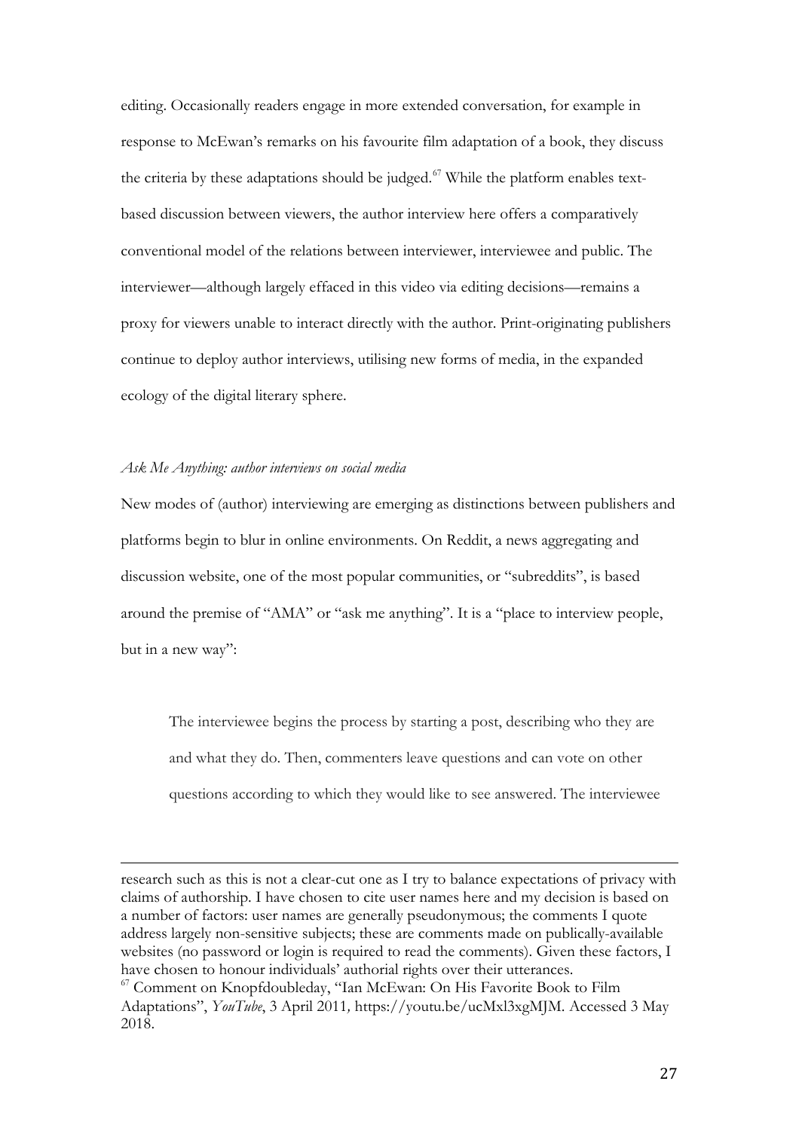editing. Occasionally readers engage in more extended conversation, for example in response to McEwan's remarks on his favourite film adaptation of a book, they discuss the criteria by these adaptations should be judged.<sup>[67](#page-27-0)</sup> While the platform enables textbased discussion between viewers, the author interview here offers a comparatively conventional model of the relations between interviewer, interviewee and public. The interviewer—although largely effaced in this video via editing decisions—remains a proxy for viewers unable to interact directly with the author. Print-originating publishers continue to deploy author interviews, utilising new forms of media, in the expanded ecology of the digital literary sphere.

#### *Ask Me Anything: author interviews on social media*

New modes of (author) interviewing are emerging as distinctions between publishers and platforms begin to blur in online environments. On Reddit, a news aggregating and discussion website, one of the most popular communities, or "subreddits", is based around the premise of "AMA" or "ask me anything". It is a "place to interview people, but in a new way":

The interviewee begins the process by starting a post, describing who they are and what they do. Then, commenters leave questions and can vote on other questions according to which they would like to see answered. The interviewee

research such as this is not a clear-cut one as I try to balance expectations of privacy with claims of authorship. I have chosen to cite user names here and my decision is based on a number of factors: user names are generally pseudonymous; the comments I quote address largely non-sensitive subjects; these are comments made on publically-available websites (no password or login is required to read the comments). Given these factors, I have chosen to honour individuals' authorial rights over their utterances. I

<span id="page-27-0"></span><sup>&</sup>lt;sup>67</sup> Comment on Knopfdoubleday, "Ian McEwan: On His Favorite Book to Film Adaptations", *YouTube*, 3 April 2011*,* https://youtu.be/ucMxl3xgMJM. Accessed 3 May 2018.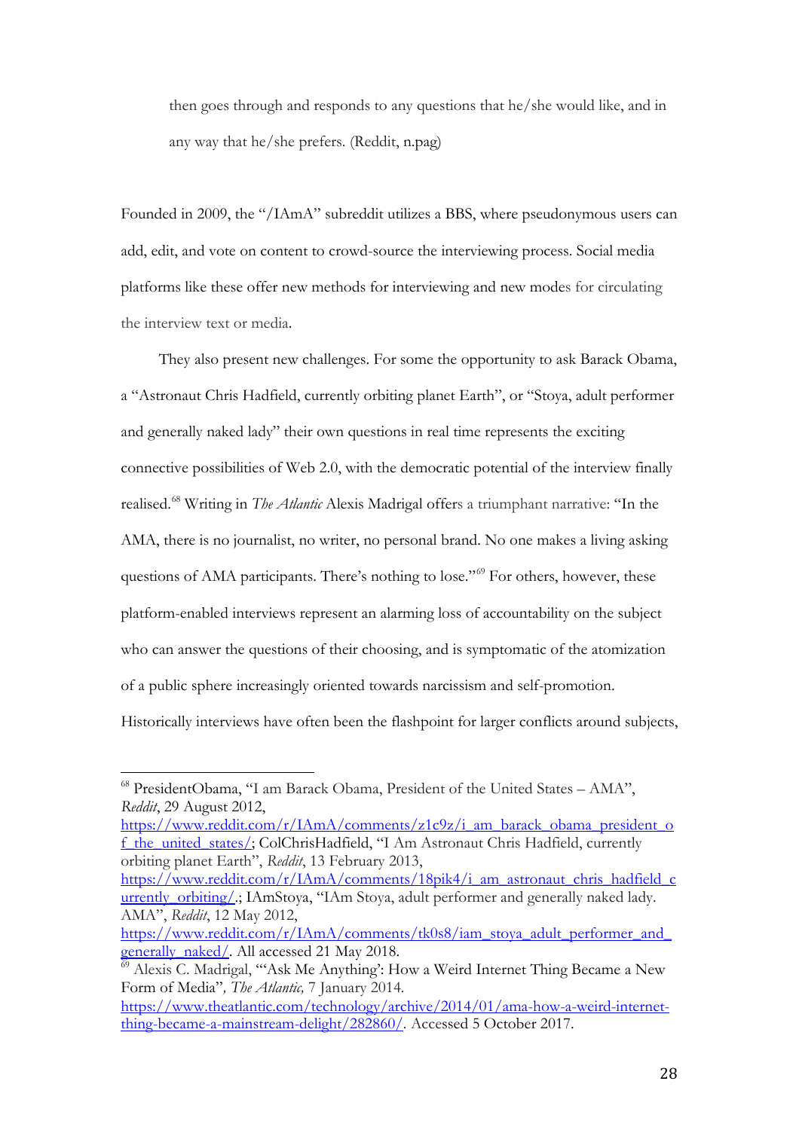then goes through and responds to any questions that he/she would like, and in any way that he/she prefers. (Reddit, n.pag)

Founded in 2009, the "/IAmA" subreddit utilizes a BBS, where pseudonymous users can add, edit, and vote on content to crowd-source the interviewing process. Social media platforms like these offer new methods for interviewing and new modes for circulating the interview text or media.

They also present new challenges. For some the opportunity to ask Barack Obama, a "Astronaut Chris Hadfield, currently orbiting planet Earth", or "Stoya, adult performer and generally naked lady" their own questions in real time represents the exciting connective possibilities of Web 2.0, with the democratic potential of the interview finally realised.[68](#page-28-0) Writing in *The Atlantic* Alexis Madrigal offers a triumphant narrative: "In the AMA, there is no journalist, no writer, no personal brand. No one makes a living asking questions of AMA participants. There's nothing to lose."<sup>[69](#page-28-1)</sup> For others, however, these platform-enabled interviews represent an alarming loss of accountability on the subject who can answer the questions of their choosing, and is symptomatic of the atomization of a public sphere increasingly oriented towards narcissism and self-promotion. Historically interviews have often been the flashpoint for larger conflicts around subjects,

[https://www.reddit.com/r/IAmA/comments/z1c9z/i\\_am\\_barack\\_obama\\_president\\_o](https://www.reddit.com/r/IAmA/comments/z1c9z/i_am_barack_obama_president_of_the_united_states/) [f\\_the\\_united\\_states/;](https://www.reddit.com/r/IAmA/comments/z1c9z/i_am_barack_obama_president_of_the_united_states/) ColChrisHadfield, "I Am Astronaut Chris Hadfield, currently orbiting planet Earth", *Reddit*, 13 February 2013,

[https://www.reddit.com/r/IAmA/comments/18pik4/i\\_am\\_astronaut\\_chris\\_hadfield\\_c](https://www.reddit.com/r/IAmA/comments/18pik4/i_am_astronaut_chris_hadfield_currently_orbiting/) urrently\_orbiting/: IAmStoya, "IAm Stoya, adult performer and generally naked lady. AMA", *Reddit*, 12 May 2012,

<span id="page-28-0"></span><sup>68</sup> PresidentObama, "I am Barack Obama, President of the United States – AMA", *Reddit*, 29 August 2012,  $\overline{\phantom{a}}$ 

[https://www.reddit.com/r/IAmA/comments/tk0s8/iam\\_stoya\\_adult\\_performer\\_and\\_](https://www.reddit.com/r/IAmA/comments/tk0s8/iam_stoya_adult_performer_and_generally_naked/) [generally\\_naked/.](https://www.reddit.com/r/IAmA/comments/tk0s8/iam_stoya_adult_performer_and_generally_naked/) All accessed 21 May 2018.

<span id="page-28-1"></span><sup>69</sup> Alexis C. Madrigal, "'Ask Me Anything': How a Weird Internet Thing Became a New Form of Media"*, The Atlantic,* 7 January 2014*.* 

[https://www.theatlantic.com/technology/archive/2014/01/ama-how-a-weird-internet](https://www.theatlantic.com/technology/archive/2014/01/ama-how-a-weird-internet-thing-became-a-mainstream-delight/282860/)[thing-became-a-mainstream-delight/282860/](https://www.theatlantic.com/technology/archive/2014/01/ama-how-a-weird-internet-thing-became-a-mainstream-delight/282860/)*.* Accessed 5 October 2017.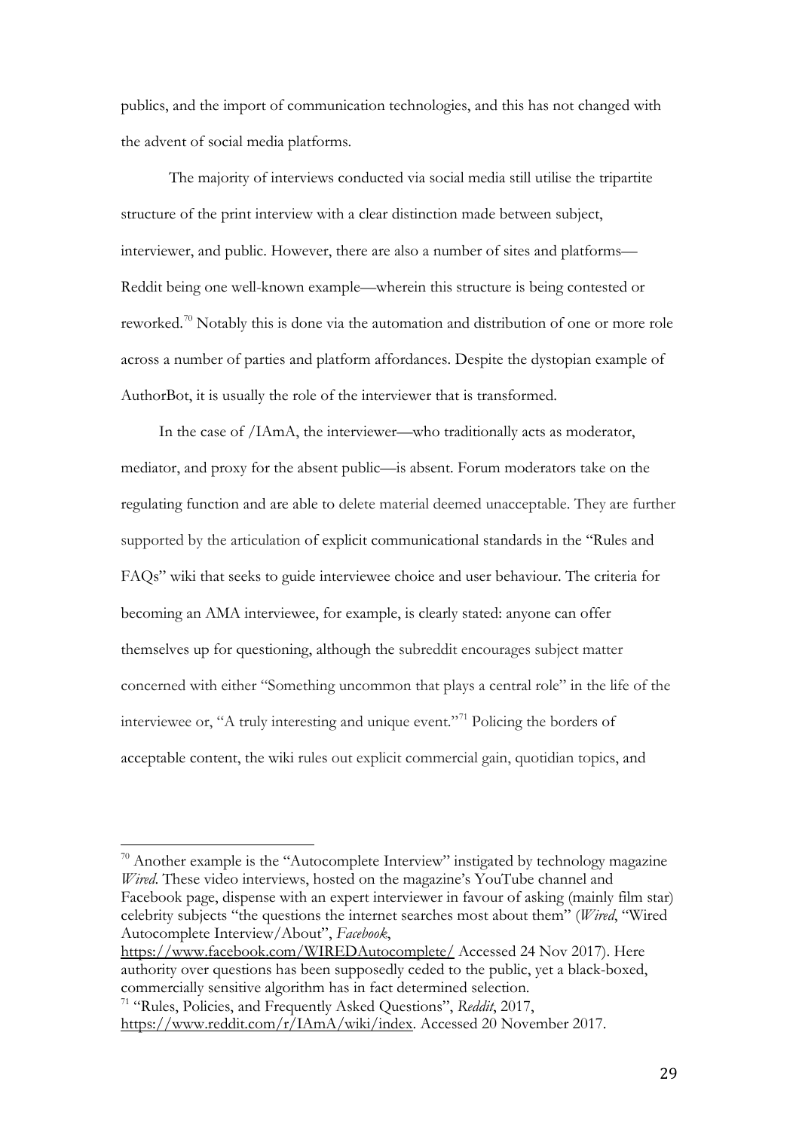publics, and the import of communication technologies, and this has not changed with the advent of social media platforms.

The majority of interviews conducted via social media still utilise the tripartite structure of the print interview with a clear distinction made between subject, interviewer, and public. However, there are also a number of sites and platforms— Reddit being one well-known example—wherein this structure is being contested or reworked.[70](#page-29-0) Notably this is done via the automation and distribution of one or more role across a number of parties and platform affordances. Despite the dystopian example of AuthorBot, it is usually the role of the interviewer that is transformed.

In the case of /IAmA, the interviewer—who traditionally acts as moderator, mediator, and proxy for the absent public—is absent. Forum moderators take on the regulating function and are able to delete material deemed unacceptable. They are further supported by the articulation of explicit communicational standards in the "Rules and FAQs" wiki that seeks to guide interviewee choice and user behaviour. The criteria for becoming an AMA interviewee, for example, is clearly stated: anyone can offer themselves up for questioning, although the subreddit encourages subject matter concerned with either "Something uncommon that plays a central role" in the life of the interviewee or, "A truly interesting and unique event."<sup>[71](#page-29-1)</sup> Policing the borders of acceptable content, the wiki rules out explicit commercial gain, quotidian topics, and

<span id="page-29-0"></span> $70$  Another example is the "Autocomplete Interview" instigated by technology magazine *Wired*. These video interviews, hosted on the magazine's YouTube channel and Facebook page, dispense with an expert interviewer in favour of asking (mainly film star) celebrity subjects "the questions the internet searches most about them" (*Wired*, "Wired Autocomplete Interview/About", *Facebook*,  $\overline{1}$ 

<https://www.facebook.com/WIREDAutocomplete/> Accessed 24 Nov 2017). Here authority over questions has been supposedly ceded to the public, yet a black-boxed, commercially sensitive algorithm has in fact determined selection.

29

<span id="page-29-1"></span><sup>71</sup> "Rules, Policies, and Frequently Asked Questions", *Reddit*, 2017, [https://www.reddit.com/r/IAmA/wiki/index.](https://www.reddit.com/r/IAmA/wiki/index) Accessed 20 November 2017.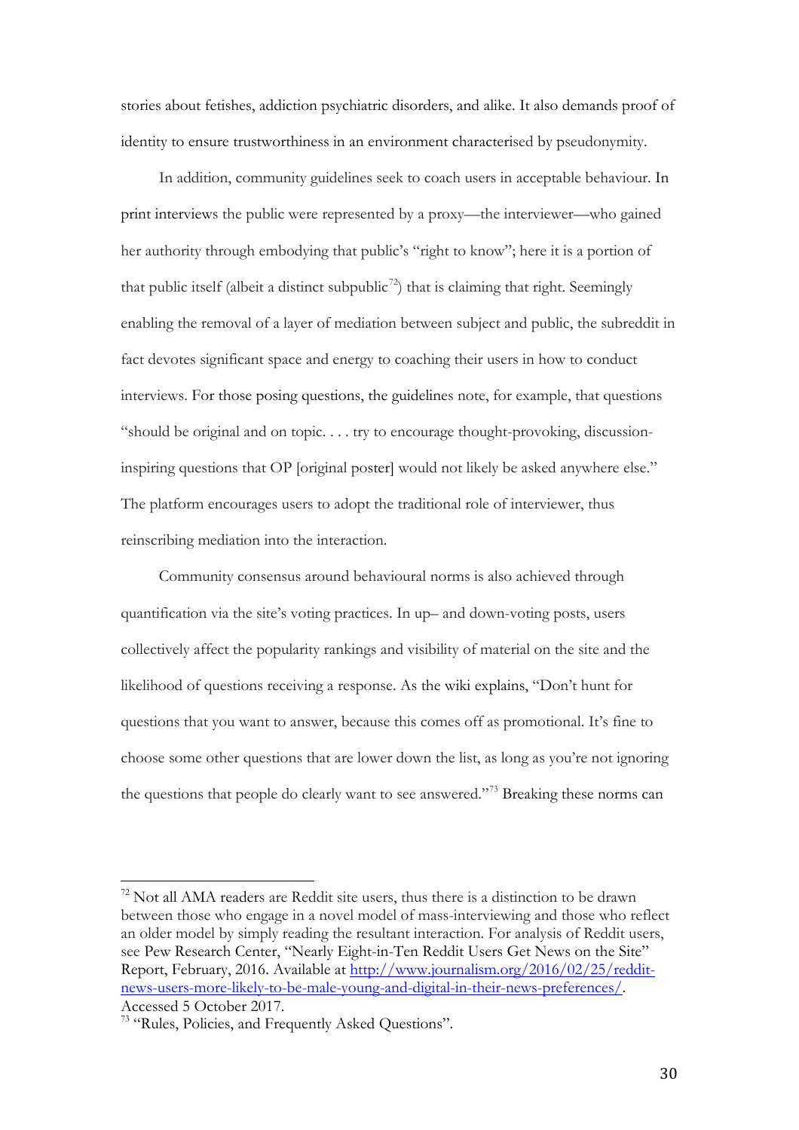stories about fetishes, addiction psychiatric disorders, and alike. It also demands proof of identity to ensure trustworthiness in an environment characterised by pseudonymity.

In addition, community guidelines seek to coach users in acceptable behaviour. In print interviews the public were represented by a proxy—the interviewer—who gained her authority through embodying that public's "right to know"; here it is a portion of that public itself (albeit a distinct subpublic<sup>[72](#page-30-0)</sup>) that is claiming that right. Seemingly enabling the removal of a layer of mediation between subject and public, the subreddit in fact devotes significant space and energy to coaching their users in how to conduct interviews. For those posing questions, the guidelines note, for example, that questions "should be original and on topic. . . . try to encourage thought-provoking, discussioninspiring questions that OP [original poster] would not likely be asked anywhere else." The platform encourages users to adopt the traditional role of interviewer, thus reinscribing mediation into the interaction.

Community consensus around behavioural norms is also achieved through quantification via the site's voting practices. In up– and down-voting posts, users collectively affect the popularity rankings and visibility of material on the site and the likelihood of questions receiving a response. As the wiki explains, "Don't hunt for questions that you want to answer, because this comes off as promotional. It's fine to choose some other questions that are lower down the list, as long as you're not ignoring the questions that people do clearly want to see answered."[73](#page-30-1) Breaking these norms can

<span id="page-30-0"></span> $72$  Not all AMA readers are Reddit site users, thus there is a distinction to be drawn between those who engage in a novel model of mass-interviewing and those who reflect an older model by simply reading the resultant interaction. For analysis of Reddit users, see Pew Research Center, "Nearly Eight-in-Ten Reddit Users Get News on the Site" Report, February, 2016. Available at [http://www.journalism.org/2016/02/25/reddit](http://www.journalism.org/2016/02/25/reddit-news-users-more-likely-to-be-male-young-and-digital-in-their-news-preferences/)[news-users-more-likely-to-be-male-young-and-digital-in-their-news-preferences/.](http://www.journalism.org/2016/02/25/reddit-news-users-more-likely-to-be-male-young-and-digital-in-their-news-preferences/) Accessed 5 October 2017.  $\overline{1}$ 

<span id="page-30-1"></span><sup>73</sup> "Rules, Policies, and Frequently Asked Questions".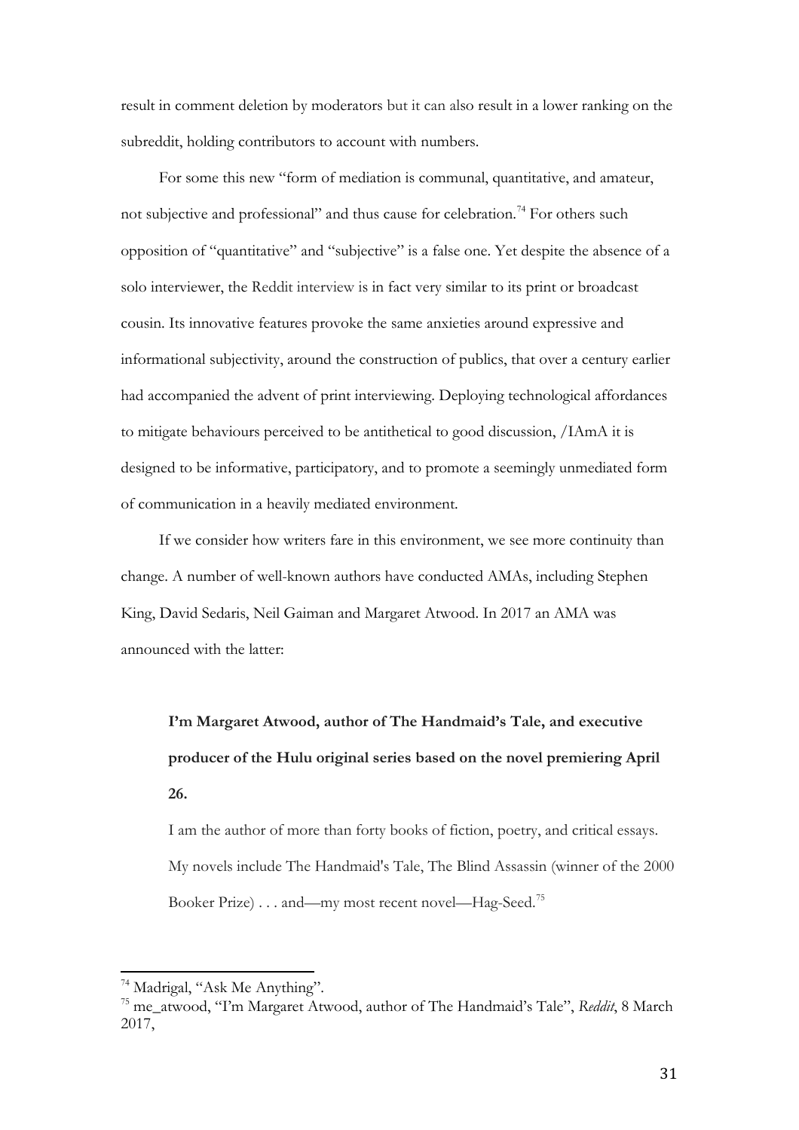result in comment deletion by moderators but it can also result in a lower ranking on the subreddit, holding contributors to account with numbers.

For some this new "form of mediation is communal, quantitative, and amateur, not subjective and professional" and thus cause for celebration.<sup>[74](#page-31-0)</sup> For others such opposition of "quantitative" and "subjective" is a false one. Yet despite the absence of a solo interviewer, the Reddit interview is in fact very similar to its print or broadcast cousin. Its innovative features provoke the same anxieties around expressive and informational subjectivity, around the construction of publics, that over a century earlier had accompanied the advent of print interviewing. Deploying technological affordances to mitigate behaviours perceived to be antithetical to good discussion, /IAmA it is designed to be informative, participatory, and to promote a seemingly unmediated form of communication in a heavily mediated environment.

If we consider how writers fare in this environment, we see more continuity than change. A number of well-known authors have conducted AMAs, including Stephen King, David Sedaris, Neil Gaiman and Margaret Atwood. In 2017 an AMA was announced with the latter:

**I'm Margaret Atwood, author of The Handmaid's Tale, and executive producer of the Hulu original series based on the novel premiering April 26.**

I am the author of more than forty books of fiction, poetry, and critical essays. My novels include The Handmaid's Tale, The Blind Assassin (winner of the 2000 Booker Prize) . . . and—my most recent novel—Hag-Seed.<sup>[75](#page-31-1)</sup>

<sup>&</sup>lt;sup>74</sup> Madrigal, "Ask Me Anything".  $\overline{1}$ 

<span id="page-31-1"></span><span id="page-31-0"></span><sup>75</sup> me\_atwood, "I'm Margaret Atwood, author of The Handmaid's Tale", *Reddit*, 8 March 2017,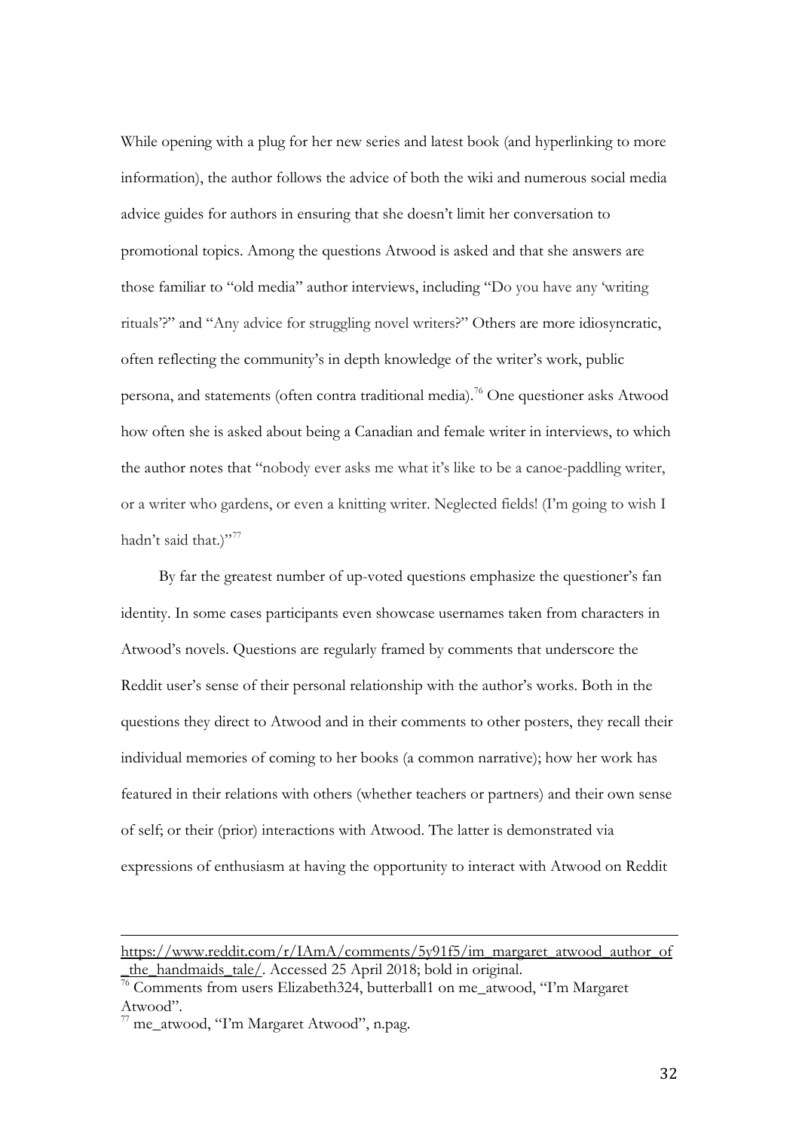While opening with a plug for her new series and latest book (and hyperlinking to more information), the author follows the advice of both the wiki and numerous social media advice guides for authors in ensuring that she doesn't limit her conversation to promotional topics. Among the questions Atwood is asked and that she answers are those familiar to "old media" author interviews, including "Do you have any 'writing rituals'?" and "Any advice for struggling novel writers?" Others are more idiosyncratic, often reflecting the community's in depth knowledge of the writer's work, public persona, and statements (often contra traditional media).<sup>[76](#page-32-0)</sup> One questioner asks Atwood how often she is asked about being a Canadian and female writer in interviews, to which the author notes that "nobody ever asks me what it's like to be a canoe-paddling writer, or a writer who gardens, or even a knitting writer. Neglected fields! (I'm going to wish I hadn't said that.)"<sup>[77](#page-32-1)</sup>

By far the greatest number of up-voted questions emphasize the questioner's fan identity. In some cases participants even showcase usernames taken from characters in Atwood's novels. Questions are regularly framed by comments that underscore the Reddit user's sense of their personal relationship with the author's works. Both in the questions they direct to Atwood and in their comments to other posters, they recall their individual memories of coming to her books (a common narrative); how her work has featured in their relations with others (whether teachers or partners) and their own sense of self; or their (prior) interactions with Atwood. The latter is demonstrated via expressions of enthusiasm at having the opportunity to interact with Atwood on Reddit

[https://www.reddit.com/r/IAmA/comments/5y91f5/im\\_margaret\\_atwood\\_author\\_of](https://www.reddit.com/r/IAmA/comments/5y91f5/im_margaret_atwood_author_of_the_handmaids_tale/) [\\_the\\_handmaids\\_tale/.](https://www.reddit.com/r/IAmA/comments/5y91f5/im_margaret_atwood_author_of_the_handmaids_tale/) Accessed 25 April 2018; bold in original. j

<span id="page-32-0"></span><sup>&</sup>lt;sup>76</sup> Comments from users Elizabeth324, butterball1 on me\_atwood, "I'm Margaret Atwood".

<span id="page-32-1"></span><sup>77</sup> me\_atwood, "I'm Margaret Atwood", n.pag.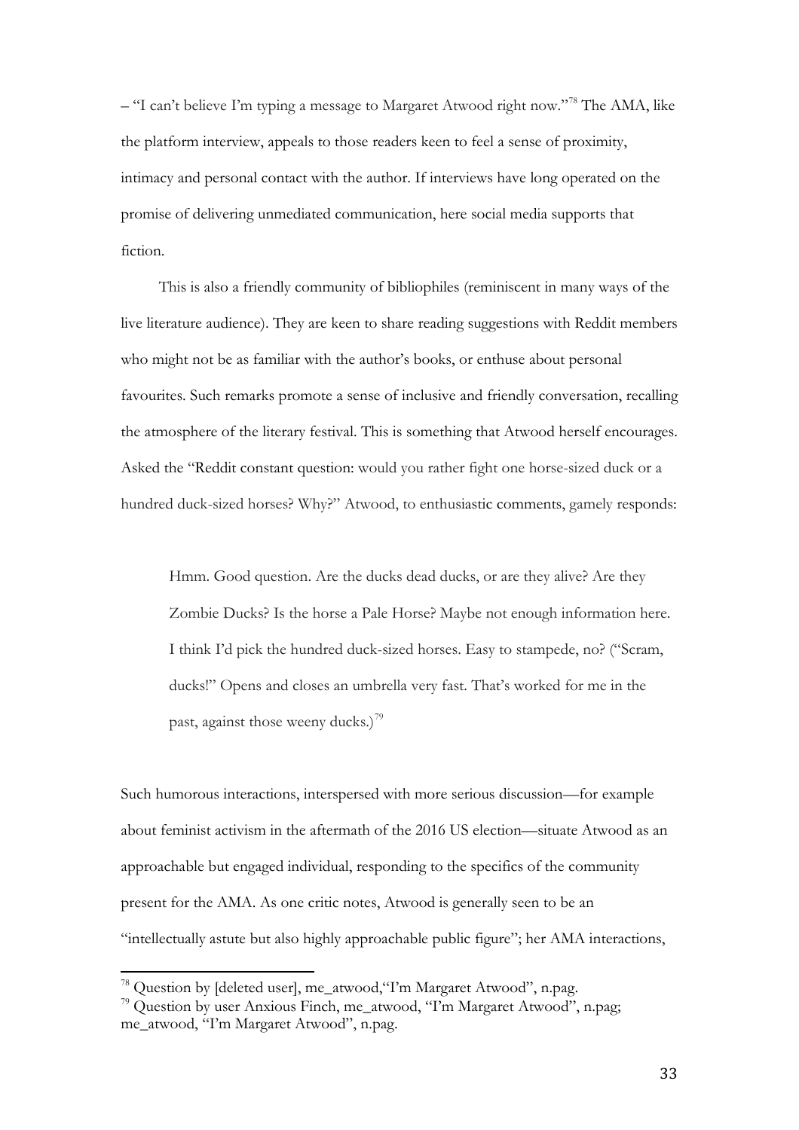– "I can't believe I'm typing a message to Margaret Atwood right now."<sup>[78](#page-33-0)</sup> The AMA, like the platform interview, appeals to those readers keen to feel a sense of proximity, intimacy and personal contact with the author. If interviews have long operated on the promise of delivering unmediated communication, here social media supports that fiction.

This is also a friendly community of bibliophiles (reminiscent in many ways of the live literature audience). They are keen to share reading suggestions with Reddit members who might not be as familiar with the author's books, or enthuse about personal favourites. Such remarks promote a sense of inclusive and friendly conversation, recalling the atmosphere of the literary festival. This is something that Atwood herself encourages. Asked the "Reddit constant question: would you rather fight one horse-sized duck or a hundred duck-sized horses? Why?" Atwood, to enthusiastic comments, gamely responds:

Hmm. Good question. Are the ducks dead ducks, or are they alive? Are they Zombie Ducks? Is the horse a Pale Horse? Maybe not enough information here. I think I'd pick the hundred duck-sized horses. Easy to stampede, no? ("Scram, ducks!" Opens and closes an umbrella very fast. That's worked for me in the past, against those weeny ducks.)<sup>[79](#page-33-1)</sup>

Such humorous interactions, interspersed with more serious discussion—for example about feminist activism in the aftermath of the 2016 US election—situate Atwood as an approachable but engaged individual, responding to the specifics of the community present for the AMA. As one critic notes, Atwood is generally seen to be an "intellectually astute but also highly approachable public figure"; her AMA interactions,

<sup>&</sup>lt;sup>78</sup> Question by [deleted user], me\_atwood, 'T'm Margaret Atwood'', n.pag.  $\overline{1}$ 

<span id="page-33-1"></span><span id="page-33-0"></span><sup>79</sup> Question by user Anxious Finch, me\_atwood, "I'm Margaret Atwood", n.pag; me\_atwood, "I'm Margaret Atwood", n.pag.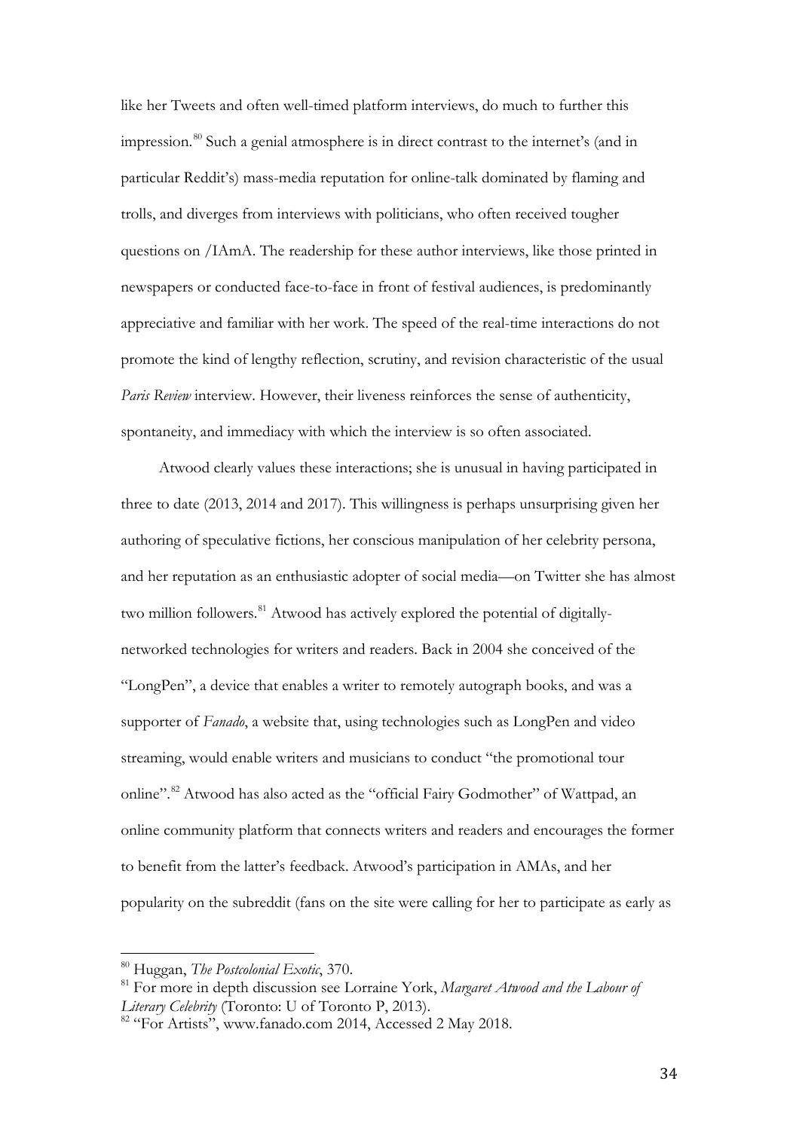like her Tweets and often well-timed platform interviews, do much to further this impression.<sup>[80](#page-34-0)</sup> Such a genial atmosphere is in direct contrast to the internet's (and in particular Reddit's) mass-media reputation for online-talk dominated by flaming and trolls, and diverges from interviews with politicians, who often received tougher questions on /IAmA. The readership for these author interviews, like those printed in newspapers or conducted face-to-face in front of festival audiences, is predominantly appreciative and familiar with her work. The speed of the real-time interactions do not promote the kind of lengthy reflection, scrutiny, and revision characteristic of the usual *Paris Review* interview. However, their liveness reinforces the sense of authenticity, spontaneity, and immediacy with which the interview is so often associated.

Atwood clearly values these interactions; she is unusual in having participated in three to date (2013, 2014 and 2017). This willingness is perhaps unsurprising given her authoring of speculative fictions, her conscious manipulation of her celebrity persona, and her reputation as an enthusiastic adopter of social media—on Twitter she has almost two million followers.<sup>[81](#page-34-1)</sup> Atwood has actively explored the potential of digitallynetworked technologies for writers and readers. Back in 2004 she conceived of the "LongPen", a device that enables a writer to remotely autograph books, and was a supporter of *Fanado*, a website that, using technologies such as LongPen and video streaming, would enable writers and musicians to conduct "the promotional tour online".<sup>[82](#page-34-2)</sup> Atwood has also acted as the "official Fairy Godmother" of Wattpad, an online community platform that connects writers and readers and encourages the former to benefit from the latter's feedback. Atwood's participation in AMAs, and her popularity on the subreddit (fans on the site were calling for her to participate as early as

<span id="page-34-0"></span><sup>80</sup> Huggan, *The Postcolonial Exotic*, 370.  $\frac{1}{\alpha}$ 

<span id="page-34-1"></span><sup>81</sup> For more in depth discussion see Lorraine York, *Margaret Atwood and the Labour of Literary Celebrity* (Toronto: U of Toronto P, 2013).

<span id="page-34-2"></span><sup>&</sup>lt;sup>82</sup> "For Artists", [www.fanado.com](http://www.fanado.com/) 2014, Accessed 2 May 2018.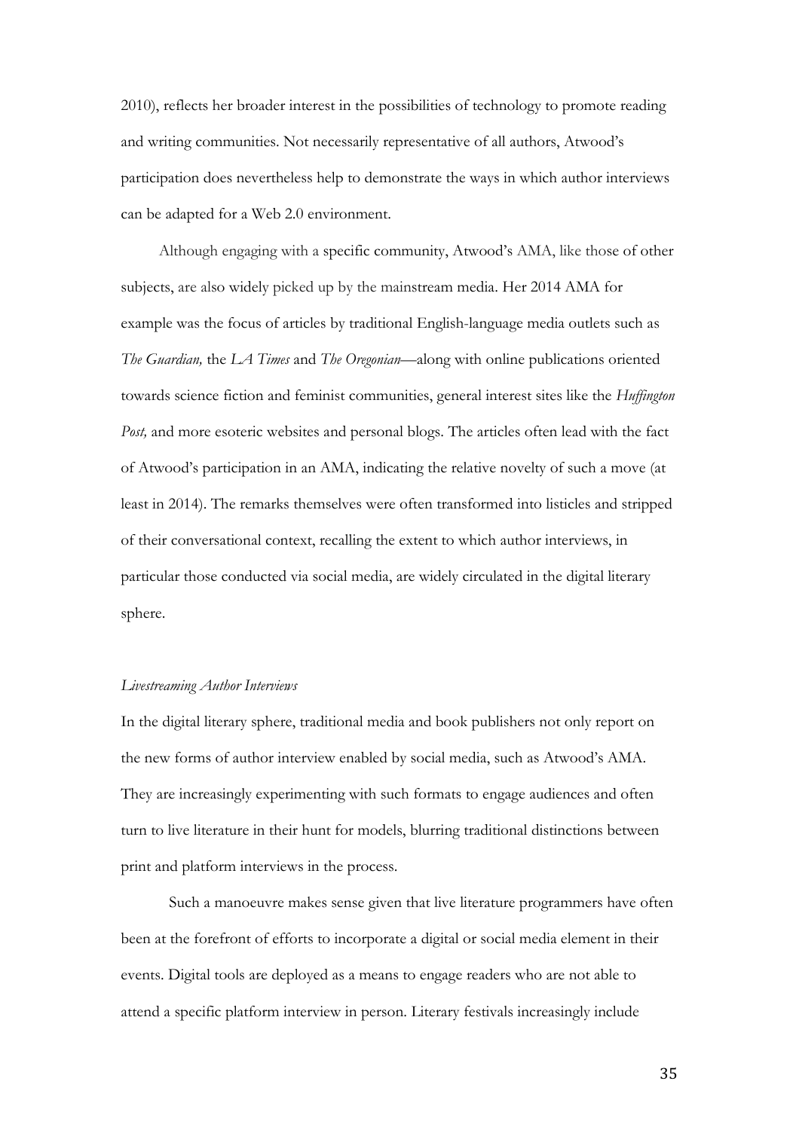2010), reflects her broader interest in the possibilities of technology to promote reading and writing communities. Not necessarily representative of all authors, Atwood's participation does nevertheless help to demonstrate the ways in which author interviews can be adapted for a Web 2.0 environment.

Although engaging with a specific community, Atwood's AMA, like those of other subjects, are also widely picked up by the mainstream media. Her 2014 AMA for example was the focus of articles by traditional English-language media outlets such as *The Guardian,* the *LA Times* and *The Oregonian—*along with online publications oriented towards science fiction and feminist communities, general interest sites like the *Huffington Post,* and more esoteric websites and personal blogs. The articles often lead with the fact of Atwood's participation in an AMA, indicating the relative novelty of such a move (at least in 2014). The remarks themselves were often transformed into listicles and stripped of their conversational context, recalling the extent to which author interviews, in particular those conducted via social media, are widely circulated in the digital literary sphere.

#### *Livestreaming Author Interviews*

In the digital literary sphere, traditional media and book publishers not only report on the new forms of author interview enabled by social media, such as Atwood's AMA. They are increasingly experimenting with such formats to engage audiences and often turn to live literature in their hunt for models, blurring traditional distinctions between print and platform interviews in the process.

Such a manoeuvre makes sense given that live literature programmers have often been at the forefront of efforts to incorporate a digital or social media element in their events. Digital tools are deployed as a means to engage readers who are not able to attend a specific platform interview in person. Literary festivals increasingly include

35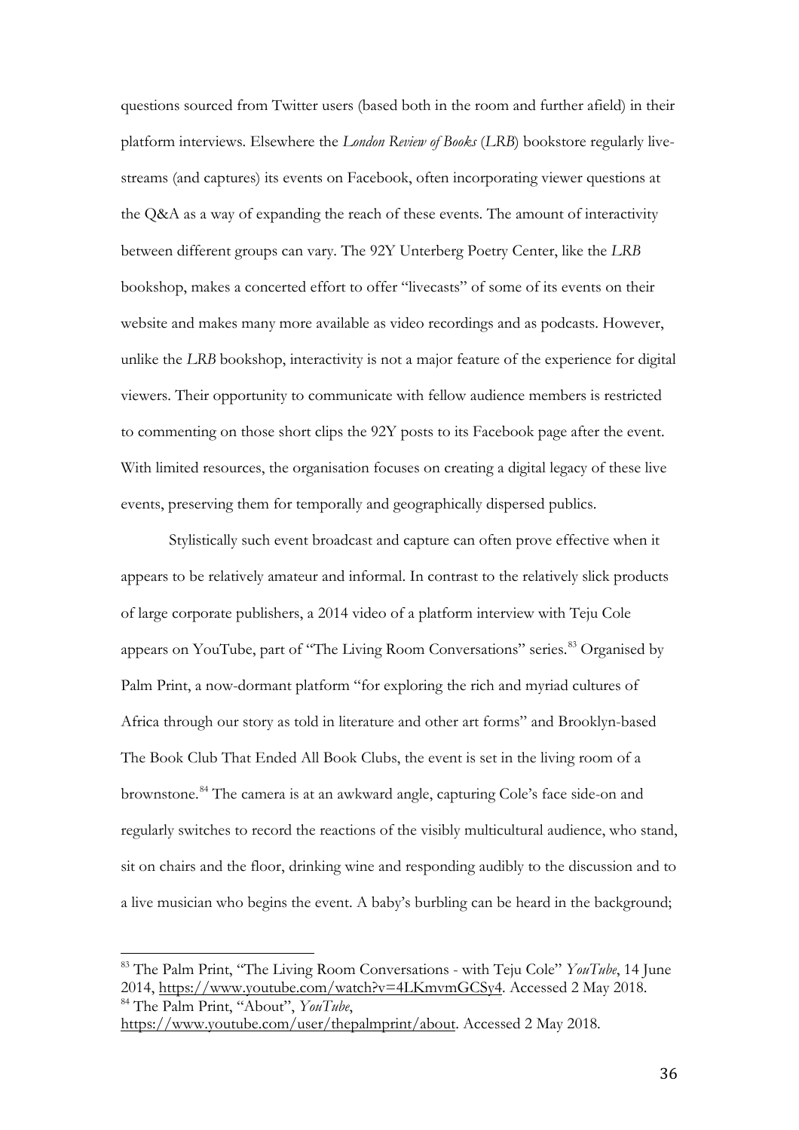questions sourced from Twitter users (based both in the room and further afield) in their platform interviews. Elsewhere the *London Review of Books* (*LRB*) bookstore regularly livestreams (and captures) its events on Facebook, often incorporating viewer questions at the Q&A as a way of expanding the reach of these events. The amount of interactivity between different groups can vary. The 92Y Unterberg Poetry Center, like the *LRB* bookshop, makes a concerted effort to offer "livecasts" of some of its events on their website and makes many more available as video recordings and as podcasts. However, unlike the *LRB* bookshop, interactivity is not a major feature of the experience for digital viewers. Their opportunity to communicate with fellow audience members is restricted to commenting on those short clips the 92Y posts to its Facebook page after the event. With limited resources, the organisation focuses on creating a digital legacy of these live events, preserving them for temporally and geographically dispersed publics.

Stylistically such event broadcast and capture can often prove effective when it appears to be relatively amateur and informal. In contrast to the relatively slick products of large corporate publishers, a 2014 video of a platform interview with Teju Cole appears on YouTube, part of "The Living Room Conversations" series.<sup>[83](#page-36-0)</sup> Organised by Palm Print, a now-dormant platform "for exploring the rich and myriad cultures of Africa through our story as told in literature and other art forms" and Brooklyn-based The Book Club That Ended All Book Clubs, the event is set in the living room of a brownstone.[84](#page-36-1) The camera is at an awkward angle, capturing Cole's face side-on and regularly switches to record the reactions of the visibly multicultural audience, who stand, sit on chairs and the floor, drinking wine and responding audibly to the discussion and to a live musician who begins the event. A baby's burbling can be heard in the background;

<span id="page-36-0"></span><sup>83</sup> The Palm Print, "The Living Room Conversations - with Teju Cole" *YouTube*, 14 June 2014, [https://www.youtube.com/watch?v=4LKmvmGCSy4.](https://www.youtube.com/watch?v=4LKmvmGCSy4) Accessed 2 May 2018. <sup>84</sup> The Palm Print, "About", *YouTube*,  $\frac{1}{\alpha}$ 

<span id="page-36-1"></span>[https://www.youtube.com/user/thepalmprint/about.](https://www.youtube.com/user/thepalmprint/about) Accessed 2 May 2018.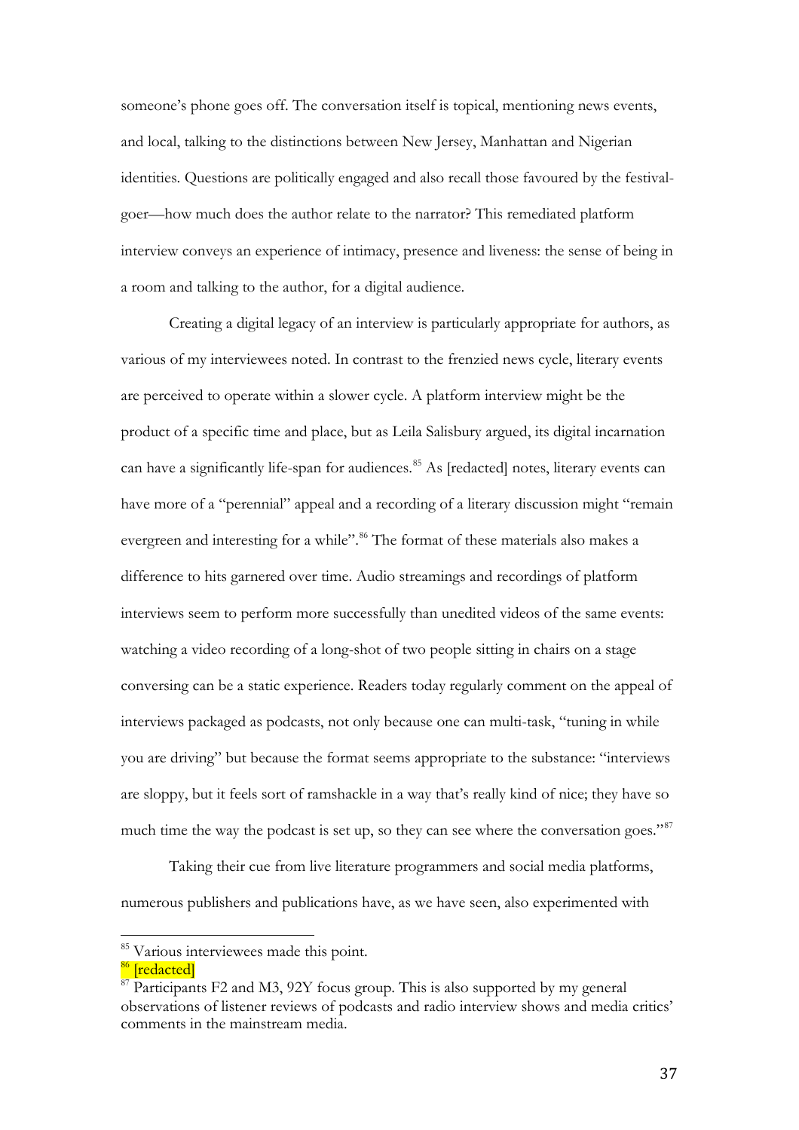someone's phone goes off. The conversation itself is topical, mentioning news events, and local, talking to the distinctions between New Jersey, Manhattan and Nigerian identities. Questions are politically engaged and also recall those favoured by the festivalgoer—how much does the author relate to the narrator? This remediated platform interview conveys an experience of intimacy, presence and liveness: the sense of being in a room and talking to the author, for a digital audience.

Creating a digital legacy of an interview is particularly appropriate for authors, as various of my interviewees noted. In contrast to the frenzied news cycle, literary events are perceived to operate within a slower cycle. A platform interview might be the product of a specific time and place, but as Leila Salisbury argued, its digital incarnation can have a significantly life-span for audiences.<sup>[85](#page-37-0)</sup> As [redacted] notes, literary events can have more of a "perennial" appeal and a recording of a literary discussion might "remain evergreen and interesting for a while".<sup>[86](#page-37-1)</sup> The format of these materials also makes a difference to hits garnered over time. Audio streamings and recordings of platform interviews seem to perform more successfully than unedited videos of the same events: watching a video recording of a long-shot of two people sitting in chairs on a stage conversing can be a static experience. Readers today regularly comment on the appeal of interviews packaged as podcasts, not only because one can multi-task, "tuning in while you are driving" but because the format seems appropriate to the substance: "interviews are sloppy, but it feels sort of ramshackle in a way that's really kind of nice; they have so much time the way the podcast is set up, so they can see where the conversation goes."<sup>[87](#page-37-2)</sup>

Taking their cue from live literature programmers and social media platforms, numerous publishers and publications have, as we have seen, also experimented with

<span id="page-37-0"></span><sup>&</sup>lt;sup>85</sup> Various interviewees made this point.  $\frac{1}{\alpha}$ 

<sup>&</sup>lt;sup>86</sup> [redacted]

<span id="page-37-2"></span><span id="page-37-1"></span><sup>&</sup>lt;sup>87</sup> Participants F2 and M3, 92Y focus group. This is also supported by my general observations of listener reviews of podcasts and radio interview shows and media critics' comments in the mainstream media.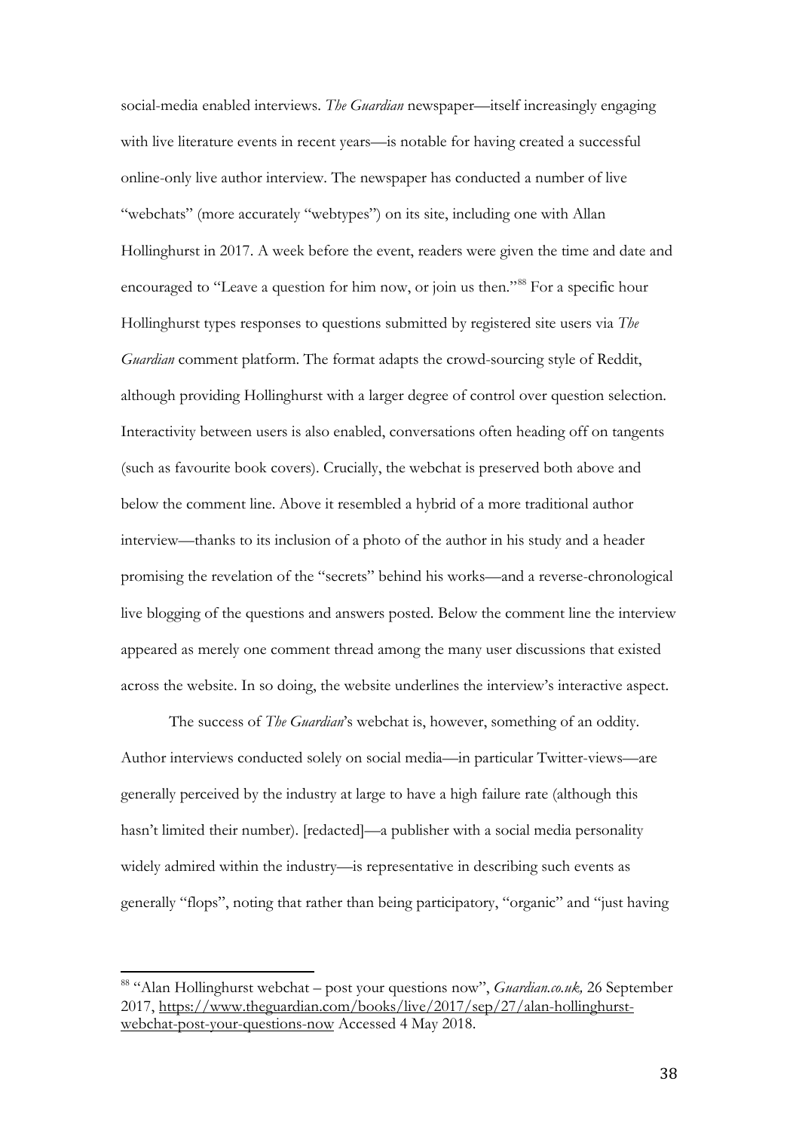social-media enabled interviews. *The Guardian* newspaper—itself increasingly engaging with live literature events in recent years—is notable for having created a successful online-only live author interview. The newspaper has conducted a number of live "webchats" (more accurately "webtypes") on its site, including one with Allan Hollinghurst in 2017. A week before the event, readers were given the time and date and encouraged to "Leave a question for him now, or join us then."<sup>[88](#page-38-0)</sup> For a specific hour Hollinghurst types responses to questions submitted by registered site users via *The Guardian* comment platform. The format adapts the crowd-sourcing style of Reddit, although providing Hollinghurst with a larger degree of control over question selection. Interactivity between users is also enabled, conversations often heading off on tangents (such as favourite book covers). Crucially, the webchat is preserved both above and below the comment line. Above it resembled a hybrid of a more traditional author interview—thanks to its inclusion of a photo of the author in his study and a header promising the revelation of the "secrets" behind his works—and a reverse-chronological live blogging of the questions and answers posted. Below the comment line the interview appeared as merely one comment thread among the many user discussions that existed across the website. In so doing, the website underlines the interview's interactive aspect.

The success of *The Guardian*'s webchat is, however, something of an oddity. Author interviews conducted solely on social media—in particular Twitter-views—are generally perceived by the industry at large to have a high failure rate (although this hasn't limited their number). [redacted]—a publisher with a social media personality widely admired within the industry—is representative in describing such events as generally "flops", noting that rather than being participatory, "organic" and "just having

<span id="page-38-0"></span><sup>88</sup> "Alan Hollinghurst webchat – post your questions now", *Guardian.co.uk,* 26 September 2017, [https://www.theguardian.com/books/live/2017/sep/27/alan-hollinghurst](https://www.theguardian.com/books/live/2017/sep/27/alan-hollinghurst-webchat-post-your-questions-now)[webchat-post-your-questions-now](https://www.theguardian.com/books/live/2017/sep/27/alan-hollinghurst-webchat-post-your-questions-now) Accessed 4 May 2018.  $\frac{1}{\alpha}$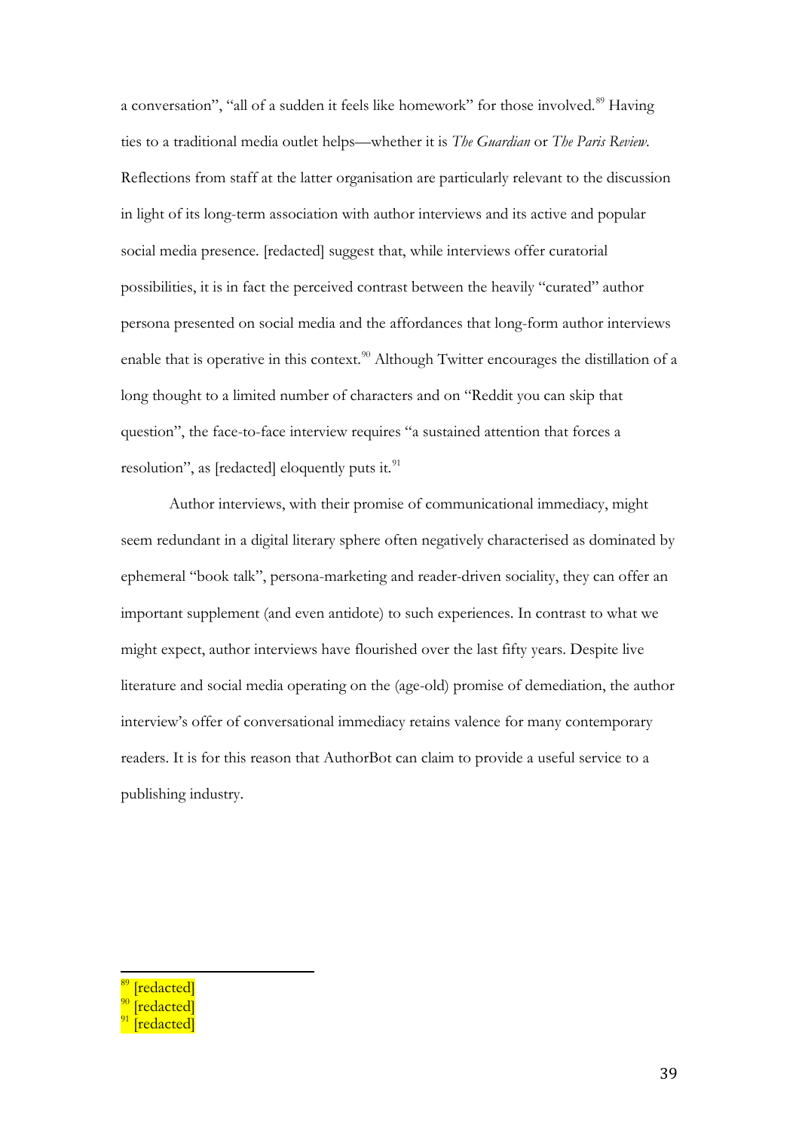a conversation", "all of a sudden it feels like homework" for those involved.<sup>[89](#page-39-0)</sup> Having ties to a traditional media outlet helps—whether it is *The Guardian* or *The Paris Review*. Reflections from staff at the latter organisation are particularly relevant to the discussion in light of its long-term association with author interviews and its active and popular social media presence. [redacted] suggest that, while interviews offer curatorial possibilities, it is in fact the perceived contrast between the heavily "curated" author persona presented on social media and the affordances that long-form author interviews enable that is operative in this context.<sup>[90](#page-39-1)</sup> Although Twitter encourages the distillation of a long thought to a limited number of characters and on "Reddit you can skip that question", the face-to-face interview requires "a sustained attention that forces a resolution", as [redacted] eloquently puts it.<sup>[91](#page-39-2)</sup>

Author interviews, with their promise of communicational immediacy, might seem redundant in a digital literary sphere often negatively characterised as dominated by ephemeral "book talk", persona-marketing and reader-driven sociality, they can offer an important supplement (and even antidote) to such experiences. In contrast to what we might expect, author interviews have flourished over the last fifty years. Despite live literature and social media operating on the (age-old) promise of demediation, the author interview's offer of conversational immediacy retains valence for many contemporary readers. It is for this reason that AuthorBot can claim to provide a useful service to a publishing industry.

<span id="page-39-0"></span>redacted]  $\frac{1}{\alpha}$ 

<span id="page-39-1"></span><sup>[</sup>redacted]

<span id="page-39-2"></span>edacted]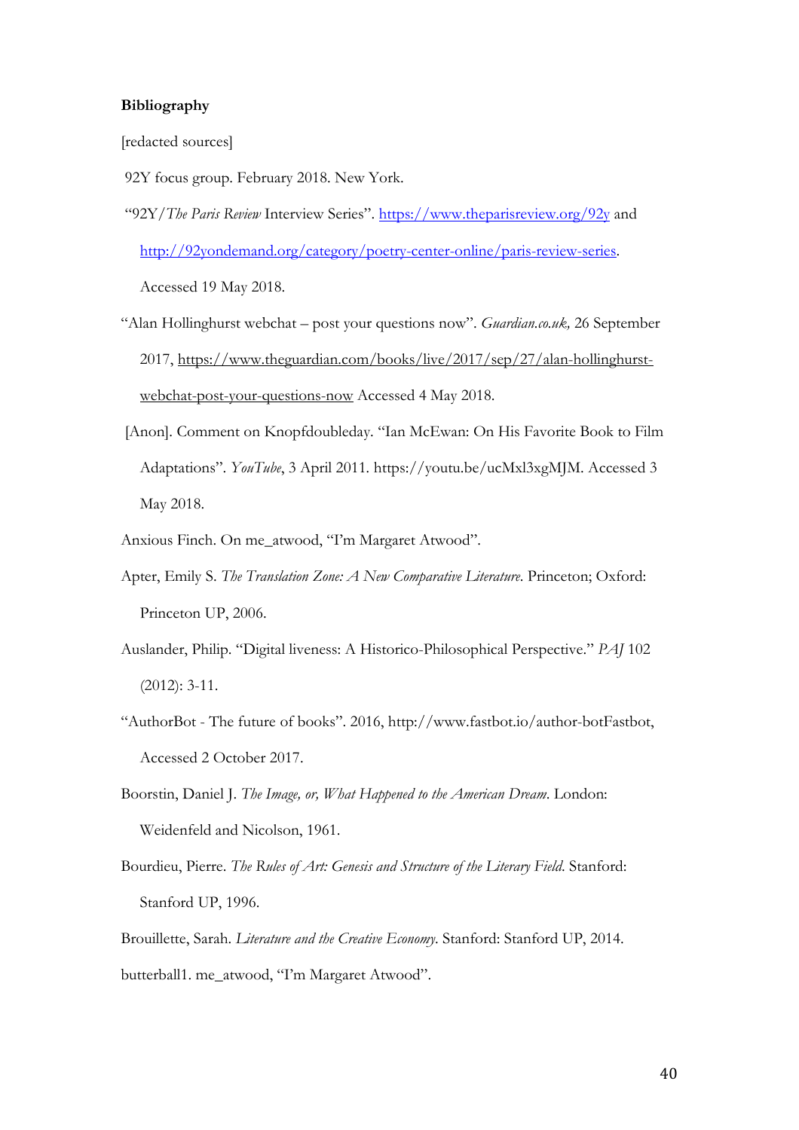#### **Bibliography**

[redacted sources]

- 92Y focus group. February 2018. New York.
- "92Y/*The Paris Review* Interview Series".<https://www.theparisreview.org/92y> and [http://92yondemand.org/category/poetry-center-online/paris-review-series.](http://92yondemand.org/category/poetry-center-online/paris-review-series) Accessed 19 May 2018.
- "Alan Hollinghurst webchat post your questions now". *Guardian.co.uk,* 26 September 2017, [https://www.theguardian.com/books/live/2017/sep/27/alan-hollinghurst](https://www.theguardian.com/books/live/2017/sep/27/alan-hollinghurst-webchat-post-your-questions-now)[webchat-post-your-questions-now](https://www.theguardian.com/books/live/2017/sep/27/alan-hollinghurst-webchat-post-your-questions-now) Accessed 4 May 2018.
- [Anon]. Comment on Knopfdoubleday. "Ian McEwan: On His Favorite Book to Film Adaptations". *YouTube*, 3 April 2011*.* https://youtu.be/ucMxl3xgMJM. Accessed 3 May 2018.
- Anxious Finch. On me\_atwood, "I'm Margaret Atwood".
- Apter, Emily S. *The Translation Zone: A New Comparative Literature*. Princeton; Oxford: Princeton UP, 2006.
- Auslander, Philip. "Digital liveness: A Historico-Philosophical Perspective." *PAJ* 102 (2012): 3-11.
- "AuthorBot The future of books". 2016, http://www.fastbot.io/author-botFastbot, Accessed 2 October 2017.
- Boorstin, Daniel J. *The Image, or, What Happened to the American Dream*. London: Weidenfeld and Nicolson, 1961.
- Bourdieu, Pierre. *The Rules of Art: Genesis and Structure of the Literary Field*. Stanford: Stanford UP, 1996.

Brouillette, Sarah. *Literature and the Creative Economy*. Stanford: Stanford UP, 2014. butterball1. me\_atwood, "I'm Margaret Atwood".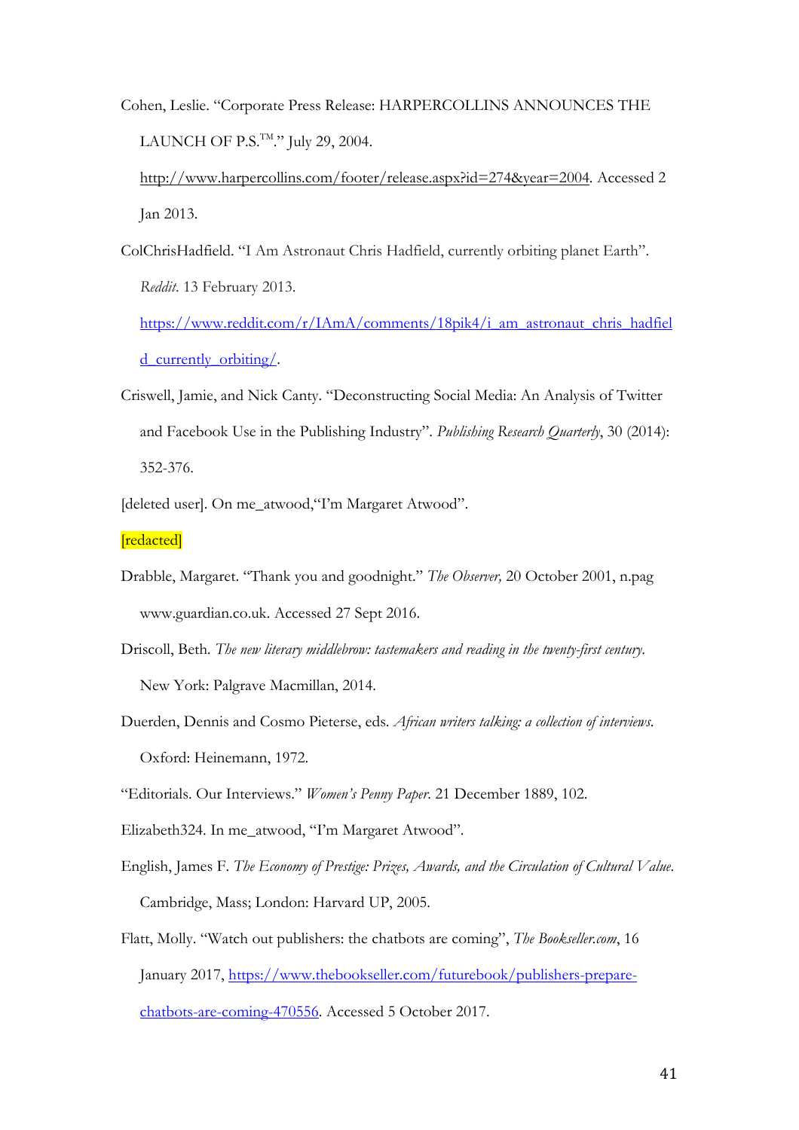Cohen, Leslie. "Corporate Press Release: HARPERCOLLINS ANNOUNCES THE LAUNCH OF P.S.<sup>TM</sup>." July 29, 2004.

[http://www.harpercollins.com/footer/release.aspx?id=274&year=2004.](http://www.harpercollins.com/footer/release.aspx?id=274&year=2004) Accessed 2 Jan 2013.

ColChrisHadfield. "I Am Astronaut Chris Hadfield, currently orbiting planet Earth". *Reddit*. 13 February 2013.

[https://www.reddit.com/r/IAmA/comments/18pik4/i\\_am\\_astronaut\\_chris\\_hadfiel](https://www.reddit.com/r/IAmA/comments/18pik4/i_am_astronaut_chris_hadfield_currently_orbiting/) [d\\_currently\\_orbiting/.](https://www.reddit.com/r/IAmA/comments/18pik4/i_am_astronaut_chris_hadfield_currently_orbiting/)

- Criswell, Jamie, and Nick Canty. "Deconstructing Social Media: An Analysis of Twitter and Facebook Use in the Publishing Industry". *Publishing Research Quarterly*, 30 (2014): 352-376.
- [deleted user]. On me\_atwood,"I'm Margaret Atwood".

[redacted]

- Drabble, Margaret. "Thank you and goodnight." *The Observer,* 20 October 2001, n.pag www.guardian.co.uk. Accessed 27 Sept 2016.
- Driscoll, Beth*. The new literary middlebrow: tastemakers and reading in the twenty-first century*. New York: Palgrave Macmillan, 2014.
- Duerden, Dennis and Cosmo Pieterse, eds. *African writers talking: a collection of interviews*. Oxford: Heinemann, 1972.

"Editorials. Our Interviews." *Women's Penny Paper*. 21 December 1889, 102.

- Elizabeth324. In me\_atwood, "I'm Margaret Atwood".
- English, James F. *The Economy of Prestige: Prizes, Awards, and the Circulation of Cultural Value*. Cambridge, Mass; London: Harvard UP, 2005.
- Flatt, Molly. "Watch out publishers: the chatbots are coming", *The Bookseller.com*, 16 January 2017, [https://www.thebookseller.com/futurebook/publishers-prepare](https://www.thebookseller.com/futurebook/publishers-prepare-chatbots-are-coming-470556)[chatbots-are-coming-470556.](https://www.thebookseller.com/futurebook/publishers-prepare-chatbots-are-coming-470556) Accessed 5 October 2017.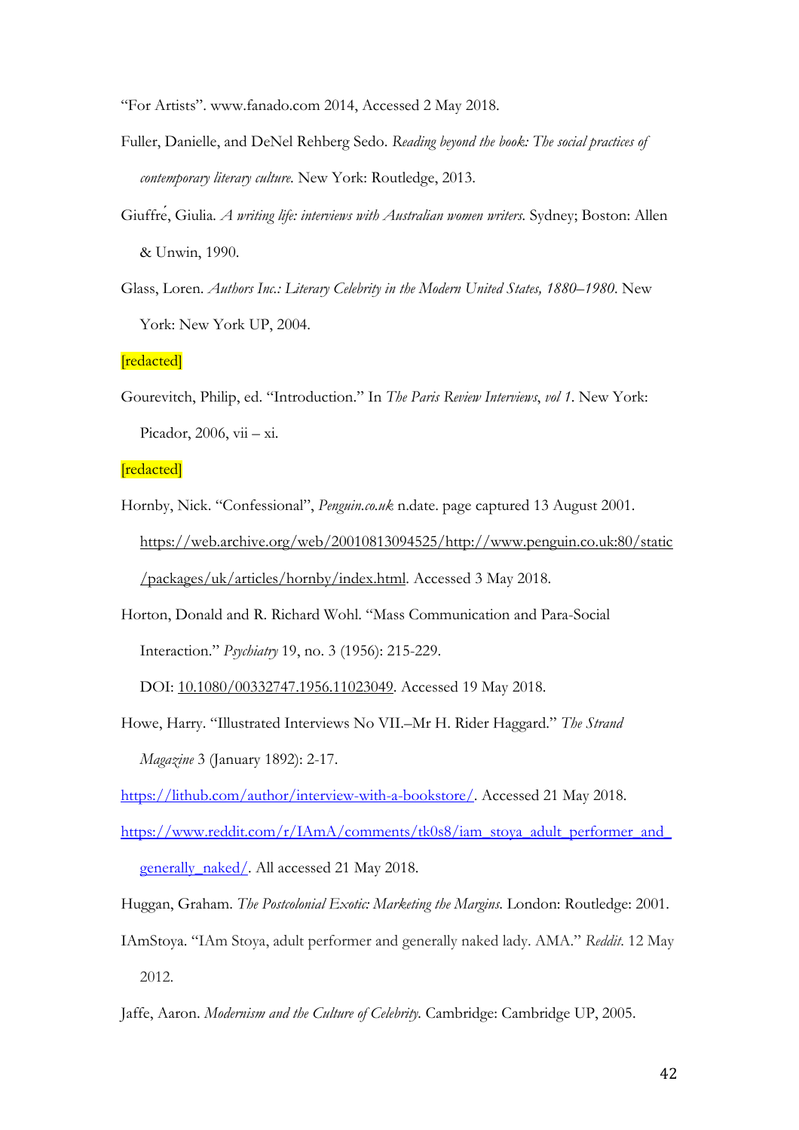"For Artists". [www.fanado.com](http://www.fanado.com/) 2014, Accessed 2 May 2018.

- Fuller, Danielle, and DeNel Rehberg Sedo. *Reading beyond the book: The social practices of contemporary literary culture*. New York: Routledge, 2013.
- Giuffré, Giulia*. A writing life: interviews with Australian women writers.* Sydney; Boston: Allen & Unwin, 1990.
- Glass, Loren. *Authors Inc.: Literary Celebrity in the Modern United States, 1880–1980*. New York: New York UP, 2004.

[redacted]

Gourevitch, Philip, ed. "Introduction." In *The Paris Review Interviews*, *vol 1*. New York: Picador, 2006, vii – xi.

[redacted]

- Hornby, Nick. "Confessional", *Penguin.co.uk* n.date. page captured 13 August 2001. [https://web.archive.org/web/20010813094525/http://www.penguin.co.uk:80/static](https://web.archive.org/web/20010813094525/http:/www.penguin.co.uk:80/static/packages/uk/articles/hornby/index.html) [/packages/uk/articles/hornby/index.html.](https://web.archive.org/web/20010813094525/http:/www.penguin.co.uk:80/static/packages/uk/articles/hornby/index.html) Accessed 3 May 2018.
- Horton, Donald and R. Richard Wohl. "Mass Communication and Para-Social Interaction." *Psychiatry* 19, no. 3 (1956): 215-229.

DOI: [10.1080/00332747.1956.11023049.](https://doi.org/10.1080/00332747.1956.11023049) Accessed 19 May 2018.

Howe, Harry. "Illustrated Interviews No VII.–Mr H. Rider Haggard." *The Strand Magazine* 3 (January 1892): 2-17.

[https://lithub.com/author/interview-with-a-bookstore/.](https://lithub.com/author/interview-with-a-bookstore/) Accessed 21 May 2018.

- [https://www.reddit.com/r/IAmA/comments/tk0s8/iam\\_stoya\\_adult\\_performer\\_and\\_](https://www.reddit.com/r/IAmA/comments/tk0s8/iam_stoya_adult_performer_and_generally_naked/) [generally\\_naked/.](https://www.reddit.com/r/IAmA/comments/tk0s8/iam_stoya_adult_performer_and_generally_naked/) All accessed 21 May 2018.
- Huggan, Graham. *The Postcolonial Exotic: Marketing the Margins*. London: Routledge: 2001.
- IAmStoya. "IAm Stoya, adult performer and generally naked lady. AMA." *Reddit*. 12 May 2012.
- Jaffe, Aaron. *Modernism and the Culture of Celebrity.* Cambridge: Cambridge UP, 2005.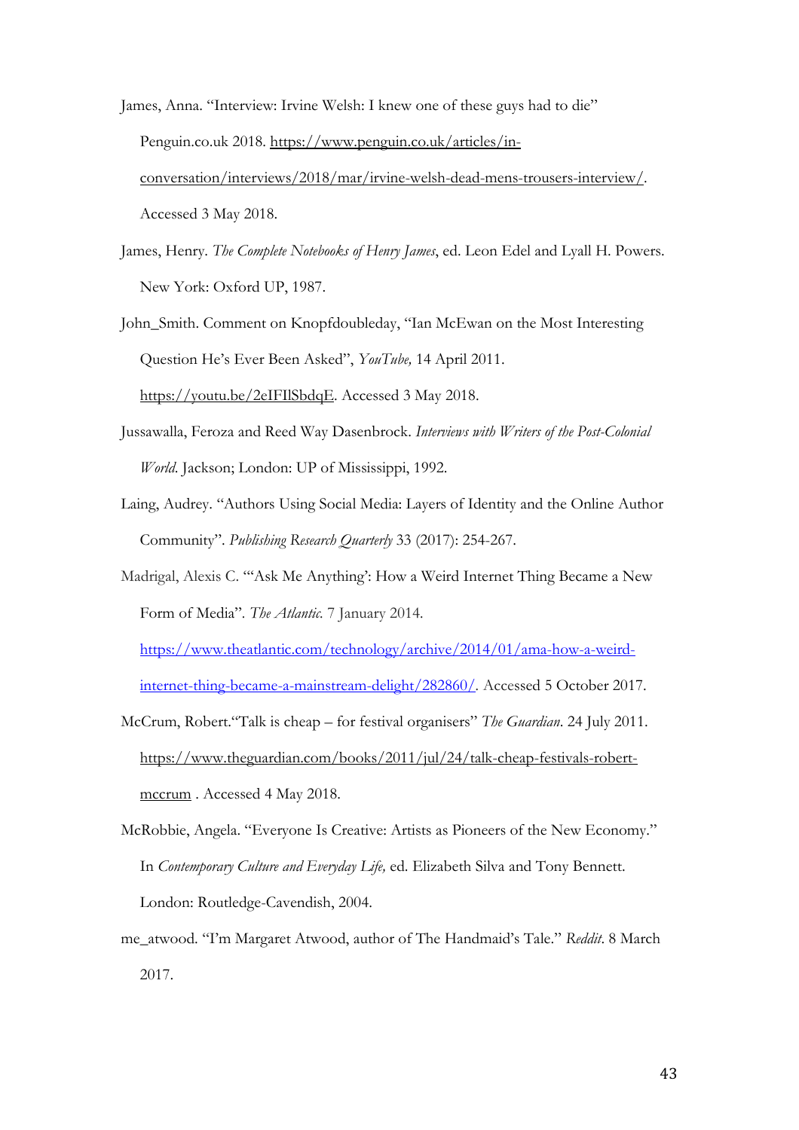- James, Anna. "Interview: Irvine Welsh: I knew one of these guys had to die" Penguin.co.uk 2018. [https://www.penguin.co.uk/articles/in](https://www.penguin.co.uk/articles/in-conversation/interviews/2018/mar/irvine-welsh-dead-mens-trousers-interview/)[conversation/interviews/2018/mar/irvine-welsh-dead-mens-trousers-interview/.](https://www.penguin.co.uk/articles/in-conversation/interviews/2018/mar/irvine-welsh-dead-mens-trousers-interview/) Accessed 3 May 2018.
- James, Henry. *The Complete Notebooks of Henry James*, ed. Leon Edel and Lyall H. Powers. New York: Oxford UP, 1987.

John\_Smith. Comment on Knopfdoubleday, "Ian McEwan on the Most Interesting Question He's Ever Been Asked", *YouTube,* 14 April 2011. [https://youtu.be/2eIFIlSbdqE.](https://youtu.be/2eIFIlSbdqE) Accessed 3 May 2018.

- Jussawalla, Feroza and Reed Way Dasenbrock. *Interviews with Writers of the Post-Colonial World*. Jackson; London: UP of Mississippi, 1992.
- Laing, Audrey. "Authors Using Social Media: Layers of Identity and the Online Author Community". *Publishing Research Quarterly* 33 (2017): 254-267.
- Madrigal, Alexis C. "'Ask Me Anything': How a Weird Internet Thing Became a New Form of Media"*. The Atlantic.* 7 January 2014*.*

[https://www.theatlantic.com/technology/archive/2014/01/ama-how-a-weird](https://www.theatlantic.com/technology/archive/2014/01/ama-how-a-weird-internet-thing-became-a-mainstream-delight/282860/)[internet-thing-became-a-mainstream-delight/282860/](https://www.theatlantic.com/technology/archive/2014/01/ama-how-a-weird-internet-thing-became-a-mainstream-delight/282860/)*.* Accessed 5 October 2017.

- McCrum, Robert."Talk is cheap for festival organisers" *The Guardian*. 24 July 2011. [https://www.theguardian.com/books/2011/jul/24/talk-cheap-festivals-robert](https://www.theguardian.com/books/2011/jul/24/talk-cheap-festivals-robert-mccrum)[mccrum](https://www.theguardian.com/books/2011/jul/24/talk-cheap-festivals-robert-mccrum) . Accessed 4 May 2018.
- McRobbie, Angela. "Everyone Is Creative: Artists as Pioneers of the New Economy." In *Contemporary Culture and Everyday Life,* ed. Elizabeth Silva and Tony Bennett. London: Routledge-Cavendish, 2004.
- me\_atwood. "I'm Margaret Atwood, author of The Handmaid's Tale." *Reddit*. 8 March 2017.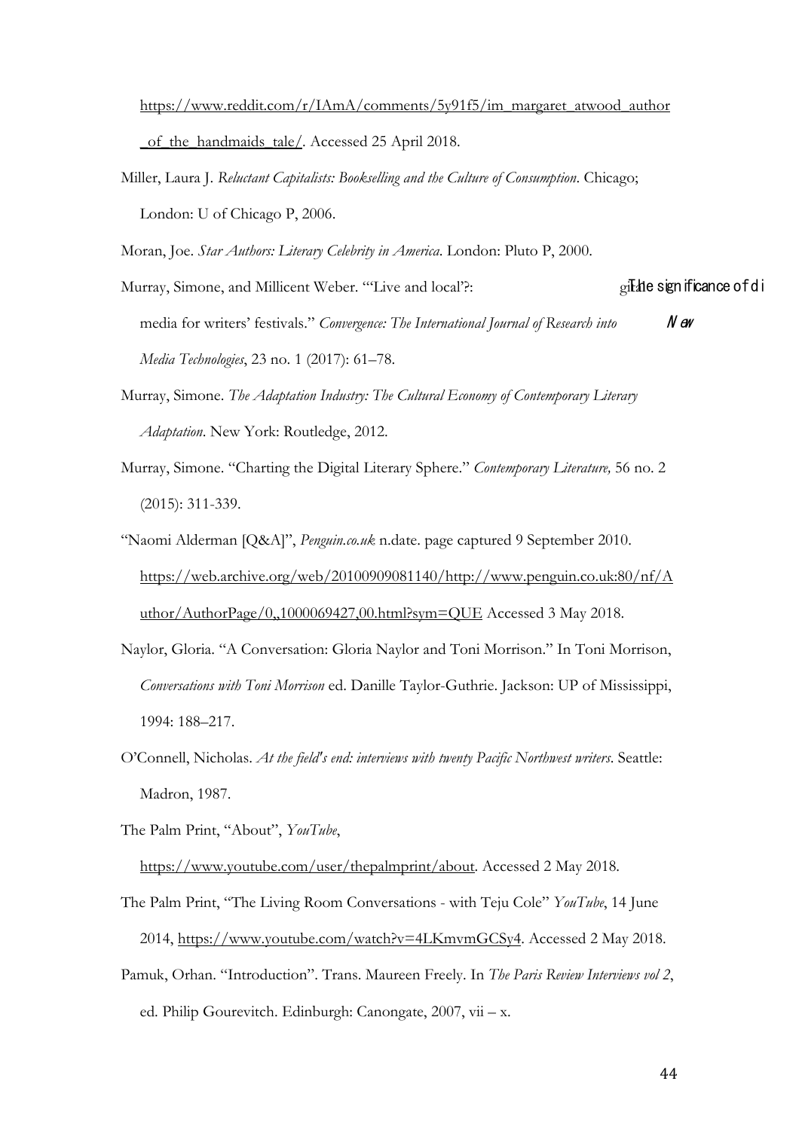[https://www.reddit.com/r/IAmA/comments/5y91f5/im\\_margaret\\_atwood\\_author](https://www.reddit.com/r/IAmA/comments/5y91f5/im_margaret_atwood_author_of_the_handmaids_tale/)

of the handmaids tale/. Accessed 25 April 2018.

Miller, Laura J. *Reluctant Capitalists: Bookselling and the Culture of Consumption*. Chicago; London: U of Chicago P, 2006.

Moran, Joe. *Star Authors: Literary Celebrity in America*. London: Pluto P, 2000.

Murray, Simone, and Millicent Weber. "'Live and local'?: gilde significance of di media for writers' festivals." *Convergence: The International Journal of Research into* N ew *Media Technologies*, 23 no. 1 (2017): 61–78.

- Murray, Simone. *The Adaptation Industry: The Cultural Economy of Contemporary Literary Adaptation*. New York: Routledge, 2012.
- Murray, Simone. "Charting the Digital Literary Sphere." *Contemporary Literature,* 56 no. 2 (2015): 311-339.
- "Naomi Alderman [Q&A]", *Penguin.co.uk* n.date. page captured 9 September 2010. [https://web.archive.org/web/20100909081140/http://www.penguin.co.uk:80/nf/A](https://web.archive.org/web/20100909081140/http:/www.penguin.co.uk:80/nf/Author/AuthorPage/0,,1000069427,00.html?sym=QUE) [uthor/AuthorPage/0,,1000069427,00.html?sym=QUE](https://web.archive.org/web/20100909081140/http:/www.penguin.co.uk:80/nf/Author/AuthorPage/0,,1000069427,00.html?sym=QUE) Accessed 3 May 2018.
- Naylor, Gloria. "A Conversation: Gloria Naylor and Toni Morrison." In Toni Morrison, *Conversations with Toni Morrison* ed. Danille Taylor-Guthrie. Jackson: UP of Mississippi, 1994: 188–217.
- O'Connell, Nicholas. *At the field's end: interviews with twenty Pacific Northwest writers*. Seattle: Madron, 1987.
- The Palm Print, "About", *YouTube*,

[https://www.youtube.com/user/thepalmprint/about.](https://www.youtube.com/user/thepalmprint/about) Accessed 2 May 2018.

- The Palm Print, "The Living Room Conversations with Teju Cole" *YouTube*, 14 June 2014, [https://www.youtube.com/watch?v=4LKmvmGCSy4.](https://www.youtube.com/watch?v=4LKmvmGCSy4) Accessed 2 May 2018.
- Pamuk, Orhan. "Introduction". Trans. Maureen Freely. In *The Paris Review Interviews vol 2*, ed. Philip Gourevitch. Edinburgh: Canongate, 2007, vii – x.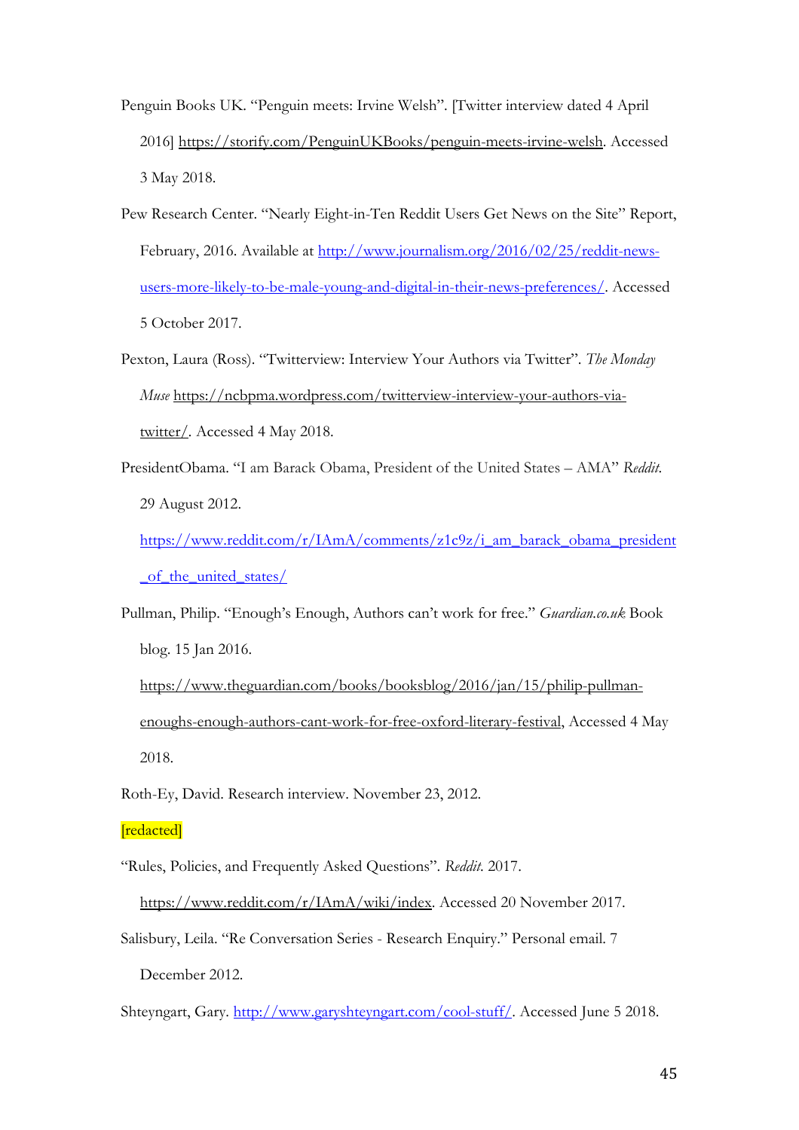- Penguin Books UK. "Penguin meets: Irvine Welsh". [Twitter interview dated 4 April 2016] [https://storify.com/PenguinUKBooks/penguin-meets-irvine-welsh.](https://storify.com/PenguinUKBooks/penguin-meets-irvine-welsh) Accessed 3 May 2018.
- Pew Research Center. "Nearly Eight-in-Ten Reddit Users Get News on the Site" Report, February, 2016. Available at [http://www.journalism.org/2016/02/25/reddit-news](http://www.journalism.org/2016/02/25/reddit-news-users-more-likely-to-be-male-young-and-digital-in-their-news-preferences/)[users-more-likely-to-be-male-young-and-digital-in-their-news-preferences/.](http://www.journalism.org/2016/02/25/reddit-news-users-more-likely-to-be-male-young-and-digital-in-their-news-preferences/) Accessed 5 October 2017.
- Pexton, Laura (Ross). "Twitterview: Interview Your Authors via Twitter". *The Monday Muse* [https://ncbpma.wordpress.com/twitterview-interview-your-authors-via](https://ncbpma.wordpress.com/twitterview-interview-your-authors-via-twitter/)[twitter/](https://ncbpma.wordpress.com/twitterview-interview-your-authors-via-twitter/)*.* Accessed 4 May 2018.
- PresidentObama. "I am Barack Obama, President of the United States AMA" *Reddit*. 29 August 2012.
	- [https://www.reddit.com/r/IAmA/comments/z1c9z/i\\_am\\_barack\\_obama\\_president](https://www.reddit.com/r/IAmA/comments/z1c9z/i_am_barack_obama_president_of_the_united_states/) of the united states/
- Pullman, Philip. "Enough's Enough, Authors can't work for free." *Guardian.co.uk* Book blog. 15 Jan 2016.
	- [https://www.theguardian.com/books/booksblog/2016/jan/15/philip-pullman](https://www.theguardian.com/books/booksblog/2016/jan/15/philip-pullman-enoughs-enough-authors-cant-work-for-free-oxford-literary-festival)[enoughs-enough-authors-cant-work-for-free-oxford-literary-festival,](https://www.theguardian.com/books/booksblog/2016/jan/15/philip-pullman-enoughs-enough-authors-cant-work-for-free-oxford-literary-festival) Accessed 4 May 2018.
- Roth-Ey, David. Research interview. November 23, 2012.

## [redacted]

- "Rules, Policies, and Frequently Asked Questions". *Reddit*. 2017.
- [https://www.reddit.com/r/IAmA/wiki/index.](https://www.reddit.com/r/IAmA/wiki/index) Accessed 20 November 2017. Salisbury, Leila. "Re Conversation Series - Research Enquiry." Personal email. 7 December 2012.
- Shteyngart, Gary. [http://www.garyshteyngart.com/cool-stuff/.](http://www.garyshteyngart.com/cool-stuff/) Accessed June 5 2018.